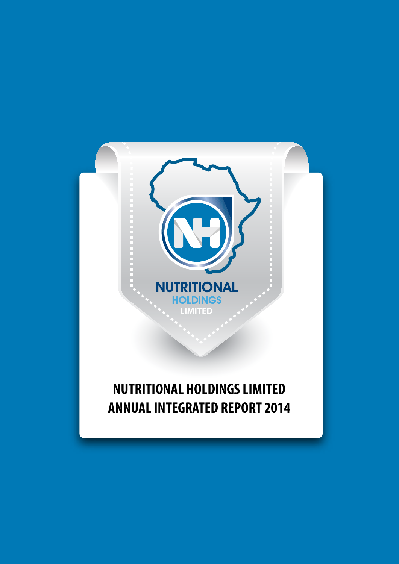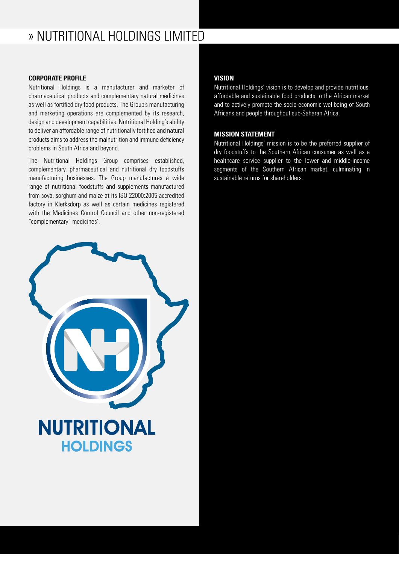## » NUTRITIONAL HOLDINGS LIMITED

## **CORPORATE PROFILE**

Nutritional Holdings is a manufacturer and marketer of pharmaceutical products and complementary natural medicines as well as fortified dry food products. The Group's manufacturing and marketing operations are complemented by its research, design and development capabilities. Nutritional Holding's ability to deliver an affordable range of nutritionally fortified and natural products aims to address the malnutrition and immune deficiency problems in South Africa and beyond.

The Nutritional Holdings Group comprises established, complementary, pharmaceutical and nutritional dry foodstuffs manufacturing businesses. The Group manufactures a wide range of nutritional foodstuffs and supplements manufactured from soya, sorghum and maize at its ISO 22000:2005 accredited factory in Klerksdorp as well as certain medicines registered with the Medicines Control Council and other non-registered "complementary" medicines'.

## **VISION**

Nutritional Holdings' vision is to develop and provide nutritious, affordable and sustainable food products to the African market and to actively promote the socio-economic wellbeing of South Africans and people throughout sub-Saharan Africa.

## **MISSION STATEMENT**

Nutritional Holdings' mission is to be the preferred supplier of dry foodstuffs to the Southern African consumer as well as a healthcare service supplier to the lower and middle-income segments of the Southern African market, culminating in sustainable returns for shareholders.

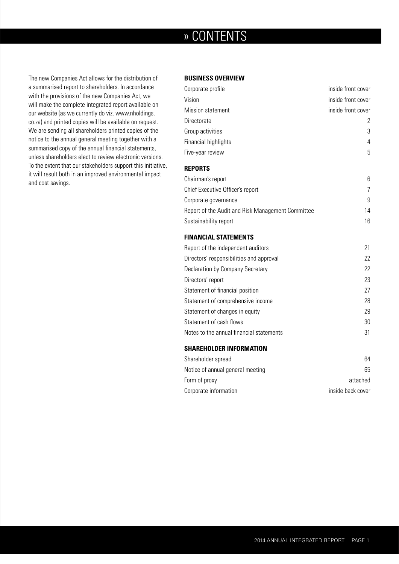## » CONTENTS

The new Companies Act allows for the distribution of a summarised report to shareholders. In accordance with the provisions of the new Companies Act, we will make the complete integrated report available on our website (as we currently do viz. www.nholdings. co.za) and printed copies will be available on request. We are sending all shareholders printed copies of the notice to the annual general meeting together with a summarised copy of the annual financial statements, unless shareholders elect to review electronic versions. To the extent that our stakeholders support this initiative, it will result both in an improved environmental impact and cost savings.

## **BUSINESS OVERVIEW**

| Corporate profile                                 | inside front cover |
|---------------------------------------------------|--------------------|
| Vision                                            | inside front cover |
| <b>Mission statement</b>                          | inside front cover |
| Directorate                                       | 2                  |
| Group activities                                  | 3                  |
| Financial highlights                              | 4                  |
| Five-year review                                  | 5                  |
| <b>REPORTS</b>                                    |                    |
| Chairman's report                                 | 6                  |
| Chief Executive Officer's report                  | 7                  |
| Corporate governance                              | 9                  |
| Report of the Audit and Risk Management Committee | 14                 |
| Sustainability report                             | 16                 |

#### **FINANCIAL STATEMENTS**

| Report of the independent auditors       | 21 |
|------------------------------------------|----|
| Directors' responsibilities and approval | 22 |
| Declaration by Company Secretary         | 22 |
| Directors' report                        | 23 |
| Statement of financial position          | 27 |
| Statement of comprehensive income        | 28 |
| Statement of changes in equity           | 29 |
| Statement of cash flows                  | 30 |
| Notes to the annual financial statements | 31 |
|                                          |    |

## **SHAREHOLDER INFORMATION**

| Shareholder spread               | 64                |
|----------------------------------|-------------------|
| Notice of annual general meeting | 65                |
| Form of proxy                    | attached          |
| Corporate information            | inside back cover |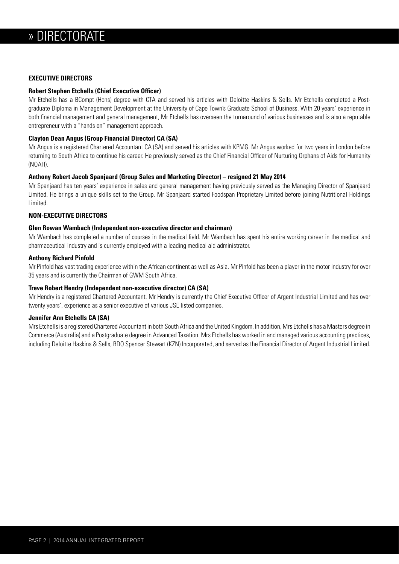## **EXECUTIVE DIRECTORS**

## **Robert Stephen Etchells (Chief Executive Officer)**

Mr Etchells has a BCompt (Hons) degree with CTA and served his articles with Deloitte Haskins & Sells. Mr Etchells completed a Postgraduate Diploma in Management Development at the University of Cape Town's Graduate School of Business. With 20 years' experience in both financial management and general management, Mr Etchells has overseen the turnaround of various businesses and is also a reputable entrepreneur with a "hands on" management approach.

## **Clayton Dean Angus (Group Financial Director) CA (SA)**

Mr Angus is a registered Chartered Accountant CA (SA) and served his articles with KPMG. Mr Angus worked for two years in London before returning to South Africa to continue his career. He previously served as the Chief Financial Officer of Nurturing Orphans of Aids for Humanity (NOAH).

## **Anthony Robert Jacob Spanjaard (Group Sales and Marketing Director) – resigned 21 May 2014**

Mr Spanjaard has ten years' experience in sales and general management having previously served as the Managing Director of Spanjaard Limited. He brings a unique skills set to the Group. Mr Spanjaard started Foodspan Proprietary Limited before joining Nutritional Holdings Limited.

## **NON-EXECUTIVE DIRECTORS**

## **Glen Rowan Wambach (Independent non-executive director and chairman)**

Mr Wambach has completed a number of courses in the medical field. Mr Wambach has spent his entire working career in the medical and pharmaceutical industry and is currently employed with a leading medical aid administrator.

## **Anthony Richard Pinfold**

Mr Pinfold has vast trading experience within the African continent as well as Asia. Mr Pinfold has been a player in the motor industry for over 35 years and is currently the Chairman of GWM South Africa.

## **Treve Robert Hendry (Independent non-executive director) CA (SA)**

Mr Hendry is a registered Chartered Accountant. Mr Hendry is currently the Chief Executive Officer of Argent Industrial Limited and has over twenty years', experience as a senior executive of various JSE listed companies.

## **Jennifer Ann Etchells CA (SA)**

Mrs Etchells is a registered Chartered Accountant in both South Africa and the United Kingdom. In addition, Mrs Etchells has a Masters degree in Commerce (Australia) and a Postgraduate degree in Advanced Taxation. Mrs Etchells has worked in and managed various accounting practices, including Deloitte Haskins & Sells, BDO Spencer Stewart (KZN) Incorporated, and served as the Financial Director of Argent Industrial Limited.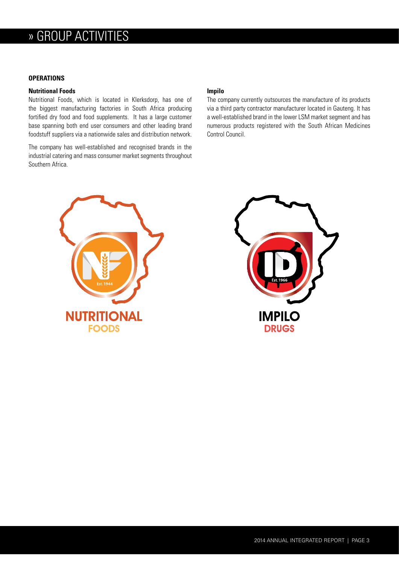## » GROUP ACTIVITIES

## **OPERATIONS**

#### **Nutritional Foods**

Nutritional Foods, which is located in Klerksdorp, has one of the biggest manufacturing factories in South Africa producing fortified dry food and food supplements. It has a large customer base spanning both end user consumers and other leading brand foodstuff suppliers via a nationwide sales and distribution network.

The company has well-established and recognised brands in the industrial catering and mass consumer market segments throughout Southern Africa.

#### **Impilo**

The company currently outsources the manufacture of its products via a third party contractor manufacturer located in Gauteng. It has a well-established brand in the lower LSM market segment and has numerous products registered with the South African Medicines Control Council.



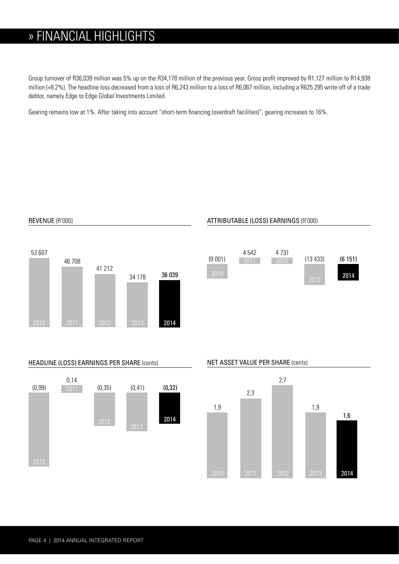## » FINANCIAL HIGHLIGHTS

Group turnover of R36,039 million was 5% up on the R34,178 million of the previous year. Gross profit improved by R1,127 million to R14,938 million (+8.2%). The headline loss decreased from a loss of R6,243 million to a loss of R6,067 million, including a R625 295 write-off of a trade debtor, namely Edge to Edge Global Investments Limited.

Gearing remains low at 1%. After taking into account "short-term financing (overdraft facilities)", gearing increases to 16%.



REVENUE (R'000)

## ATTRIBUTABLE (LOSS) EARNINGS (R'000)



## HEADLINE (LOSS) EARNINGS PER SHARE (cents)



## NET ASSET VALUE PER SHARE (cents)

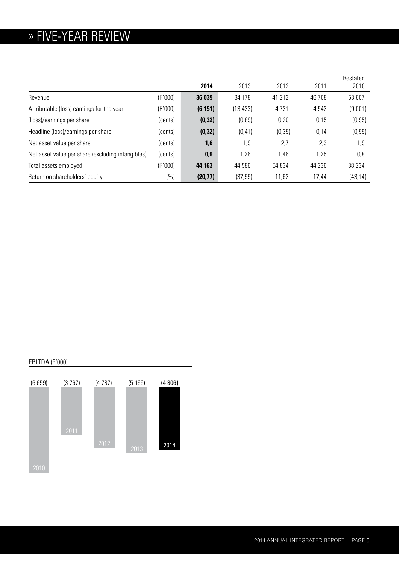## » FIVE-YEAR REVIEW

|                                                   |         | 2014     | 2013     | 2012    | 2011    | Restated<br>2010 |
|---------------------------------------------------|---------|----------|----------|---------|---------|------------------|
| Revenue                                           | (R'000) | 36 039   | 34 178   | 41 212  | 46 708  | 53 607           |
| Attributable (loss) earnings for the year         | (R'000) | (6151)   | (13 433) | 4731    | 4 5 4 2 | (9001)           |
| (Loss)/earnings per share                         | (cents) | (0, 32)  | (0, 89)  | 0,20    | 0,15    | (0, 95)          |
| Headline (loss)/earnings per share                | (cents) | (0, 32)  | (0, 41)  | (0, 35) | 0,14    | (0, 99)          |
| Net asset value per share                         | (cents) | 1,6      | 1,9      | 2,7     | 2,3     | 1,9              |
| Net asset value per share (excluding intangibles) | (cents) | 0,9      | 1,26     | 1,46    | 1,25    | 0,8              |
| Total assets employed                             | (R'000) | 44 163   | 44 586   | 54 834  | 44 236  | 38 234           |
| Return on shareholders' equity                    | (%)     | (20, 77) | (37, 55) | 11,62   | 17,44   | (43, 14)         |

## EBITDA (R'000)

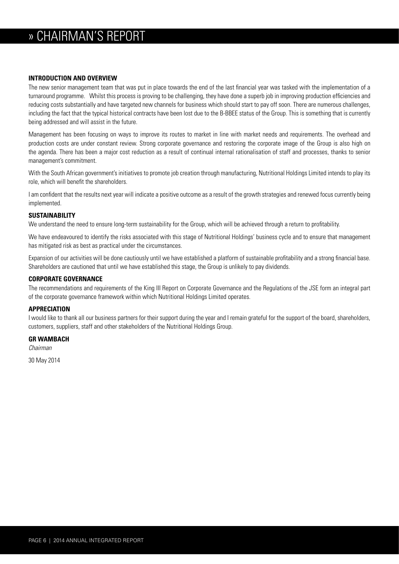## » CHAIRMAN'S REPORT

## **INTRODUCTION AND OVERVIEW**

The new senior management team that was put in place towards the end of the last financial year was tasked with the implementation of a turnaround programme. Whilst this process is proving to be challenging, they have done a superb job in improving production efficiencies and reducing costs substantially and have targeted new channels for business which should start to pay off soon. There are numerous challenges, including the fact that the typical historical contracts have been lost due to the B-BBEE status of the Group. This is something that is currently being addressed and will assist in the future.

Management has been focusing on ways to improve its routes to market in line with market needs and requirements. The overhead and production costs are under constant review. Strong corporate governance and restoring the corporate image of the Group is also high on the agenda. There has been a major cost reduction as a result of continual internal rationalisation of staff and processes, thanks to senior management's commitment.

With the South African government's initiatives to promote job creation through manufacturing. Nutritional Holdings Limited intends to play its role, which will benefit the shareholders.

I am confident that the results next year will indicate a positive outcome as a result of the growth strategies and renewed focus currently being implemented.

## **SUSTAINABILITY**

We understand the need to ensure long-term sustainability for the Group, which will be achieved through a return to profitability.

We have endeavoured to identify the risks associated with this stage of Nutritional Holdings' business cycle and to ensure that management has mitigated risk as best as practical under the circumstances.

Expansion of our activities will be done cautiously until we have established a platform of sustainable profitability and a strong financial base. Shareholders are cautioned that until we have established this stage, the Group is unlikely to pay dividends.

#### **CORPORATE GOVERNANCE**

The recommendations and requirements of the King III Report on Corporate Governance and the Regulations of the JSE form an integral part of the corporate governance framework within which Nutritional Holdings Limited operates.

## **APPRECIATION**

I would like to thank all our business partners for their support during the year and I remain grateful for the support of the board, shareholders, customers, suppliers, staff and other stakeholders of the Nutritional Holdings Group.

#### **GR WAMBACH**

*Chairman*

30 May 2014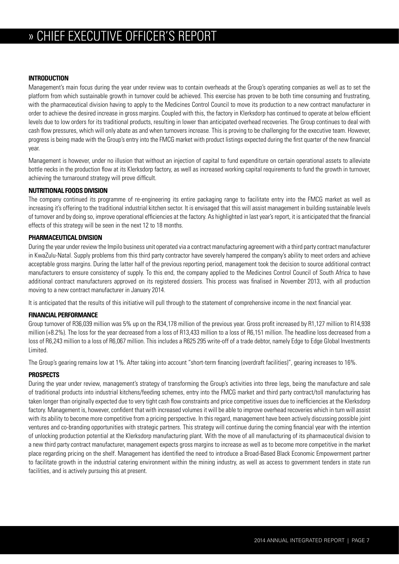## » CHIEF EXECUTIVE OFFICER'S REPORT

## **INTRODUCTION**

Management's main focus during the year under review was to contain overheads at the Group's operating companies as well as to set the platform from which sustainable growth in turnover could be achieved. This exercise has proven to be both time consuming and frustrating, with the pharmaceutical division having to apply to the Medicines Control Council to move its production to a new contract manufacturer in order to achieve the desired increase in gross margins. Coupled with this, the factory in Klerksdorp has continued to operate at below efficient levels due to low orders for its traditional products, resulting in lower than anticipated overhead recoveries. The Group continues to deal with cash flow pressures, which will only abate as and when turnovers increase. This is proving to be challenging for the executive team. However, progress is being made with the Group's entry into the FMCG market with product listings expected during the first quarter of the new financial year.

Management is however, under no illusion that without an injection of capital to fund expenditure on certain operational assets to alleviate bottle necks in the production flow at its Klerksdorp factory, as well as increased working capital requirements to fund the growth in turnover, achieving the turnaround strategy will prove difficult.

## **NUTRITIONAL FOODS DIVISION**

The company continued its programme of re-engineering its entire packaging range to facilitate entry into the FMCG market as well as increasing it's offering to the traditional industrial kitchen sector. It is envisaged that this will assist management in building sustainable levels of turnover and by doing so, improve operational efficiencies at the factory. As highlighted in last year's report, it is anticipated that the financial effects of this strategy will be seen in the next 12 to 18 months.

## **PHARMACEUTICAL DIVISION**

During the year under review the Impilo business unit operated via a contract manufacturing agreement with a third party contract manufacturer in KwaZulu-Natal. Supply problems from this third party contractor have severely hampered the company's ability to meet orders and achieve acceptable gross margins. During the latter half of the previous reporting period, management took the decision to source additional contract manufacturers to ensure consistency of supply. To this end, the company applied to the Medicines Control Council of South Africa to have additional contract manufacturers approved on its registered dossiers. This process was finalised in November 2013, with all production moving to a new contract manufacturer in January 2014.

It is anticipated that the results of this initiative will pull through to the statement of comprehensive income in the next financial year.

## **FINANCIAL PERFORMANCE**

Group turnover of R36,039 million was 5% up on the R34,178 million of the previous year. Gross profit increased by R1,127 million to R14,938 million (+8.2%). The loss for the year decreased from a loss of R13,433 million to a loss of R6,151 million. The headline loss decreased from a loss of R6,243 million to a loss of R6,067 million. This includes a R625 295 write-off of a trade debtor, namely Edge to Edge Global Investments Limited.

The Group's gearing remains low at 1%. After taking into account "short-term financing (overdraft facilities)", gearing increases to 16%.

## **PROSPECTS**

During the year under review, management's strategy of transforming the Group's activities into three legs, being the manufacture and sale of traditional products into industrial kitchens/feeding schemes, entry into the FMCG market and third party contract/toll manufacturing has taken longer than originally expected due to very tight cash flow constraints and price competitive issues due to inefficiencies at the Klerksdorp factory. Management is, however, confident that with increased volumes it will be able to improve overhead recoveries which in turn will assist with its ability to become more competitive from a pricing perspective. In this regard, management have been actively discussing possible joint ventures and co-branding opportunities with strategic partners. This strategy will continue during the coming financial year with the intention of unlocking production potential at the Klerksdorp manufacturing plant. With the move of all manufacturing of its pharmaceutical division to a new third party contract manufacturer, management expects gross margins to increase as well as to become more competitive in the market place regarding pricing on the shelf. Management has identified the need to introduce a Broad-Based Black Economic Empowerment partner to facilitate growth in the industrial catering environment within the mining industry, as well as access to government tenders in state run facilities, and is actively pursuing this at present.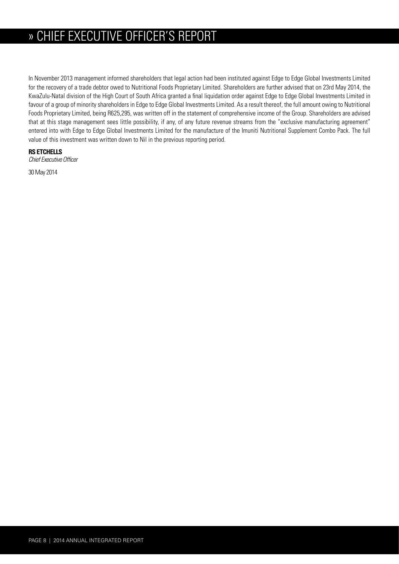## » » CHIEF EXECUTIVE OFFICER'S REPORT

In November 2013 management informed shareholders that legal action had been instituted against Edge to Edge Global Investments Limited for the recovery of a trade debtor owed to Nutritional Foods Proprietary Limited. Shareholders are further advised that on 23rd May 2014, the KwaZulu-Natal division of the High Court of South Africa granted a final liquidation order against Edge to Edge Global Investments Limited in favour of a group of minority shareholders in Edge to Edge Global Investments Limited. As a result thereof, the full amount owing to Nutritional Foods Proprietary Limited, being R625,295, was written off in the statement of comprehensive income of the Group. Shareholders are advised that at this stage management sees little possibility, if any, of any future revenue streams from the "exclusive manufacturing agreement" entered into with Edge to Edge Global Investments Limited for the manufacture of the Imuniti Nutritional Supplement Combo Pack. The full value of this investment was written down to Nil in the previous reporting period.

## **RS ETCHELLS**

*Chief Executive Officer*

30 May 2014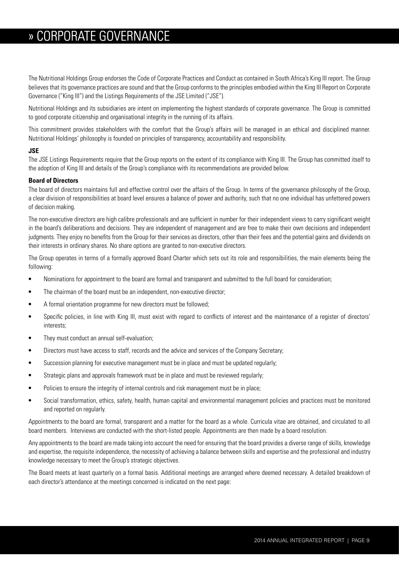## » CORPORATE GOVERNANCE

The Nutritional Holdings Group endorses the Code of Corporate Practices and Conduct as contained in South Africa's King III report. The Group believes that its governance practices are sound and that the Group conforms to the principles embodied within the King III Report on Corporate Governance ("King III") and the Listings Requirements of the JSE Limited ("JSE").

Nutritional Holdings and its subsidiaries are intent on implementing the highest standards of corporate governance. The Group is committed to good corporate citizenship and organisational integrity in the running of its affairs.

This commitment provides stakeholders with the comfort that the Group's affairs will be managed in an ethical and disciplined manner. Nutritional Holdings' philosophy is founded on principles of transparency, accountability and responsibility.

## **JSE**

The JSE Listings Requirements require that the Group reports on the extent of its compliance with King III. The Group has committed itself to the adoption of King III and details of the Group's compliance with its recommendations are provided below.

## **Board of Directors**

The board of directors maintains full and effective control over the affairs of the Group. In terms of the governance philosophy of the Group, a clear division of responsibilities at board level ensures a balance of power and authority, such that no one individual has unfettered powers of decision making.

The non-executive directors are high calibre professionals and are sufficient in number for their independent views to carry significant weight in the board's deliberations and decisions. They are independent of management and are free to make their own decisions and independent judgments. They enjoy no benefits from the Group for their services as directors, other than their fees and the potential gains and dividends on their interests in ordinary shares. No share options are granted to non-executive directors.

The Group operates in terms of a formally approved Board Charter which sets out its role and responsibilities, the main elements being the following:

- Nominations for appointment to the board are formal and transparent and submitted to the full board for consideration;
- **•** The chairman of the board must be an independent, non-executive director;
- **•** A formal orientation programme for new directors must be followed;
- **•** Specific policies, in line with King III, must exist with regard to conflicts of interest and the maintenance of a register of directors' interests;
- **•** They must conduct an annual self-evaluation;
- **•** Directors must have access to staff, records and the advice and services of the Company Secretary;
- **•** Succession planning for executive management must be in place and must be updated regularly;
- **•** Strategic plans and approvals framework must be in place and must be reviewed regularly;
- Policies to ensure the integrity of internal controls and risk management must be in place;
- Social transformation, ethics, safety, health, human capital and environmental management policies and practices must be monitored and reported on regularly.

Appointments to the board are formal, transparent and a matter for the board as a whole. Curricula vitae are obtained, and circulated to all board members. Interviews are conducted with the short-listed people. Appointments are then made by a board resolution.

Any appointments to the board are made taking into account the need for ensuring that the board provides a diverse range of skills, knowledge and expertise, the requisite independence, the necessity of achieving a balance between skills and expertise and the professional and industry knowledge necessary to meet the Group's strategic objectives.

The Board meets at least quarterly on a formal basis. Additional meetings are arranged where deemed necessary. A detailed breakdown of each director's attendance at the meetings concerned is indicated on the next page: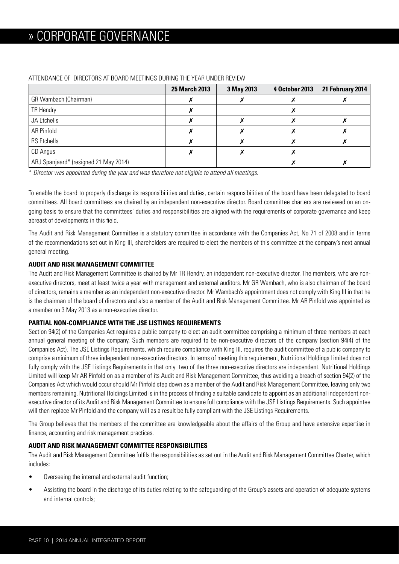|                                       | <b>25 March 2013</b> | 3 May 2013 | 4 October 2013 | 21 February 2014 |
|---------------------------------------|----------------------|------------|----------------|------------------|
| GR Wambach (Chairman)                 |                      |            |                |                  |
| TR Hendry                             |                      |            |                |                  |
| JA Etchells                           |                      |            |                |                  |
| AR Pinfold                            |                      |            |                |                  |
| <b>RS</b> Etchells                    |                      |            |                |                  |
| CD Angus                              |                      |            |                |                  |
| ARJ Spanjaard* (resigned 21 May 2014) |                      |            |                |                  |

## ATTENDANCE OF DIRECTORS AT BOARD MEETINGS DURING THE YEAR UNDER REVIEW

\* *Director was appointed during the year and was therefore not eligible to attend all meetings.*

To enable the board to properly discharge its responsibilities and duties, certain responsibilities of the board have been delegated to board committees. All board committees are chaired by an independent non-executive director. Board committee charters are reviewed on an ongoing basis to ensure that the committees' duties and responsibilities are aligned with the requirements of corporate governance and keep abreast of developments in this field.

The Audit and Risk Management Committee is a statutory committee in accordance with the Companies Act, No 71 of 2008 and in terms of the recommendations set out in King III, shareholders are required to elect the members of this committee at the company's next annual general meeting.

## **AUDIT AND RISK MANAGEMENT COMMITTEE**

The Audit and Risk Management Committee is chaired by Mr TR Hendry, an independent non-executive director. The members, who are nonexecutive directors, meet at least twice a year with management and external auditors. Mr GR Wambach, who is also chairman of the board of directors, remains a member as an independent non-executive director. Mr Wambach's appointment does not comply with King III in that he is the chairman of the board of directors and also a member of the Audit and Risk Management Committee. Mr AR Pinfold was appointed as a member on 3 May 2013 as a non-executive director.

## **PARTIAL NON-COMPLIANCE WITH THE JSE LISTINGS REQUIREMENTS**

Section 94(2) of the Companies Act requires a public company to elect an audit committee comprising a minimum of three members at each annual general meeting of the company. Such members are required to be non-executive directors of the company (section 94(4) of the Companies Act). The JSE Listings Requirements, which require compliance with King III, requires the audit committee of a public company to comprise a minimum of three independent non-executive directors. In terms of meeting this requirement, Nutritional Holdings Limited does not fully comply with the JSE Listings Requirements in that only two of the three non-executive directors are independent. Nutritional Holdings Limited will keep Mr AR Pinfold on as a member of its Audit and Risk Management Committee, thus avoiding a breach of section 94(2) of the Companies Act which would occur should Mr Pinfold step down as a member of the Audit and Risk Management Committee, leaving only two members remaining. Nutritional Holdings Limited is in the process of finding a suitable candidate to appoint as an additional independent nonexecutive director of its Audit and Risk Management Committee to ensure full compliance with the JSE Listings Requirements. Such appointee will then replace Mr Pinfold and the company will as a result be fully compliant with the JSE Listings Requirements.

The Group believes that the members of the committee are knowledgeable about the affairs of the Group and have extensive expertise in finance, accounting and risk management practices.

## **AUDIT AND RISK MANAGEMENT COMMITTEE RESPONSIBILITIES**

The Audit and Risk Management Committee fulfils the responsibilities as set out in the Audit and Risk Management Committee Charter, which includes:

- Overseeing the internal and external audit function;
- Assisting the board in the discharge of its duties relating to the safeguarding of the Group's assets and operation of adequate systems and internal controls;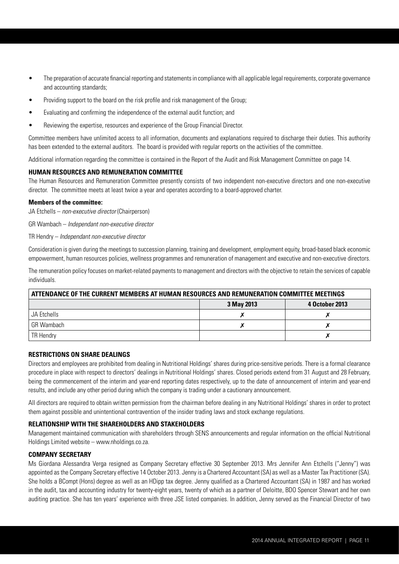- The preparation of accurate financial reporting and statements in compliance with all applicable legal requirements, corporate governance and accounting standards;
- Providing support to the board on the risk profile and risk management of the Group;
- Evaluating and confirming the independence of the external audit function; and
- Reviewing the expertise, resources and experience of the Group Financial Director.

Committee members have unlimited access to all information, documents and explanations required to discharge their duties. This authority has been extended to the external auditors. The board is provided with regular reports on the activities of the committee.

Additional information regarding the committee is contained in the Report of the Audit and Risk Management Committee on page 14.

## **HUMAN RESOURCES AND REMUNERATION COMMITTEE**

The Human Resources and Remuneration Committee presently consists of two independent non-executive directors and one non-executive director. The committee meets at least twice a year and operates according to a board-approved charter.

## **Members of the committee:**

JA Etchells – *non-executive director* (Chairperson)

GR Wambach – *Independant non-executive director*

TR Hendry – *Independant non-executive director* 

Consideration is given during the meetings to succession planning, training and development, employment equity, broad-based black economic empowerment, human resources policies, wellness programmes and remuneration of management and executive and non-executive directors.

The remuneration policy focuses on market-related payments to management and directors with the objective to retain the services of capable individuals.

| ATTENDANCE OF THE CURRENT MEMBERS AT HUMAN RESOURCES AND REMUNERATION COMMITTEE MEETINGS |            |                |  |  |
|------------------------------------------------------------------------------------------|------------|----------------|--|--|
|                                                                                          | 3 May 2013 | 4 October 2013 |  |  |
| JA Etchells                                                                              |            |                |  |  |
| GR Wambach                                                                               |            |                |  |  |
| <b>TR Hendry</b>                                                                         |            |                |  |  |

## **RESTRICTIONS ON SHARE DEALINGS**

Directors and employees are prohibited from dealing in Nutritional Holdings' shares during price-sensitive periods. There is a formal clearance procedure in place with respect to directors' dealings in Nutritional Holdings' shares. Closed periods extend from 31 August and 28 February, being the commencement of the interim and year-end reporting dates respectively, up to the date of announcement of interim and year-end results, and include any other period during which the company is trading under a cautionary announcement.

All directors are required to obtain written permission from the chairman before dealing in any Nutritional Holdings' shares in order to protect them against possible and unintentional contravention of the insider trading laws and stock exchange regulations.

## **RELATIONSHIP WITH THE SHAREHOLDERS AND STAKEHOLDERS**

Management maintained communication with shareholders through SENS announcements and regular information on the official Nutritional Holdings Limited website – www.nholdings.co.za.

## **COMPANY SECRETARY**

Ms Giordana Alessandra Verga resigned as Company Secretary effective 30 September 2013. Mrs Jennifer Ann Etchells ("Jenny") was appointed as the Company Secretary effective 14 October 2013. Jenny is a Chartered Accountant (SA) as well as a Master Tax Practitioner (SA). She holds a BCompt (Hons) degree as well as an HDipp tax degree. Jenny qualified as a Chartered Accountant (SA) in 1987 and has worked in the audit, tax and accounting industry for twenty-eight years, twenty of which as a partner of Deloitte, BDO Spencer Stewart and her own auditing practice. She has ten years' experience with three JSE listed companies. In addition, Jenny served as the Financial Director of two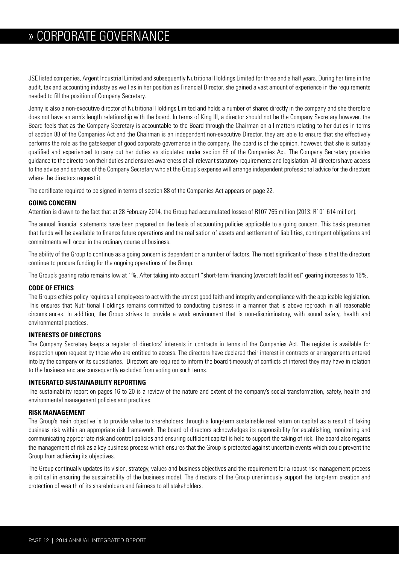## » CORPORATE GOVERNANCE

JSE listed companies, Argent Industrial Limited and subsequently Nutritional Holdings Limited for three and a half years. During her time in the audit, tax and accounting industry as well as in her position as Financial Director, she gained a vast amount of experience in the requirements needed to fill the position of Company Secretary.

Jenny is also a non-executive director of Nutritional Holdings Limited and holds a number of shares directly in the company and she therefore does not have an arm's length relationship with the board. In terms of King III, a director should not be the Company Secretary however, the Board feels that as the Company Secretary is accountable to the Board through the Chairman on all matters relating to her duties in terms of section 88 of the Companies Act and the Chairman is an independent non-executive Director, they are able to ensure that she effectively performs the role as the gatekeeper of good corporate governance in the company. The board is of the opinion, however, that she is suitably qualified and experienced to carry out her duties as stipulated under section 88 of the Companies Act. The Company Secretary provides guidance to the directors on their duties and ensures awareness of all relevant statutory requirements and legislation. All directors have access to the advice and services of the Company Secretary who at the Group's expense will arrange independent professional advice for the directors where the directors request it.

The certificate required to be signed in terms of section 88 of the Companies Act appears on page 22.

## **GOING CONCERN**

Attention is drawn to the fact that at 28 February 2014, the Group had accumulated losses of R107 765 million (2013: R101 614 million).

The annual financial statements have been prepared on the basis of accounting policies applicable to a going concern. This basis presumes that funds will be available to finance future operations and the realisation of assets and settlement of liabilities, contingent obligations and commitments will occur in the ordinary course of business.

The ability of the Group to continue as a going concern is dependent on a number of factors. The most significant of these is that the directors continue to procure funding for the ongoing operations of the Group.

The Group's gearing ratio remains low at 1%. After taking into account "short-term financing (overdraft facilities)" gearing increases to 16%.

## **CODE OF ETHICS**

The Group's ethics policy requires all employees to act with the utmost good faith and integrity and compliance with the applicable legislation. This ensures that Nutritional Holdings remains committed to conducting business in a manner that is above reproach in all reasonable circumstances. In addition, the Group strives to provide a work environment that is non-discriminatory, with sound safety, health and environmental practices.

## **INTERESTS OF DIRECTORS**

The Company Secretary keeps a register of directors' interests in contracts in terms of the Companies Act. The register is available for inspection upon request by those who are entitled to access. The directors have declared their interest in contracts or arrangements entered into by the company or its subsidiaries. Directors are required to inform the board timeously of conflicts of interest they may have in relation to the business and are consequently excluded from voting on such terms.

## **INTEGRATED SUSTAINABILITY REPORTING**

The sustainability report on pages 16 to 20 is a review of the nature and extent of the company's social transformation, safety, health and environmental management policies and practices.

## **RISK MANAGEMENT**

The Group's main objective is to provide value to shareholders through a long-term sustainable real return on capital as a result of taking business risk within an appropriate risk framework. The board of directors acknowledges its responsibility for establishing, monitoring and communicating appropriate risk and control policies and ensuring sufficient capital is held to support the taking of risk. The board also regards the management of risk as a key business process which ensures that the Group is protected against uncertain events which could prevent the Group from achieving its objectives.

The Group continually updates its vision, strategy, values and business objectives and the requirement for a robust risk management process is critical in ensuring the sustainability of the business model. The directors of the Group unanimously support the long-term creation and protection of wealth of its shareholders and fairness to all stakeholders.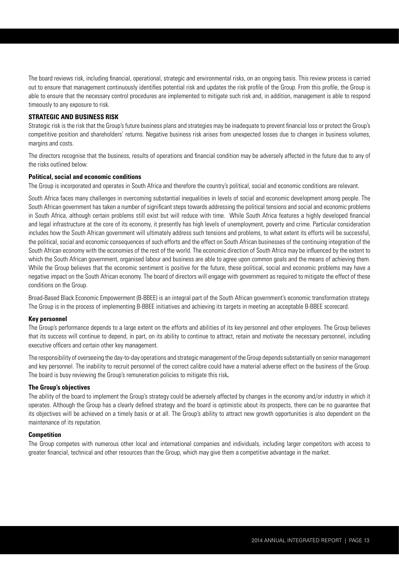The board reviews risk, including financial, operational, strategic and environmental risks, on an ongoing basis. This review process is carried out to ensure that management continuously identifies potential risk and updates the risk profile of the Group. From this profile, the Group is able to ensure that the necessary control procedures are implemented to mitigate such risk and, in addition, management is able to respond timeously to any exposure to risk.

## **STRATEGIC AND BUSINESS RISK**

Strategic risk is the risk that the Group's future business plans and strategies may be inadequate to prevent financial loss or protect the Group's competitive position and shareholders' returns. Negative business risk arises from unexpected losses due to changes in business volumes, margins and costs.

The directors recognise that the business, results of operations and financial condition may be adversely affected in the future due to any of the risks outlined below.

#### **Political, social and economic conditions**

The Group is incorporated and operates in South Africa and therefore the country's political, social and economic conditions are relevant.

South Africa faces many challenges in overcoming substantial inequalities in levels of social and economic development among people. The South African government has taken a number of significant steps towards addressing the political tensions and social and economic problems in South Africa, although certain problems still exist but will reduce with time. While South Africa features a highly developed financial and legal infrastructure at the core of its economy, it presently has high levels of unemployment, poverty and crime. Particular consideration includes how the South African government will ultimately address such tensions and problems, to what extent its efforts will be successful, the political, social and economic consequences of such efforts and the effect on South African businesses of the continuing integration of the South African economy with the economies of the rest of the world. The economic direction of South Africa may be influenced by the extent to which the South African government, organised labour and business are able to agree upon common goals and the means of achieving them. While the Group believes that the economic sentiment is positive for the future, these political, social and economic problems may have a negative impact on the South African economy. The board of directors will engage with government as required to mitigate the effect of these conditions on the Group.

Broad-Based Black Economic Empowerment (B-BBEE) is an integral part of the South African government's economic transformation strategy. The Group is in the process of implementing B-BBEE initiatives and achieving its targets in meeting an acceptable B-BBEE scorecard.

#### **Key personnel**

The Group's performance depends to a large extent on the efforts and abilities of its key personnel and other employees. The Group believes that its success will continue to depend, in part, on its ability to continue to attract, retain and motivate the necessary personnel, including executive officers and certain other key management.

The responsibility of overseeing the day-to-day operations and strategic management of the Group depends substantially on senior management and key personnel. The inability to recruit personnel of the correct calibre could have a material adverse effect on the business of the Group. The board is busy reviewing the Group's remuneration policies to mitigate this risk**.**

#### **The Group's objectives**

The ability of the board to implement the Group's strategy could be adversely affected by changes in the economy and/or industry in which it operates. Although the Group has a clearly defined strategy and the board is optimistic about its prospects, there can be no guarantee that its objectives will be achieved on a timely basis or at all. The Group's ability to attract new growth opportunities is also dependent on the maintenance of its reputation.

#### **Competition**

The Group competes with numerous other local and international companies and individuals, including larger competitors with access to greater financial, technical and other resources than the Group, which may give them a competitive advantage in the market.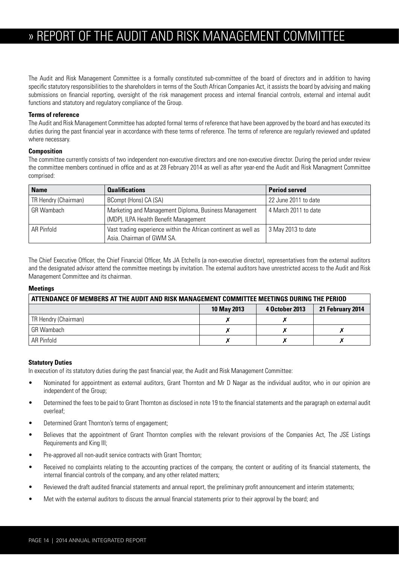## » REPORT OF THE AUDIT AND RISK MANAGEMENT COMMITTEE

The Audit and Risk Management Committee is a formally constituted sub-committee of the board of directors and in addition to having specific statutory responsibilities to the shareholders in terms of the South African Companies Act, it assists the board by advising and making submissions on financial reporting, oversight of the risk management process and internal financial controls, external and internal audit functions and statutory and regulatory compliance of the Group.

## **Terms of reference**

The Audit and Risk Management Committee has adopted formal terms of reference that have been approved by the board and has executed its duties during the past financial year in accordance with these terms of reference. The terms of reference are regularly reviewed and updated where necessary.

## **Composition**

The committee currently consists of two independent non-executive directors and one non-executive director. During the period under review the committee members continued in office and as at 28 February 2014 as well as after year-end the Audit and Risk Managment Committee comprised:

| <b>Name</b>          | <b>Qualifications</b>                                                                          | <b>Period served</b> |
|----------------------|------------------------------------------------------------------------------------------------|----------------------|
| TR Hendry (Chairman) | BCompt (Hons) CA (SA)                                                                          | 22 June 2011 to date |
| <b>GR Wambach</b>    | Marketing and Management Diploma, Business Management<br>(MDP), ILPA Health Benefit Management | 4 March 2011 to date |
| AR Pinfold           | Vast trading experience within the African continent as well as<br>Asia. Chairman of GWM SA.   | 3 May 2013 to date   |

The Chief Executive Officer, the Chief Financial Officer, Ms JA Etchells (a non-executive director), representatives from the external auditors and the designated advisor attend the committee meetings by invitation. The external auditors have unrestricted access to the Audit and Risk Management Committee and its chairman.

## **Meetings**

| ATTENDANCE OF MEMBERS AT THE AUDIT AND RISK MANAGEMENT COMMITTEE MEETINGS DURING THE PERIOD |             |                |                  |  |  |
|---------------------------------------------------------------------------------------------|-------------|----------------|------------------|--|--|
|                                                                                             | 10 May 2013 | 4 October 2013 | 21 February 2014 |  |  |
| TR Hendry (Chairman)                                                                        |             |                |                  |  |  |
| GR Wambach                                                                                  |             |                |                  |  |  |
| AR Pinfold                                                                                  |             |                |                  |  |  |

## **Statutory Duties**

In execution of its statutory duties during the past financial year, the Audit and Risk Management Committee:

- Nominated for appointment as external auditors, Grant Thornton and Mr D Nagar as the individual auditor, who in our opinion are independent of the Group;
- Determined the fees to be paid to Grant Thornton as disclosed in note 19 to the financial statements and the paragraph on external audit overleaf;
- Determined Grant Thornton's terms of engagement;
- Believes that the appointment of Grant Thornton complies with the relevant provisions of the Companies Act, The JSE Listings Requirements and King III;
- Pre-approved all non-audit service contracts with Grant Thornton;
- Received no complaints relating to the accounting practices of the company, the content or auditing of its financial statements, the internal financial controls of the company, and any other related matters;
- Reviewed the draft audited financial statements and annual report, the preliminary profit announcement and interim statements;
- Met with the external auditors to discuss the annual financial statements prior to their approval by the board; and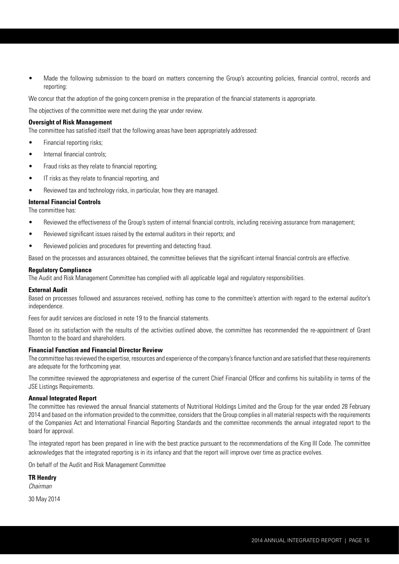• Made the following submission to the board on matters concerning the Group's accounting policies, financial control, records and reporting:

We concur that the adoption of the going concern premise in the preparation of the financial statements is appropriate.

The objectives of the committee were met during the year under review.

## **Oversight of Risk Management**

The committee has satisfied itself that the following areas have been appropriately addressed:

- Financial reporting risks;
- Internal financial controls:
- Fraud risks as they relate to financial reporting;
- IT risks as they relate to financial reporting, and
- Reviewed tax and technology risks, in particular, how they are managed.

## **Internal Financial Controls**

The committee has:

- Reviewed the effectiveness of the Group's system of internal financial controls, including receiving assurance from management;
- Reviewed significant issues raised by the external auditors in their reports; and
- Reviewed policies and procedures for preventing and detecting fraud.

Based on the processes and assurances obtained, the committee believes that the significant internal financial controls are effective.

## **Regulatory Compliance**

The Audit and Risk Management Committee has complied with all applicable legal and regulatory responsibilities.

## **External Audit**

Based on processes followed and assurances received, nothing has come to the committee's attention with regard to the external auditor's independence.

Fees for audit services are disclosed in note 19 to the financial statements.

Based on its satisfaction with the results of the activities outlined above, the committee has recommended the re-appointment of Grant Thornton to the board and shareholders.

## **Financial Function and Financial Director Review**

The committee has reviewed the expertise, resources and experience of the company's finance function and are satisfied that these requirements are adequate for the forthcoming year.

The committee reviewed the appropriateness and expertise of the current Chief Financial Officer and confirms his suitability in terms of the JSE Listings Requirements.

## **Annual Integrated Report**

The committee has reviewed the annual financial statements of Nutritional Holdings Limited and the Group for the year ended 28 February 2014 and based on the information provided to the committee, considers that the Group complies in all material respects with the requirements of the Companies Act and International Financial Reporting Standards and the committee recommends the annual integrated report to the board for approval.

The integrated report has been prepared in line with the best practice pursuant to the recommendations of the King III Code. The committee acknowledges that the integrated reporting is in its infancy and that the report will improve over time as practice evolves.

On behalf of the Audit and Risk Management Committee

**TR Hendry**

*Chairman* 

30 May 2014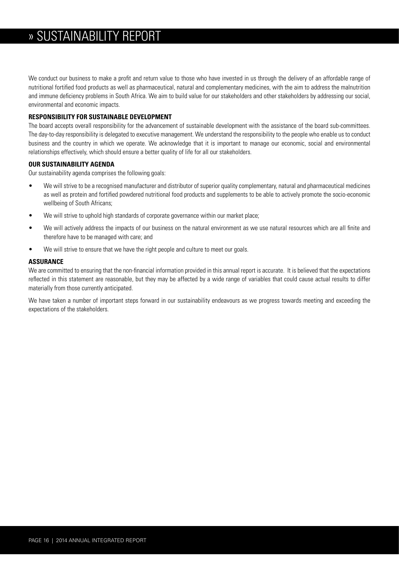We conduct our business to make a profit and return value to those who have invested in us through the delivery of an affordable range of nutritional fortified food products as well as pharmaceutical, natural and complementary medicines, with the aim to address the malnutrition and immune deficiency problems in South Africa. We aim to build value for our stakeholders and other stakeholders by addressing our social, environmental and economic impacts.

## **RESPONSIBILITY FOR SUSTAINABLE DEVELOPMENT**

The board accepts overall responsibility for the advancement of sustainable development with the assistance of the board sub-committees. The day-to-day responsibility is delegated to executive management. We understand the responsibility to the people who enable us to conduct business and the country in which we operate. We acknowledge that it is important to manage our economic, social and environmental relationships effectively, which should ensure a better quality of life for all our stakeholders.

## **OUR SUSTAINABILITY AGENDA**

Our sustainability agenda comprises the following goals:

- We will strive to be a recognised manufacturer and distributor of superior quality complementary, natural and pharmaceutical medicines as well as protein and fortified powdered nutritional food products and supplements to be able to actively promote the socio-economic wellbeing of South Africans;
- We will strive to uphold high standards of corporate governance within our market place;
- We will actively address the impacts of our business on the natural environment as we use natural resources which are all finite and therefore have to be managed with care; and
- We will strive to ensure that we have the right people and culture to meet our goals.

## **ASSURANCE**

We are committed to ensuring that the non-financial information provided in this annual report is accurate. It is believed that the expectations reflected in this statement are reasonable, but they may be affected by a wide range of variables that could cause actual results to differ materially from those currently anticipated.

We have taken a number of important steps forward in our sustainability endeavours as we progress towards meeting and exceeding the expectations of the stakeholders.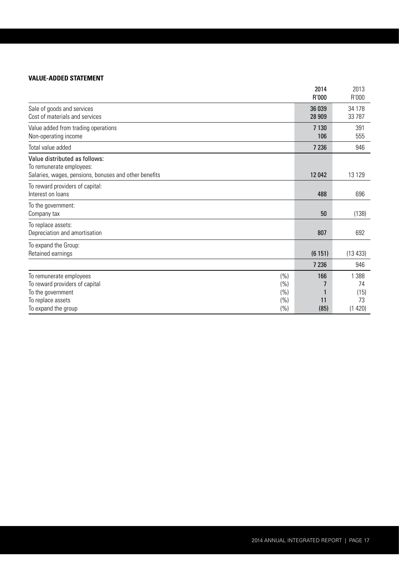## **VALUE-ADDED STATEMENT**

|                                                              |      | 2014<br>R'000    | 2013<br>R'000    |
|--------------------------------------------------------------|------|------------------|------------------|
| Sale of goods and services<br>Cost of materials and services |      | 36 039<br>28 909 | 34 178<br>33 787 |
| Value added from trading operations<br>Non-operating income  |      | 7 1 3 0<br>106   | 391<br>555       |
| Total value added                                            |      | 7 2 3 6          | 946              |
| Value distributed as follows:<br>To remunerate employees:    |      |                  |                  |
| Salaries, wages, pensions, bonuses and other benefits        |      | 12042            | 13 129           |
| To reward providers of capital:<br>Interest on loans         |      | 488              | 696              |
| To the government:<br>Company tax                            |      | 50               | (138)            |
| To replace assets:<br>Depreciation and amortisation          |      | 807              | 692              |
| To expand the Group:<br>Retained earnings                    |      | (6151)           | (13 433)         |
|                                                              |      | 7 2 3 6          | 946              |
| To remunerate employees                                      | (%)  | 166              | 1 3 8 8          |
| To reward providers of capital                               | (%)  |                  | 74               |
| To the government                                            | (%)  |                  | (15)             |
| To replace assets                                            | (%)  | 11               | 73               |
| To expand the group                                          | (% ) | (85)             | (1420)           |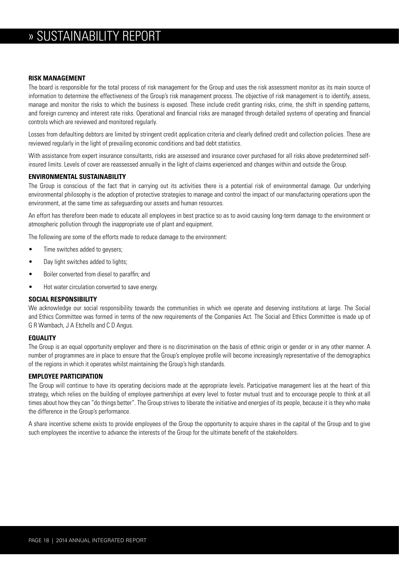## **RISK MANAGEMENT**

The board is responsible for the total process of risk management for the Group and uses the risk assessment monitor as its main source of information to determine the effectiveness of the Group's risk management process. The objective of risk management is to identify, assess, manage and monitor the risks to which the business is exposed. These include credit granting risks, crime, the shift in spending patterns, and foreign currency and interest rate risks. Operational and financial risks are managed through detailed systems of operating and financial controls which are reviewed and monitored regularly.

Losses from defaulting debtors are limited by stringent credit application criteria and clearly defined credit and collection policies. These are reviewed regularly in the light of prevailing economic conditions and bad debt statistics.

With assistance from expert insurance consultants, risks are assessed and insurance cover purchased for all risks above predetermined selfinsured limits. Levels of cover are reassessed annually in the light of claims experienced and changes within and outside the Group.

## **ENVIRONMENTAL SUSTAINABILITY**

The Group is conscious of the fact that in carrying out its activities there is a potential risk of environmental damage. Our underlying environmental philosophy is the adoption of protective strategies to manage and control the impact of our manufacturing operations upon the environment, at the same time as safeguarding our assets and human resources.

An effort has therefore been made to educate all employees in best practice so as to avoid causing long-term damage to the environment or atmospheric pollution through the inappropriate use of plant and equipment.

The following are some of the efforts made to reduce damage to the environment:

- Time switches added to geysers;
- Day light switches added to lights;
- Boiler converted from diesel to paraffin; and
- Hot water circulation converted to save energy.

#### **SOCIAL RESPONSIBILITY**

We acknowledge our social responsibility towards the communities in which we operate and deserving institutions at large. The Social and Ethics Committee was formed in terms of the new requirements of the Companies Act. The Social and Ethics Committee is made up of G R Wambach, J A Etchells and C D Angus.

#### **EQUALITY**

The Group is an equal opportunity employer and there is no discrimination on the basis of ethnic origin or gender or in any other manner. A number of programmes are in place to ensure that the Group's employee profile will become increasingly representative of the demographics of the regions in which it operates whilst maintaining the Group's high standards.

## **EMPLOYEE PARTICIPATION**

The Group will continue to have its operating decisions made at the appropriate levels. Participative management lies at the heart of this strategy, which relies on the building of employee partnerships at every level to foster mutual trust and to encourage people to think at all times about how they can "do things better". The Group strives to liberate the initiative and energies of its people, because it is they who make the difference in the Group's performance.

A share incentive scheme exists to provide employees of the Group the opportunity to acquire shares in the capital of the Group and to give such employees the incentive to advance the interests of the Group for the ultimate benefit of the stakeholders.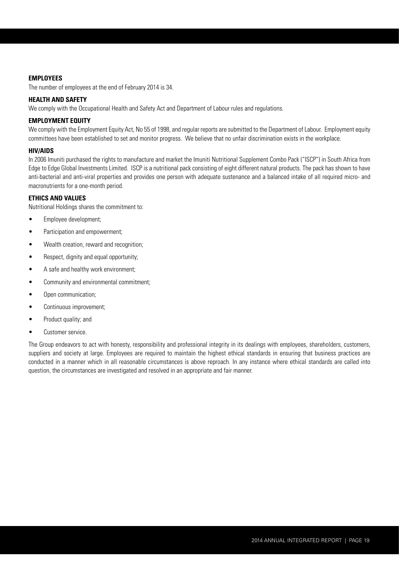## **EMPLOYEES**

The number of employees at the end of February 2014 is 34.

## **HEALTH AND SAFETY**

We comply with the Occupational Health and Safety Act and Department of Labour rules and regulations.

## **EMPLOYMENT EQUITY**

We comply with the Employment Equity Act, No 55 of 1998, and regular reports are submitted to the Department of Labour. Employment equity committees have been established to set and monitor progress. We believe that no unfair discrimination exists in the workplace.

## **HIV/AIDS**

In 2006 Imuniti purchased the rights to manufacture and market the Imuniti Nutritional Supplement Combo Pack ("ISCP") in South Africa from Edge to Edge Global Investments Limited. ISCP is a nutritional pack consisting of eight different natural products. The pack has shown to have anti-bacterial and anti-viral properties and provides one person with adequate sustenance and a balanced intake of all required micro- and macronutrients for a one-month period.

## **ETHICS AND VALUES**

Nutritional Holdings shares the commitment to:

- Employee development;
- Participation and empowerment:
- Wealth creation, reward and recognition:
- Respect, dignity and equal opportunity;
- A safe and healthy work environment;
- Community and environmental commitment;
- Open communication;
- Continuous improvement;
- Product quality; and
- Customer service.

The Group endeavors to act with honesty, responsibility and professional integrity in its dealings with employees, shareholders, customers, suppliers and society at large. Employees are required to maintain the highest ethical standards in ensuring that business practices are conducted in a manner which in all reasonable circumstances is above reproach. In any instance where ethical standards are called into question, the circumstances are investigated and resolved in an appropriate and fair manner.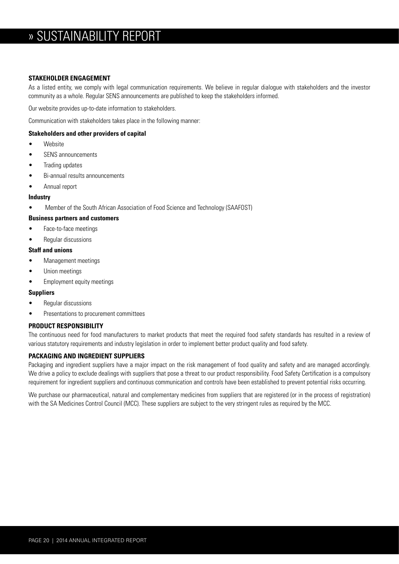## **STAKEHOLDER ENGAGEMENT**

As a listed entity, we comply with legal communication requirements. We believe in regular dialogue with stakeholders and the investor community as a whole. Regular SENS announcements are published to keep the stakeholders informed.

Our website provides up-to-date information to stakeholders.

Communication with stakeholders takes place in the following manner:

## **Stakeholders and other providers of capital**

- Website
- SENS announcements
- Trading updates
- Bi-annual results announcements
- Annual report

## **Industry**

• Member of the South African Association of Food Science and Technology (SAAFOST)

## **Business partners and customers**

- Face-to-face meetings
- Regular discussions

## **Staff and unions**

- Management meetings
- Union meetings
- Employment equity meetings

## **Suppliers**

- Regular discussions
- Presentations to procurement committees

## **PRODUCT RESPONSIBILITY**

The continuous need for food manufacturers to market products that meet the required food safety standards has resulted in a review of various statutory requirements and industry legislation in order to implement better product quality and food safety.

## **PACKAGING AND INGREDIENT SUPPLIERS**

Packaging and ingredient suppliers have a major impact on the risk management of food quality and safety and are managed accordingly. We drive a policy to exclude dealings with suppliers that pose a threat to our product responsibility. Food Safety Certification is a compulsory requirement for ingredient suppliers and continuous communication and controls have been established to prevent potential risks occurring.

We purchase our pharmaceutical, natural and complementary medicines from suppliers that are registered (or in the process of registration) with the SA Medicines Control Council (MCC). These suppliers are subject to the very stringent rules as required by the MCC.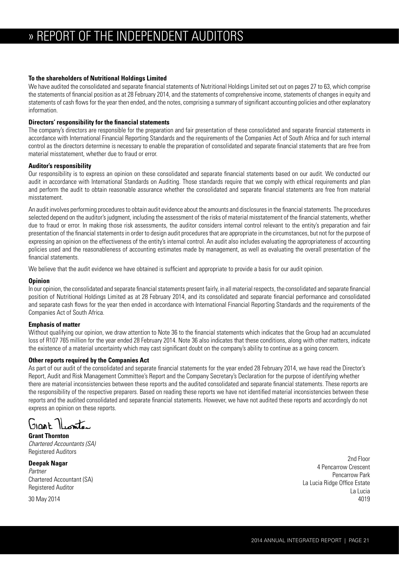## **To the shareholders of Nutritional Holdings Limited**

We have audited the consolidated and separate financial statements of Nutritional Holdings Limited set out on pages 27 to 63, which comprise the statements of financial position as at 28 February 2014, and the statements of comprehensive income, statements of changes in equity and statements of cash flows for the year then ended, and the notes, comprising a summary of significant accounting policies and other explanatory information.

## **Directors' responsibility for the financial statements**

The company's directors are responsible for the preparation and fair presentation of these consolidated and separate financial statements in accordance with International Financial Reporting Standards and the requirements of the Companies Act of South Africa and for such internal control as the directors determine is necessary to enable the preparation of consolidated and separate financial statements that are free from material misstatement, whether due to fraud or error.

## **Auditor's responsibility**

Our responsibility is to express an opinion on these consolidated and separate financial statements based on our audit. We conducted our audit in accordance with International Standards on Auditing. Those standards require that we comply with ethical requirements and plan and perform the audit to obtain reasonable assurance whether the consolidated and separate financial statements are free from material misstatement.

An audit involves performing procedures to obtain audit evidence about the amounts and disclosures in the financial statements. The procedures selected depend on the auditor's judgment, including the assessment of the risks of material misstatement of the financial statements, whether due to fraud or error. In making those risk assessments, the auditor considers internal control relevant to the entity's preparation and fair presentation of the financial statements in order to design audit procedures that are appropriate in the circumstances, but not for the purpose of expressing an opinion on the effectiveness of the entity's internal control. An audit also includes evaluating the appropriateness of accounting policies used and the reasonableness of accounting estimates made by management, as well as evaluating the overall presentation of the financial statements.

We believe that the audit evidence we have obtained is sufficient and appropriate to provide a basis for our audit opinion.

#### **Opinion**

In our opinion, the consolidated and separate financial statements present fairly, in all material respects, the consolidated and separate financial position of Nutritional Holdings Limited as at 28 February 2014, and its consolidated and separate financial performance and consolidated and separate cash flows for the year then ended in accordance with International Financial Reporting Standards and the requirements of the Companies Act of South Africa.

## **Emphasis of matter**

Without qualifying our opinion, we draw attention to Note 36 to the financial statements which indicates that the Group had an accumulated loss of R107 765 million for the year ended 28 February 2014. Note 36 also indicates that these conditions, along with other matters, indicate the existence of a material uncertainty which may cast significant doubt on the company's ability to continue as a going concern.

## **Other reports required by the Companies Act**

As part of our audit of the consolidated and separate financial statements for the year ended 28 February 2014, we have read the Director's Report, Audit and Risk Management Committee's Report and the Company Secretary's Declaration for the purpose of identifying whether there are material inconsistencies between these reports and the audited consolidated and separate financial statements. These reports are the responsibility of the respective preparers. Based on reading these reports we have not identified material inconsistencies between these reports and the audited consolidated and separate financial statements. However, we have not audited these reports and accordingly do not express an opinion on these reports.

Glast Niomter

**Grant Thornton** *Chartered Accountants (SA)* Registered Auditors

**Deepak Nagar** *Partner* Chartered Accountant (SA) Registered Auditor

2nd Floor 4 Pencarrow Crescent Pencarrow Park La Lucia Ridge Office Estate La Lucia 4019

30 May 2014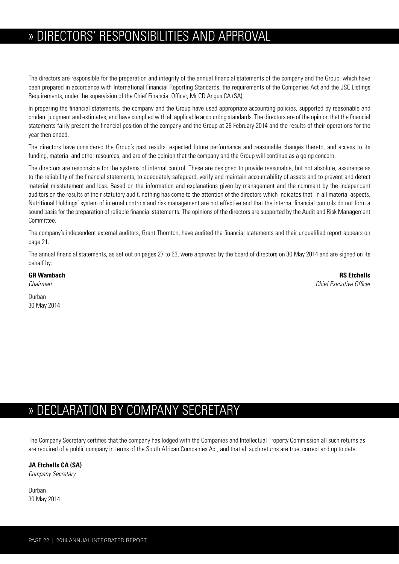## » DIRECTORS' RESPONSIBILITIES AND APPROVAL

The directors are responsible for the preparation and integrity of the annual financial statements of the company and the Group, which have been prepared in accordance with International Financial Reporting Standards, the requirements of the Companies Act and the JSE Listings Requirements, under the supervision of the Chief Financial Officer, Mr CD Angus CA (SA).

In preparing the financial statements, the company and the Group have used appropriate accounting policies, supported by reasonable and prudent judgment and estimates, and have complied with all applicable accounting standards. The directors are of the opinion that the financial statements fairly present the financial position of the company and the Group at 28 February 2014 and the results of their operations for the year then ended.

The directors have considered the Group's past results, expected future performance and reasonable changes thereto, and access to its funding, material and other resources, and are of the opinion that the company and the Group will continue as a going concern.

The directors are responsible for the systems of internal control. These are designed to provide reasonable, but not absolute, assurance as to the reliability of the financial statements, to adequately safeguard, verify and maintain accountability of assets and to prevent and detect material misstatement and loss. Based on the information and explanations given by management and the comment by the independent auditors on the results of their statutory audit, nothing has come to the attention of the directors which indicates that, in all material aspects, Nutritional Holdings' system of internal controls and risk management are not effective and that the internal financial controls do not form a sound basis for the preparation of reliable financial statements. The opinions of the directors are supported by the Audit and Risk Management Committee.

The company's independent external auditors, Grant Thornton, have audited the financial statements and their unqualified report appears on page 21.

The annual financial statements, as set out on pages 27 to 63, were approved by the board of directors on 30 May 2014 and are signed on its behalf by:

**GR Wambach RS Etchells** *Chairman Chief Executive Officer*

Durban 30 May 2014

## » DECLARATION BY COMPANY SECRETARY

The Company Secretary certifies that the company has lodged with the Companies and Intellectual Property Commission all such returns as are required of a public company in terms of the South African Companies Act, and that all such returns are true, correct and up to date.

## **JA Etchells CA (SA)**

*Company Secretary*

Durban 30 May 2014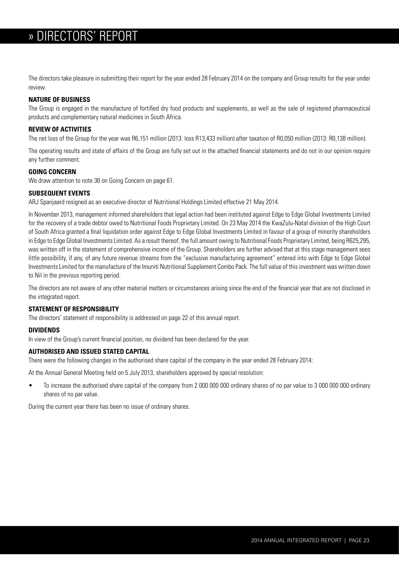## » » DIRECTORS' REPORT

The directors take pleasure in submitting their report for the year ended 28 February 2014 on the company and Group results for the year under review.

## **NATURE OF BUSINESS**

The Group is engaged in the manufacture of fortified dry food products and supplements, as well as the sale of registered pharmaceutical products and complementary natural medicines in South Africa.

## **REVIEW OF ACTIVITIES**

The net loss of the Group for the year was R6,151 million (2013: loss R13,433 million) after taxation of R0,050 million (2013: R0,138 million).

The operating results and state of affairs of the Group are fully set out in the attached financial statements and do not in our opinion require any further comment.

## **GOING CONCERN**

We draw attention to note 36 on Going Concern on page 61.

## **SUBSEQUENT EVENTS**

ARJ Spanjaard resigned as an executive director of Nutritional Holdings Limited effective 21 May 2014.

In November 2013, management informed shareholders that legal action had been instituted against Edge to Edge Global Investments Limited for the recovery of a trade debtor owed to Nutritional Foods Proprietary Limited. On 23 May 2014 the KwaZulu-Natal division of the High Court of South Africa granted a final liquidation order against Edge to Edge Global Investments Limited in favour of a group of minority shareholders in Edge to Edge Global Investments Limited. As a result thereof, the full amount owing to Nutritional Foods Proprietary Limited, being R625,295, was written off in the statement of comprehensive income of the Group. Shareholders are further advised that at this stage management sees little possibility, if any, of any future revenue streams from the "exclusive manufacturing agreement" entered into with Edge to Edge Global Investments Limited for the manufacture of the Imuniti Nutritional Supplement Combo Pack. The full value of this investment was written down to Nil in the previous reporting period.

The directors are not aware of any other material matters or circumstances arising since the end of the financial year that are not disclosed in the integrated report.

## **STATEMENT OF RESPONSIBILITY**

The directors' statement of responsibility is addressed on page 22 of this annual report.

## **DIVIDENDS**

In view of the Group's current financial position, no dividend has been declared for the year.

## **AUTHORISED AND ISSUED STATED CAPITAL**

There were the following changes in the authorised share capital of the company in the year ended 28 February 2014:

At the Annual General Meeting held on 5 July 2013, shareholders approved by special resolution:

• To increase the authorised share capital of the company from 2 000 000 000 ordinary shares of no par value to 3 000 000 000 ordinary shares of no par value.

During the current year there has been no issue of ordinary shares.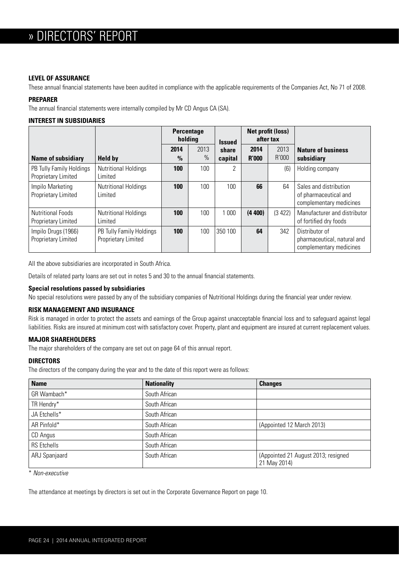## **LEVEL OF ASSURANCE**

These annual financial statements have been audited in compliance with the applicable requirements of the Companies Act, No 71 of 2008.

## **PREPARER**

The annual financial statements were internally compiled by Mr CD Angus CA (SA).

## **INTEREST IN SUBSIDIARIES**

|                                                 |                                                 | <b>Percentage</b><br>holding |              | <b>Issued</b>    | <b>Net profit (loss)</b><br>after tax |               |                                                                            |  |
|-------------------------------------------------|-------------------------------------------------|------------------------------|--------------|------------------|---------------------------------------|---------------|----------------------------------------------------------------------------|--|
| <b>Name of subsidiary</b>                       | <b>Held by</b>                                  | 2014<br>$\%$                 | 2013<br>$\%$ | share<br>capital | 2014<br><b>R'000</b>                  | 2013<br>R'000 | <b>Nature of business</b><br>subsidiary                                    |  |
| PB Tully Family Holdings<br>Proprietary Limited | <b>Nutritional Holdings</b><br>Limited          | 100                          | 100          | C                |                                       | (6)           | Holding company                                                            |  |
| Impilo Marketing<br>Proprietary Limited         | <b>Nutritional Holdings</b><br>Limited          | 100                          | 100          | 100              | 66                                    | 64            | Sales and distribution<br>of pharmaceutical and<br>complementary medicines |  |
| <b>Nutritional Foods</b><br>Proprietary Limited | <b>Nutritional Holdings</b><br>Limited          | 100                          | 100          | 1 0 0 0          | (4400)                                | (3 422)       | Manufacturer and distributor<br>of fortified dry foods                     |  |
| Impilo Drugs (1966)<br>Proprietary Limited      | PB Tully Family Holdings<br>Proprietary Limited | 100                          | 100          | 350 100          | 64                                    | 342           | Distributor of<br>pharmaceutical, natural and<br>complementary medicines   |  |

All the above subsidiaries are incorporated in South Africa.

Details of related party loans are set out in notes 5 and 30 to the annual financial statements.

## **Special resolutions passed by subsidiaries**

No special resolutions were passed by any of the subsidiary companies of Nutritional Holdings during the financial year under review.

## **RISK MANAGEMENT AND INSURANCE**

Risk is managed in order to protect the assets and earnings of the Group against unacceptable financial loss and to safeguard against legal liabilities. Risks are insured at minimum cost with satisfactory cover. Property, plant and equipment are insured at current replacement values.

## **MAJOR SHAREHOLDERS**

The major shareholders of the company are set out on page 64 of this annual report.

## **DIRECTORS**

The directors of the company during the year and to the date of this report were as follows:

| <b>Name</b>        | <b>Nationality</b> | <b>Changes</b>                                      |
|--------------------|--------------------|-----------------------------------------------------|
| GR Wambach*        | South African      |                                                     |
| TR Hendry*         | South African      |                                                     |
| JA Etchells*       | South African      |                                                     |
| AR Pinfold*        | South African      | (Appointed 12 March 2013)                           |
| CD Angus           | South African      |                                                     |
| <b>RS</b> Etchells | South African      |                                                     |
| ARJ Spanjaard      | South African      | (Appointed 21 August 2013; resigned<br>21 May 2014) |

\* *Non-executive*

The attendance at meetings by directors is set out in the Corporate Governance Report on page 10.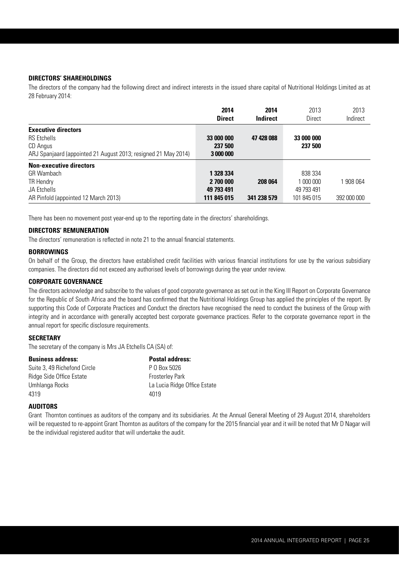## **DIRECTORS' SHAREHOLDINGS**

The directors of the company had the following direct and indirect interests in the issued share capital of Nutritional Holdings Limited as at 28 February 2014:

|                                                                | 2014<br><b>Direct</b> | 2014<br><b>Indirect</b> | 2013<br>Direct | 2013<br>Indirect |
|----------------------------------------------------------------|-----------------------|-------------------------|----------------|------------------|
| <b>Executive directors</b>                                     |                       |                         |                |                  |
| <b>RS</b> Etchells                                             | 33 000 000            | 47 428 088              | 33 000 000     |                  |
| CD Angus                                                       | 237 500               |                         | 237 500        |                  |
| ARJ Spanjaard (appointed 21 August 2013; resigned 21 May 2014) | 3 000 000             |                         |                |                  |
| <b>Non-executive directors</b>                                 |                       |                         |                |                  |
| GR Wambach                                                     | 1 328 334             |                         | 838 334        |                  |
| TR Hendry                                                      | 2 700 000             | 208 064                 | 1 000 000      | 908 064          |
| JA Etchells                                                    | 49 793 491            |                         | 49 793 491     |                  |
| AR Pinfold (appointed 12 March 2013)                           | 111 845 015           | 341 238 579             | 101 845 015    | 392 000 000      |

There has been no movement post year-end up to the reporting date in the directors' shareholdings.

## **DIRECTORS' REMUNERATION**

The directors' remuneration is reflected in note 21 to the annual financial statements.

#### **BORROWINGS**

On behalf of the Group, the directors have established credit facilities with various financial institutions for use by the various subsidiary companies. The directors did not exceed any authorised levels of borrowings during the year under review.

## **CORPORATE GOVERNANCE**

The directors acknowledge and subscribe to the values of good corporate governance as set out in the King III Report on Corporate Governance for the Republic of South Africa and the board has confirmed that the Nutritional Holdings Group has applied the principles of the report. By supporting this Code of Corporate Practices and Conduct the directors have recognised the need to conduct the business of the Group with integrity and in accordance with generally accepted best corporate governance practices. Refer to the corporate governance report in the annual report for specific disclosure requirements.

## **SECRETARY**

The secretary of the company is Mrs JA Etchells CA (SA) of:

| <b>Business address:</b>     | <b>Postal address:</b>       |
|------------------------------|------------------------------|
| Suite 3, 49 Richefond Circle | P 0 Box 5026                 |
| Ridge Side Office Estate     | <b>Frosterley Park</b>       |
| Umhlanga Rocks               | La Lucia Ridge Office Estate |
| 4319                         | 4019                         |

#### **AUDITORS**

Grant Thornton continues as auditors of the company and its subsidiaries. At the Annual General Meeting of 29 August 2014, shareholders will be requested to re-appoint Grant Thornton as auditors of the company for the 2015 financial year and it will be noted that Mr D Nagar will be the individual registered auditor that will undertake the audit.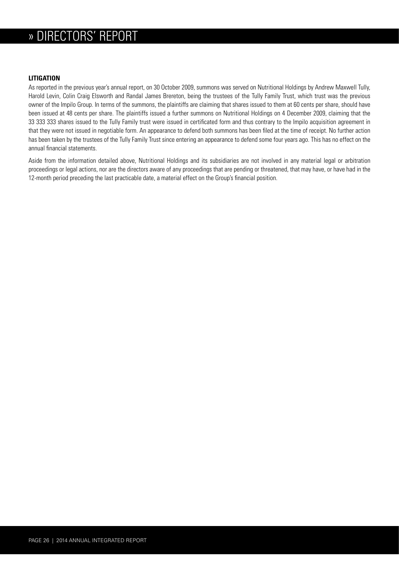## » DIRECTORS' REPORT

## **LITIGATION**

As reported in the previous year's annual report, on 30 October 2009, summons was served on Nutritional Holdings by Andrew Maxwell Tully, Harold Levin, Colin Craig Elsworth and Randal James Brereton, being the trustees of the Tully Family Trust, which trust was the previous owner of the Impilo Group. In terms of the summons, the plaintiffs are claiming that shares issued to them at 60 cents per share, should have been issued at 48 cents per share. The plaintiffs issued a further summons on Nutritional Holdings on 4 December 2009, claiming that the 33 333 333 shares issued to the Tully Family trust were issued in certificated form and thus contrary to the Impilo acquisition agreement in that they were not issued in negotiable form. An appearance to defend both summons has been filed at the time of receipt. No further action has been taken by the trustees of the Tully Family Trust since entering an appearance to defend some four years ago. This has no effect on the annual financial statements.

Aside from the information detailed above, Nutritional Holdings and its subsidiaries are not involved in any material legal or arbitration proceedings or legal actions, nor are the directors aware of any proceedings that are pending or threatened, that may have, or have had in the 12-month period preceding the last practicable date, a material effect on the Group's financial position.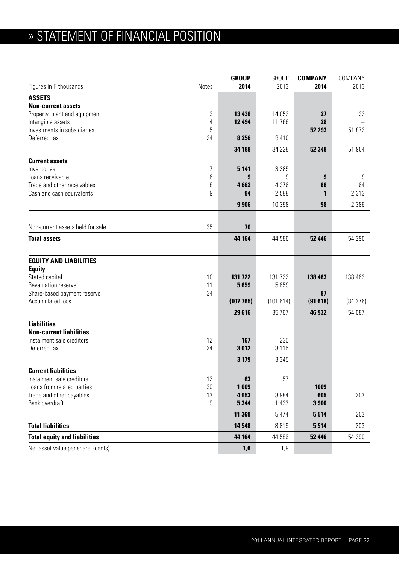# » STATEMENT OF FINANCIAL POSITION

|                                     |              | <b>GROUP</b> | <b>GROUP</b> | <b>COMPANY</b> | COMPANY |
|-------------------------------------|--------------|--------------|--------------|----------------|---------|
| Figures in R thousands              | <b>Notes</b> | 2014         | 2013         | 2014           | 2013    |
| <b>ASSETS</b>                       |              |              |              |                |         |
| <b>Non-current assets</b>           |              |              |              |                |         |
| Property, plant and equipment       | 3            | 13 4 38      | 14 0 52      | 27             | 32      |
| Intangible assets                   | 4            | 12 4 94      | 11766        | 28             |         |
| Investments in subsidiaries         | 5            |              |              | 52 293         | 51 872  |
| Deferred tax                        | 24           | 8 2 5 6      | 8 4 1 0      |                |         |
|                                     |              | 34 188       | 34 228       | 52 348         | 51 904  |
| <b>Current assets</b>               |              |              |              |                |         |
| Inventories                         | 7            | 5 1 4 1      | 3 3 8 5      |                |         |
| Loans receivable                    | 6            | 9            | 9            | 9              | 9       |
| Trade and other receivables         | 8            | 4662         | 4 3 7 6      | 88             | 64      |
| Cash and cash equivalents           | 9            | 94           | 2588         | 1              | 2 3 1 3 |
|                                     |              | 9 9 0 6      | 10 358       | 98             | 2 3 8 6 |
|                                     |              |              |              |                |         |
| Non-current assets held for sale    | 35           | 70           |              |                |         |
| <b>Total assets</b>                 |              | 44 164       | 44 586       | 52 446         | 54 290  |
|                                     |              |              |              |                |         |
| <b>EQUITY AND LIABILITIES</b>       |              |              |              |                |         |
| <b>Equity</b>                       |              |              |              |                |         |
| Stated capital                      | 10           | 131 722      | 131 722      | 138 463        | 138 463 |
| Revaluation reserve                 | 11           | 5659         | 5659         |                |         |
| Share-based payment reserve         | 34           |              |              | 87             |         |
| Accumulated loss                    |              | (107765)     | (101614)     | (91618)        | (84376) |
|                                     |              | 29 616       | 35 7 67      | 46 932         | 54 087  |
| <b>Liabilities</b>                  |              |              |              |                |         |
| <b>Non-current liabilities</b>      |              |              |              |                |         |
| Instalment sale creditors           | 12           | 167          | 230          |                |         |
| Deferred tax                        | 24           | 3012         | 3 1 1 5      |                |         |
|                                     |              | 3 1 7 9      | 3 3 4 5      |                |         |
| <b>Current liabilities</b>          |              |              |              |                |         |
| Instalment sale creditors           | 12           | 63           | 57           |                |         |
| Loans from related parties          | 30           | 1 0 0 9      |              | 1009           |         |
| Trade and other payables            | 13           | 4953         | 3 9 8 4      | 605            | 203     |
| Bank overdraft                      | 9            | 5 3 4 4      | 1 4 3 3      | 3 900          |         |
|                                     |              | 11 369       | 5 4 7 4      | 5514           | 203     |
| <b>Total liabilities</b>            |              | 14 548       | 8819         | 5514           | 203     |
| <b>Total equity and liabilities</b> |              | 44 164       | 44 586       | 52 446         | 54 290  |
| Net asset value per share (cents)   |              | 1,6          | 1,9          |                |         |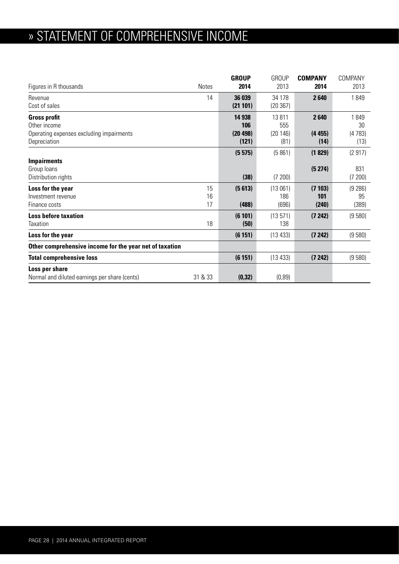# » STATEMENT OF COMPREHENSIVE INCOME

|                                                         |              | <b>GROUP</b> | <b>GROUP</b> | <b>COMPANY</b> | COMPANY |
|---------------------------------------------------------|--------------|--------------|--------------|----------------|---------|
| Figures in R thousands                                  | <b>Notes</b> | 2014         | 2013         | 2014           | 2013    |
| Revenue                                                 | 14           | 36 039       | 34 178       | 2640           | 1849    |
| Cost of sales                                           |              | (21 101)     | (20367)      |                |         |
| <b>Gross profit</b>                                     |              | 14 938       | 13811        | 2640           | 1849    |
| Other income                                            |              | 106          | 555          |                | 30      |
| Operating expenses excluding impairments                |              | (20 498)     | (20146)      | (4455)         | (4783)  |
| Depreciation                                            |              | (121)        | (81)         | (14)           | (13)    |
|                                                         |              | (5575)       | (5861)       | (1829)         | (2917)  |
| <b>Impairments</b>                                      |              |              |              |                |         |
| Group loans                                             |              |              |              | (5274)         | 831     |
| Distribution rights                                     |              | (38)         | (7200)       |                | (7200)  |
| Loss for the year                                       | 15           | (5613)       | (13061)      | (7103)         | (9 286) |
| Investment revenue                                      | 16           |              | 186          | 101            | 95      |
| Finance costs                                           | 17           | (488)        | (696)        | (240)          | (389)   |
| <b>Loss before taxation</b>                             |              | (6101)       | (13571)      | (7242)         | (9580)  |
| Taxation                                                | 18           | (50)         | 138          |                |         |
| Loss for the year                                       |              | (6151)       | (13433)      | (7242)         | (9580)  |
| Other comprehensive income for the year net of taxation |              |              |              |                |         |
| <b>Total comprehensive loss</b>                         |              | (6151)       | (13 433)     | (7242)         | (9580)  |
| Loss per share                                          |              |              |              |                |         |
| Normal and diluted earnings per share (cents)           | 31 & 33      | (0, 32)      | (0, 89)      |                |         |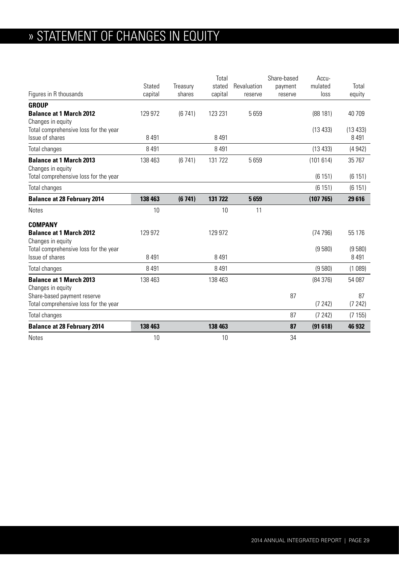# » STATEMENT OF CHANGES IN EQUITY

|                                                                      |         |          | Total   |             | Share-based | Accu-    |              |
|----------------------------------------------------------------------|---------|----------|---------|-------------|-------------|----------|--------------|
|                                                                      | Stated  | Treasury | stated  | Revaluation | payment     | mulated  | Total        |
| Figures in R thousands                                               | capital | shares   | capital | reserve     | reserve     | loss     | equity       |
| <b>GROUP</b>                                                         |         |          |         |             |             |          |              |
| <b>Balance at 1 March 2012</b>                                       | 129 972 | (6741)   | 123 231 | 5659        |             | (88181)  | 40 709       |
| Changes in equity                                                    |         |          |         |             |             |          |              |
| Total comprehensive loss for the year                                |         |          |         |             |             | (13 433) | (13 433)     |
| Issue of shares                                                      | 8 4 9 1 |          | 8 4 9 1 |             |             |          | 8 4 9 1      |
| Total changes                                                        | 8 4 9 1 |          | 8 4 9 1 |             |             | (13 433) | (4942)       |
| <b>Balance at 1 March 2013</b><br>Changes in equity                  | 138 463 | (6741)   | 131 722 | 5659        |             | (101614) | 35 767       |
| Total comprehensive loss for the year                                |         |          |         |             |             | (6151)   | (6151)       |
| Total changes                                                        |         |          |         |             |             | (6151)   | (6151)       |
| <b>Balance at 28 February 2014</b>                                   | 138 463 | (6741)   | 131 722 | 5659        |             | (107765) | 29 616       |
| <b>Notes</b>                                                         | 10      |          | 10      | 11          |             |          |              |
| <b>COMPANY</b>                                                       |         |          |         |             |             |          |              |
| <b>Balance at 1 March 2012</b><br>Changes in equity                  | 129 972 |          | 129 972 |             |             | (74796)  | 55 176       |
| Total comprehensive loss for the year                                |         |          |         |             |             | (9580)   | (9580)       |
| Issue of shares                                                      | 8 4 9 1 |          | 8 4 9 1 |             |             |          | 8 4 9 1      |
| Total changes                                                        | 8 4 9 1 |          | 8 4 9 1 |             |             | (9580)   | (1089)       |
| <b>Balance at 1 March 2013</b>                                       | 138 463 |          | 138 463 |             |             | (84376)  | 54 087       |
| Changes in equity                                                    |         |          |         |             |             |          |              |
| Share-based payment reserve<br>Total comprehensive loss for the year |         |          |         |             | 87          | (7242)   | 87<br>(7242) |
| Total changes                                                        |         |          |         |             | 87          | (7242)   | (7155)       |
| <b>Balance at 28 February 2014</b>                                   | 138 463 |          | 138 463 |             | 87          | (91618)  | 46 932       |
| <b>Notes</b>                                                         | 10      |          | 10      |             | 34          |          |              |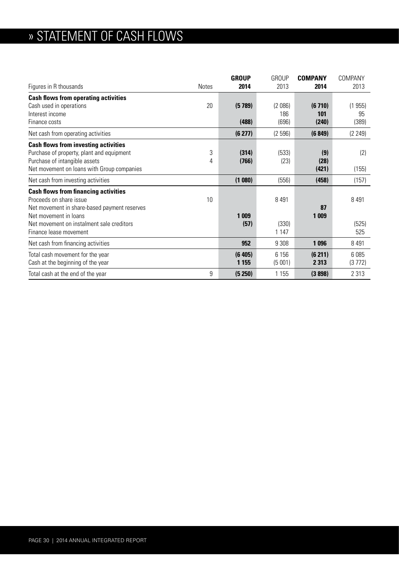# » STATEMENT OF CASH FLOWS

| Figures in R thousands                                                                                                    | <b>Notes</b> | <b>GROUP</b><br>2014 | <b>GROUP</b><br>2013 | <b>COMPANY</b><br>2014 | COMPANY<br>2013 |
|---------------------------------------------------------------------------------------------------------------------------|--------------|----------------------|----------------------|------------------------|-----------------|
| <b>Cash flows from operating activities</b>                                                                               |              |                      |                      |                        |                 |
| Cash used in operations                                                                                                   | 20           | (5789)               | (2086)               | (6710)                 | (1955)          |
| Interest income<br>Finance costs                                                                                          |              | (488)                | 186<br>(696)         | 101<br>(240)           | 95<br>(389)     |
| Net cash from operating activities                                                                                        |              | (6 277)              | (2596)               | (6849)                 | (2 249)         |
|                                                                                                                           |              |                      |                      |                        |                 |
| <b>Cash flows from investing activities</b><br>Purchase of property, plant and equipment<br>Purchase of intangible assets | 3<br>4       | (314)<br>(766)       | (533)<br>(23)        | (9)<br>(28)            | (2)             |
| Net movement on loans with Group companies                                                                                |              |                      |                      | (421)                  | (155)           |
| Net cash from investing activities                                                                                        |              | (1080)               | (556)                | (458)                  | (157)           |
| <b>Cash flows from financing activities</b><br>Proceeds on share issue<br>Net movement in share-based payment reserves    | 10           |                      | 8 4 9 1              | 87                     | 8 4 9 1         |
| Net movement in loans<br>Net movement on instalment sale creditors<br>Finance lease movement                              |              | 1 0 0 9<br>(57)      | (330)<br>1 1 4 7     | 1 0 0 9                | (525)<br>525    |
| Net cash from financing activities                                                                                        |              | 952                  | 9 3 0 8              | 1 0 9 6                | 8491            |
| Total cash movement for the year<br>Cash at the beginning of the year                                                     |              | (6405)<br>1 1 5 5    | 6 15 6<br>(5001)     | (6 211)<br>2 3 1 3     | 6085<br>(3772)  |
| Total cash at the end of the year                                                                                         | 9            | (5 250)              | 1 1 5 5              | (3898)                 | 2 3 1 3         |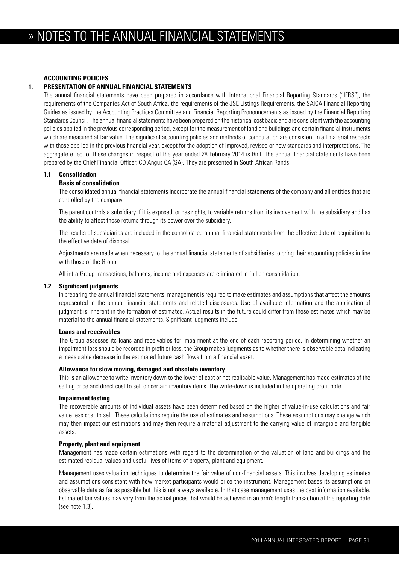## **ACCOUNTING POLICIES**

## **1. PRESENTATION OF ANNUAL FINANCIAL STATEMENTS**

 The annual financial statements have been prepared in accordance with International Financial Reporting Standards ("IFRS"), the requirements of the Companies Act of South Africa, the requirements of the JSE Listings Requirements, the SAICA Financial Reporting Guides as issued by the Accounting Practices Committee and Financial Reporting Pronouncements as issued by the Financial Reporting Standards Council. The annual financial statements have been prepared on the historical cost basis and are consistent with the accounting policies applied in the previous corresponding period, except for the measurement of land and buildings and certain financial instruments which are measured at fair value. The significant accounting policies and methods of computation are consistent in all material respects with those applied in the previous financial year, except for the adoption of improved, revised or new standards and interpretations. The aggregate effect of these changes in respect of the year ended 28 February 2014 is Rnil. The annual financial statements have been prepared by the Chief Financial Officer, CD Angus CA (SA). They are presented in South African Rands.

## **1.1 Consolidation**

## **Basis of consolidation**

 The consolidated annual financial statements incorporate the annual financial statements of the company and all entities that are controlled by the company.

 The parent controls a subsidiary if it is exposed, or has rights, to variable returns from its involvement with the subsidiary and has the ability to affect those returns through its power over the subsidiary.

 The results of subsidiaries are included in the consolidated annual financial statements from the effective date of acquisition to the effective date of disposal.

 Adjustments are made when necessary to the annual financial statements of subsidiaries to bring their accounting policies in line with those of the Group.

All intra-Group transactions, balances, income and expenses are eliminated in full on consolidation.

#### **1.2 Significant judgments**

 In preparing the annual financial statements, management is required to make estimates and assumptions that affect the amounts represented in the annual financial statements and related disclosures. Use of available information and the application of judgment is inherent in the formation of estimates. Actual results in the future could differ from these estimates which may be material to the annual financial statements. Significant judgments include:

#### **Loans and receivables**

 The Group assesses its loans and receivables for impairment at the end of each reporting period. In determining whether an impairment loss should be recorded in profit or loss, the Group makes judgments as to whether there is observable data indicating a measurable decrease in the estimated future cash flows from a financial asset.

#### **Allowance for slow moving, damaged and obsolete inventory**

 This is an allowance to write inventory down to the lower of cost or net realisable value. Management has made estimates of the selling price and direct cost to sell on certain inventory items. The write-down is included in the operating profit note.

#### **Impairment testing**

 The recoverable amounts of individual assets have been determined based on the higher of value-in-use calculations and fair value less cost to sell. These calculations require the use of estimates and assumptions. These assumptions may change which may then impact our estimations and may then require a material adjustment to the carrying value of intangible and tangible assets.

#### **Property, plant and equipment**

 Management has made certain estimations with regard to the determination of the valuation of land and buildings and the estimated residual values and useful lives of items of property, plant and equipment.

 Management uses valuation techniques to determine the fair value of non-financial assets. This involves developing estimates and assumptions consistent with how market participants would price the instrument. Management bases its assumptions on observable data as far as possible but this is not always available. In that case management uses the best information available. Estimated fair values may vary from the actual prices that would be achieved in an arm's length transaction at the reporting date (see note 1.3).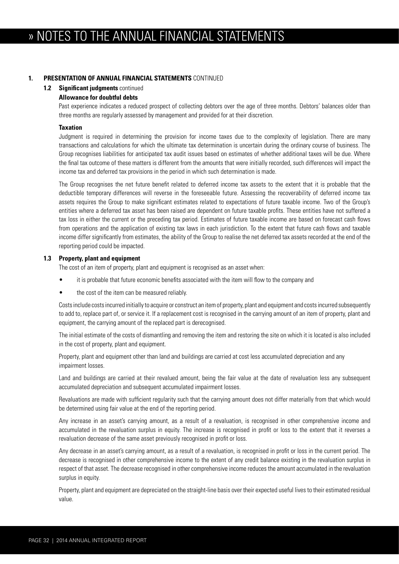## **1. PRESENTATION OF ANNUAL FINANCIAL STATEMENTS** CONTINUED

#### **1.2 Significant judgments** continued

## **Allowance for doubtful debts**

 Past experience indicates a reduced prospect of collecting debtors over the age of three months. Debtors' balances older than three months are regularly assessed by management and provided for at their discretion.

#### **Taxation**

 Judgment is required in determining the provision for income taxes due to the complexity of legislation. There are many transactions and calculations for which the ultimate tax determination is uncertain during the ordinary course of business. The Group recognises liabilities for anticipated tax audit issues based on estimates of whether additional taxes will be due. Where the final tax outcome of these matters is different from the amounts that were initially recorded, such differences will impact the income tax and deferred tax provisions in the period in which such determination is made.

 The Group recognises the net future benefit related to deferred income tax assets to the extent that it is probable that the deductible temporary differences will reverse in the foreseeable future. Assessing the recoverability of deferred income tax assets requires the Group to make significant estimates related to expectations of future taxable income. Two of the Group's entities where a deferred tax asset has been raised are dependent on future taxable profits. These entities have not suffered a tax loss in either the current or the preceding tax period. Estimates of future taxable income are based on forecast cash flows from operations and the application of existing tax laws in each jurisdiction. To the extent that future cash flows and taxable income differ significantly from estimates, the ability of the Group to realise the net deferred tax assets recorded at the end of the reporting period could be impacted.

#### **1.3 Property, plant and equipment**

The cost of an item of property, plant and equipment is recognised as an asset when:

- it is probable that future economic benefits associated with the item will flow to the company and
- the cost of the item can be measured reliably.

 Costs include costs incurred initially to acquire or construct an item of property, plant and equipment and costs incurred subsequently to add to, replace part of, or service it. If a replacement cost is recognised in the carrying amount of an item of property, plant and equipment, the carrying amount of the replaced part is derecognised.

 The initial estimate of the costs of dismantling and removing the item and restoring the site on which it is located is also included in the cost of property, plant and equipment.

 Property, plant and equipment other than land and buildings are carried at cost less accumulated depreciation and any impairment losses.

Land and buildings are carried at their revalued amount, being the fair value at the date of revaluation less any subsequent accumulated depreciation and subsequent accumulated impairment losses.

 Revaluations are made with sufficient regularity such that the carrying amount does not differ materially from that which would be determined using fair value at the end of the reporting period.

 Any increase in an asset's carrying amount, as a result of a revaluation, is recognised in other comprehensive income and accumulated in the revaluation surplus in equity. The increase is recognised in profit or loss to the extent that it reverses a revaluation decrease of the same asset previously recognised in profit or loss.

 Any decrease in an asset's carrying amount, as a result of a revaluation, is recognised in profit or loss in the current period. The decrease is recognised in other comprehensive income to the extent of any credit balance existing in the revaluation surplus in respect of that asset. The decrease recognised in other comprehensive income reduces the amount accumulated in the revaluation surplus in equity.

 Property, plant and equipment are depreciated on the straight-line basis over their expected useful lives to their estimated residual value.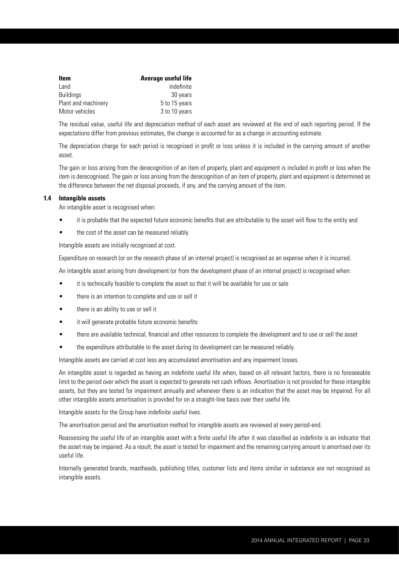| <b>Item</b>         | Average useful life |
|---------------------|---------------------|
| Land                | indefinite          |
| <b>Buildings</b>    | 30 years            |
| Plant and machinery | 5 to 15 years       |
| Motor vehicles      | 3 to 10 years       |

 The residual value, useful life and depreciation method of each asset are reviewed at the end of each reporting period. If the expectations differ from previous estimates, the change is accounted for as a change in accounting estimate.

 The depreciation charge for each period is recognised in profit or loss unless it is included in the carrying amount of another asset.

 The gain or loss arising from the derecognition of an item of property, plant and equipment is included in profit or loss when the item is derecognised. The gain or loss arising from the derecognition of an item of property, plant and equipment is determined as the difference between the net disposal proceeds, if any, and the carrying amount of the item.

## **1.4 Intangible assets**

An intangible asset is recognised when:

- it is probable that the expected future economic benefits that are attributable to the asset will flow to the entity and
- the cost of the asset can be measured reliably.

Intangible assets are initially recognised at cost.

Expenditure on research (or on the research phase of an internal project) is recognised as an expense when it is incurred.

An intangible asset arising from development (or from the development phase of an internal project) is recognised when:

- it is technically feasible to complete the asset so that it will be available for use or sale
- there is an intention to complete and use or sell it
- there is an ability to use or sell it
- it will generate probable future economic benefits
- there are available technical, financial and other resources to complete the development and to use or sell the asset
- the expenditure attributable to the asset during its development can be measured reliably.

Intangible assets are carried at cost less any accumulated amortisation and any impairment losses.

 An intangible asset is regarded as having an indefinite useful life when, based on all relevant factors, there is no foreseeable limit to the period over which the asset is expected to generate net cash inflows. Amortisation is not provided for these intangible assets, but they are tested for impairment annually and whenever there is an indication that the asset may be impaired. For all other intangible assets amortisation is provided for on a straight-line basis over their useful life.

Intangible assets for the Group have indefinite useful lives.

The amortisation period and the amortisation method for intangible assets are reviewed at every period-end.

 Reassessing the useful life of an intangible asset with a finite useful life after it was classified as indefinite is an indicator that the asset may be impaired. As a result, the asset is tested for impairment and the remaining carrying amount is amortised over its useful life.

 Internally generated brands, mastheads, publishing titles, customer lists and items similar in substance are not recognised as intangible assets.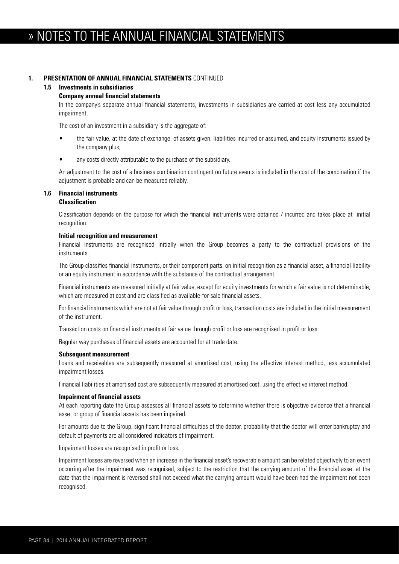## **1. PRESENTATION OF ANNUAL FINANCIAL STATEMENTS** CONTINUED

## **1.5 Investments in subsidiaries**

#### **Company annual financial statements**

 In the company's separate annual financial statements, investments in subsidiaries are carried at cost less any accumulated impairment.

The cost of an investment in a subsidiary is the aggregate of:

- the fair value, at the date of exchange, of assets given, liabilities incurred or assumed, and equity instruments issued by the company plus;
- any costs directly attributable to the purchase of the subsidiary.

 An adjustment to the cost of a business combination contingent on future events is included in the cost of the combination if the adjustment is probable and can be measured reliably.

## **1.6 Financial instruments**

## **Classification**

 Classification depends on the purpose for which the financial instruments were obtained / incurred and takes place at initial recognition.

#### **Initial recognition and measurement**

 Financial instruments are recognised initially when the Group becomes a party to the contractual provisions of the instruments.

 The Group classifies financial instruments, or their component parts, on initial recognition as a financial asset, a financial liability or an equity instrument in accordance with the substance of the contractual arrangement.

 Financial instruments are measured initially at fair value, except for equity investments for which a fair value is not determinable, which are measured at cost and are classified as available-for-sale financial assets.

 For financial instruments which are not at fair value through profit or loss, transaction costs are included in the initial measurement of the instrument.

Transaction costs on financial instruments at fair value through profit or loss are recognised in profit or loss.

Regular way purchases of financial assets are accounted for at trade date.

#### **Subsequent measurement**

 Loans and receivables are subsequently measured at amortised cost, using the effective interest method, less accumulated impairment losses.

Financial liabilities at amortised cost are subsequently measured at amortised cost, using the effective interest method.

#### **Impairment of financial assets**

 At each reporting date the Group assesses all financial assets to determine whether there is objective evidence that a financial asset or group of financial assets has been impaired.

 For amounts due to the Group, significant financial difficulties of the debtor, probability that the debtor will enter bankruptcy and default of payments are all considered indicators of impairment.

Impairment losses are recognised in profit or loss.

 Impairment losses are reversed when an increase in the financial asset's recoverable amount can be related objectively to an event occurring after the impairment was recognised, subject to the restriction that the carrying amount of the financial asset at the date that the impairment is reversed shall not exceed what the carrying amount would have been had the impairment not been recognised.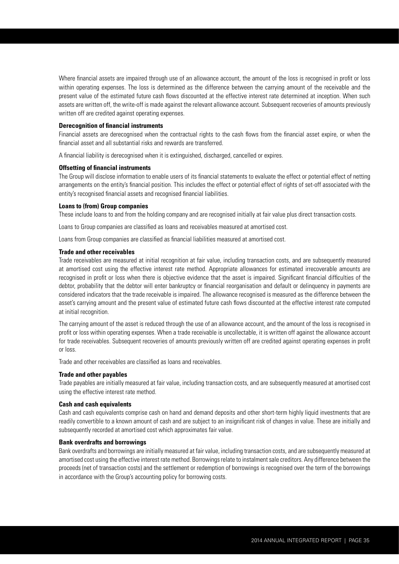Where financial assets are impaired through use of an allowance account, the amount of the loss is recognised in profit or loss within operating expenses. The loss is determined as the difference between the carrying amount of the receivable and the present value of the estimated future cash flows discounted at the effective interest rate determined at inception. When such assets are written off, the write-off is made against the relevant allowance account. Subsequent recoveries of amounts previously written off are credited against operating expenses.

#### **Derecognition of financial instruments**

 Financial assets are derecognised when the contractual rights to the cash flows from the financial asset expire, or when the financial asset and all substantial risks and rewards are transferred.

A financial liability is derecognised when it is extinguished, discharged, cancelled or expires.

#### **Offsetting of financial instruments**

 The Group will disclose information to enable users of its financial statements to evaluate the effect or potential effect of netting arrangements on the entity's financial position. This includes the effect or potential effect of rights of set-off associated with the entity's recognised financial assets and recognised financial liabilities.

#### **Loans to (from) Group companies**

These include loans to and from the holding company and are recognised initially at fair value plus direct transaction costs.

Loans to Group companies are classified as loans and receivables measured at amortised cost.

Loans from Group companies are classified as financial liabilities measured at amortised cost.

#### **Trade and other receivables**

 Trade receivables are measured at initial recognition at fair value, including transaction costs, and are subsequently measured at amortised cost using the effective interest rate method. Appropriate allowances for estimated irrecoverable amounts are recognised in profit or loss when there is objective evidence that the asset is impaired. Significant financial difficulties of the debtor, probability that the debtor will enter bankruptcy or financial reorganisation and default or delinquency in payments are considered indicators that the trade receivable is impaired. The allowance recognised is measured as the difference between the asset's carrying amount and the present value of estimated future cash flows discounted at the effective interest rate computed at initial recognition.

 The carrying amount of the asset is reduced through the use of an allowance account, and the amount of the loss is recognised in profit or loss within operating expenses. When a trade receivable is uncollectable, it is written off against the allowance account for trade receivables. Subsequent recoveries of amounts previously written off are credited against operating expenses in profit or loss.

Trade and other receivables are classified as loans and receivables.

#### **Trade and other payables**

 Trade payables are initially measured at fair value, including transaction costs, and are subsequently measured at amortised cost using the effective interest rate method.

#### **Cash and cash equivalents**

 Cash and cash equivalents comprise cash on hand and demand deposits and other short-term highly liquid investments that are readily convertible to a known amount of cash and are subject to an insignificant risk of changes in value. These are initially and subsequently recorded at amortised cost which approximates fair value.

#### **Bank overdrafts and borrowings**

 Bank overdrafts and borrowings are initially measured at fair value, including transaction costs, and are subsequently measured at amortised cost using the effective interest rate method. Borrowings relate to instalment sale creditors. Any difference between the proceeds (net of transaction costs) and the settlement or redemption of borrowings is recognised over the term of the borrowings in accordance with the Group's accounting policy for borrowing costs.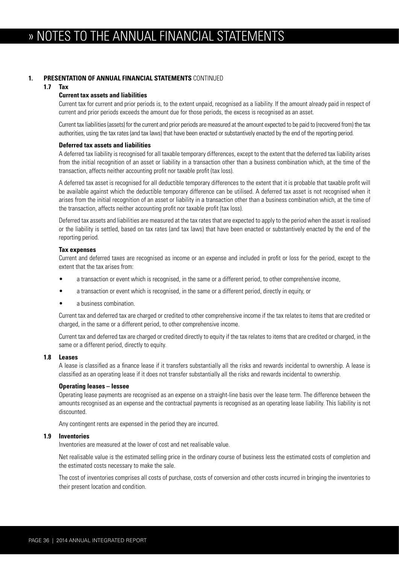#### **1. PRESENTATION OF ANNUAL FINANCIAL STATEMENTS** CONTINUED

#### **1.7 Tax**

#### **Current tax assets and liabilities**

 Current tax for current and prior periods is, to the extent unpaid, recognised as a liability. If the amount already paid in respect of current and prior periods exceeds the amount due for those periods, the excess is recognised as an asset.

 Current tax liabilities (assets) for the current and prior periods are measured at the amount expected to be paid to (recovered from) the tax authorities, using the tax rates (and tax laws) that have been enacted or substantively enacted by the end of the reporting period.

#### **Deferred tax assets and liabilities**

 A deferred tax liability is recognised for all taxable temporary differences, except to the extent that the deferred tax liability arises from the initial recognition of an asset or liability in a transaction other than a business combination which, at the time of the transaction, affects neither accounting profit nor taxable profit (tax loss).

 A deferred tax asset is recognised for all deductible temporary differences to the extent that it is probable that taxable profit will be available against which the deductible temporary difference can be utilised. A deferred tax asset is not recognised when it arises from the initial recognition of an asset or liability in a transaction other than a business combination which, at the time of the transaction, affects neither accounting profit nor taxable profit (tax loss).

 Deferred tax assets and liabilities are measured at the tax rates that are expected to apply to the period when the asset is realised or the liability is settled, based on tax rates (and tax laws) that have been enacted or substantively enacted by the end of the reporting period.

#### **Tax expenses**

 Current and deferred taxes are recognised as income or an expense and included in profit or loss for the period, except to the extent that the tax arises from:

- a transaction or event which is recognised, in the same or a different period, to other comprehensive income,
- a transaction or event which is recognised, in the same or a different period, directly in equity, or
- a business combination.

Current tax and deferred tax are charged or credited to other comprehensive income if the tax relates to items that are credited or charged, in the same or a different period, to other comprehensive income.

 Current tax and deferred tax are charged or credited directly to equity if the tax relates to items that are credited or charged, in the same or a different period, directly to equity.

#### **1.8 Leases**

 A lease is classified as a finance lease if it transfers substantially all the risks and rewards incidental to ownership. A lease is classified as an operating lease if it does not transfer substantially all the risks and rewards incidental to ownership.

#### **Operating leases – lessee**

 Operating lease payments are recognised as an expense on a straight-line basis over the lease term. The difference between the amounts recognised as an expense and the contractual payments is recognised as an operating lease liability. This liability is not discounted.

Any contingent rents are expensed in the period they are incurred.

#### **1.9 Inventories**

Inventories are measured at the lower of cost and net realisable value.

 Net realisable value is the estimated selling price in the ordinary course of business less the estimated costs of completion and the estimated costs necessary to make the sale.

 The cost of inventories comprises all costs of purchase, costs of conversion and other costs incurred in bringing the inventories to their present location and condition.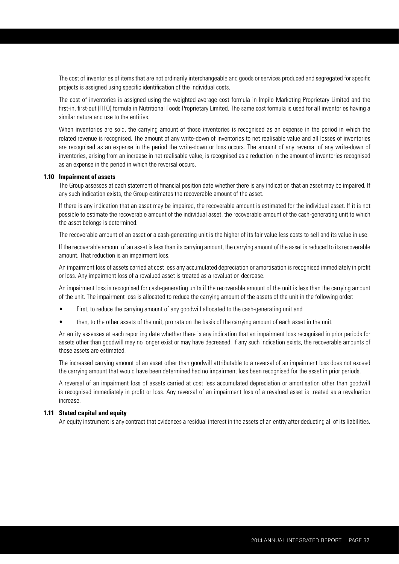The cost of inventories of items that are not ordinarily interchangeable and goods or services produced and segregated for specific projects is assigned using specific identification of the individual costs.

 The cost of inventories is assigned using the weighted average cost formula in Impilo Marketing Proprietary Limited and the first-in, first-out (FIFO) formula in Nutritional Foods Proprietary Limited. The same cost formula is used for all inventories having a similar nature and use to the entities.

 When inventories are sold, the carrying amount of those inventories is recognised as an expense in the period in which the related revenue is recognised. The amount of any write-down of inventories to net realisable value and all losses of inventories are recognised as an expense in the period the write-down or loss occurs. The amount of any reversal of any write-down of inventories, arising from an increase in net realisable value, is recognised as a reduction in the amount of inventories recognised as an expense in the period in which the reversal occurs.

#### **1.10 Impairment of assets**

 The Group assesses at each statement of financial position date whether there is any indication that an asset may be impaired. If any such indication exists, the Group estimates the recoverable amount of the asset.

 If there is any indication that an asset may be impaired, the recoverable amount is estimated for the individual asset. If it is not possible to estimate the recoverable amount of the individual asset, the recoverable amount of the cash-generating unit to which the asset belongs is determined.

The recoverable amount of an asset or a cash-generating unit is the higher of its fair value less costs to sell and its value in use.

 If the recoverable amount of an asset is less than its carrying amount, the carrying amount of the asset is reduced to its recoverable amount. That reduction is an impairment loss.

 An impairment loss of assets carried at cost less any accumulated depreciation or amortisation is recognised immediately in profit or loss. Any impairment loss of a revalued asset is treated as a revaluation decrease.

 An impairment loss is recognised for cash-generating units if the recoverable amount of the unit is less than the carrying amount of the unit. The impairment loss is allocated to reduce the carrying amount of the assets of the unit in the following order:

- First, to reduce the carrying amount of any goodwill allocated to the cash-generating unit and
- then, to the other assets of the unit, pro rata on the basis of the carrying amount of each asset in the unit.

 An entity assesses at each reporting date whether there is any indication that an impairment loss recognised in prior periods for assets other than goodwill may no longer exist or may have decreased. If any such indication exists, the recoverable amounts of those assets are estimated.

 The increased carrying amount of an asset other than goodwill attributable to a reversal of an impairment loss does not exceed the carrying amount that would have been determined had no impairment loss been recognised for the asset in prior periods.

 A reversal of an impairment loss of assets carried at cost less accumulated depreciation or amortisation other than goodwill is recognised immediately in profit or loss. Any reversal of an impairment loss of a revalued asset is treated as a revaluation increase.

#### **1.11 Stated capital and equity**

An equity instrument is any contract that evidences a residual interest in the assets of an entity after deducting all of its liabilities.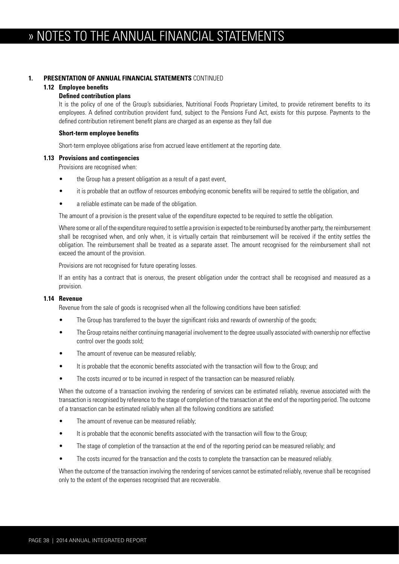#### **1. PRESENTATION OF ANNUAL FINANCIAL STATEMENTS** CONTINUED

#### **1.12 Employee benefits**

#### **Defined contribution plans**

 It is the policy of one of the Group's subsidiaries, Nutritional Foods Proprietary Limited, to provide retirement benefits to its employees. A defined contribution provident fund, subject to the Pensions Fund Act, exists for this purpose. Payments to the defined contribution retirement benefit plans are charged as an expense as they fall due

#### **Short-term employee benefits**

Short-term employee obligations arise from accrued leave entitlement at the reporting date.

#### **1.13 Provisions and contingencies**

Provisions are recognised when:

- the Group has a present obligation as a result of a past event,
- it is probable that an outflow of resources embodying economic benefits will be required to settle the obligation, and
- a reliable estimate can be made of the obligation.

The amount of a provision is the present value of the expenditure expected to be required to settle the obligation.

 Where some or all of the expenditure required to settle a provision is expected to be reimbursed by another party, the reimbursement shall be recognised when, and only when, it is virtually certain that reimbursement will be received if the entity settles the obligation. The reimbursement shall be treated as a separate asset. The amount recognised for the reimbursement shall not exceed the amount of the provision.

Provisions are not recognised for future operating losses.

 If an entity has a contract that is onerous, the present obligation under the contract shall be recognised and measured as a provision.

#### **1.14 Revenue**

Revenue from the sale of goods is recognised when all the following conditions have been satisfied:

- The Group has transferred to the buyer the significant risks and rewards of ownership of the goods;
- The Group retains neither continuing managerial involvement to the degree usually associated with ownership nor effective control over the goods sold;
- The amount of revenue can be measured reliably;
- It is probable that the economic benefits associated with the transaction will flow to the Group; and
- The costs incurred or to be incurred in respect of the transaction can be measured reliably.

 When the outcome of a transaction involving the rendering of services can be estimated reliably, revenue associated with the transaction is recognised by reference to the stage of completion of the transaction at the end of the reporting period. The outcome of a transaction can be estimated reliably when all the following conditions are satisfied:

- The amount of revenue can be measured reliably;
- It is probable that the economic benefits associated with the transaction will flow to the Group;
- The stage of completion of the transaction at the end of the reporting period can be measured reliably; and
- The costs incurred for the transaction and the costs to complete the transaction can be measured reliably.

 When the outcome of the transaction involving the rendering of services cannot be estimated reliably, revenue shall be recognised only to the extent of the expenses recognised that are recoverable.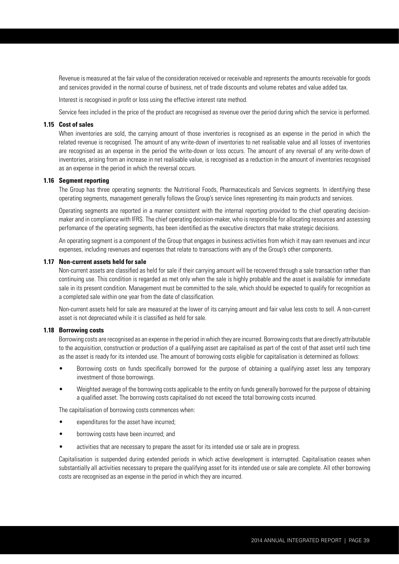Revenue is measured at the fair value of the consideration received or receivable and represents the amounts receivable for goods and services provided in the normal course of business, net of trade discounts and volume rebates and value added tax.

Interest is recognised in profit or loss using the effective interest rate method.

Service fees included in the price of the product are recognised as revenue over the period during which the service is performed.

#### **1.15 Cost of sales**

When inventories are sold, the carrying amount of those inventories is recognised as an expense in the period in which the related revenue is recognised. The amount of any write-down of inventories to net realisable value and all losses of inventories are recognised as an expense in the period the write-down or loss occurs. The amount of any reversal of any write-down of inventories, arising from an increase in net realisable value, is recognised as a reduction in the amount of inventories recognised as an expense in the period in which the reversal occurs.

#### **1.16 Segment reporting**

 The Group has three operating segments: the Nutritional Foods, Pharmaceuticals and Services segments. In identifying these operating segments, management generally follows the Group's service lines representing its main products and services.

 Operating segments are reported in a manner consistent with the internal reporting provided to the chief operating decisionmaker and in compliance with IFRS. The chief operating decision-maker, who is responsible for allocating resources and assessing perfomance of the operating segments, has been identified as the executive directors that make strategic decisions.

 An operating segment is a component of the Group that engages in business activities from which it may earn revenues and incur expenses, including revenues and expenses that relate to transactions with any of the Group's other components.

#### **1.17 Non-current assets held for sale**

 Non-current assets are classified as held for sale if their carrying amount will be recovered through a sale transaction rather than continuing use. This condition is regarded as met only when the sale is highly probable and the asset is available for immediate sale in its present condition. Management must be committed to the sale, which should be expected to qualify for recognition as a completed sale within one year from the date of classification.

 Non-current assets held for sale are measured at the lower of its carrying amount and fair value less costs to sell. A non-current asset is not depreciated while it is classified as held for sale.

#### **1.18 Borrowing costs**

 Borrowing costs are recognised as an expense in the period in which they are incurred. Borrowing costs that are directly attributable to the acquisition, construction or production of a qualifying asset are capitalised as part of the cost of that asset until such time as the asset is ready for its intended use. The amount of borrowing costs eligible for capitalisation is determined as follows:

- Borrowing costs on funds specifically borrowed for the purpose of obtaining a qualifying asset less any temporary investment of those borrowings.
- Weighted average of the borrowing costs applicable to the entity on funds generally borrowed for the purpose of obtaining a qualified asset. The borrowing costs capitalised do not exceed the total borrowing costs incurred.

The capitalisation of borrowing costs commences when:

- expenditures for the asset have incurred;
- borrowing costs have been incurred; and
- activities that are necessary to prepare the asset for its intended use or sale are in progress.

 Capitalisation is suspended during extended periods in which active development is interrupted. Capitalisation ceases when substantially all activities necessary to prepare the qualifying asset for its intended use or sale are complete. All other borrowing costs are recognised as an expense in the period in which they are incurred.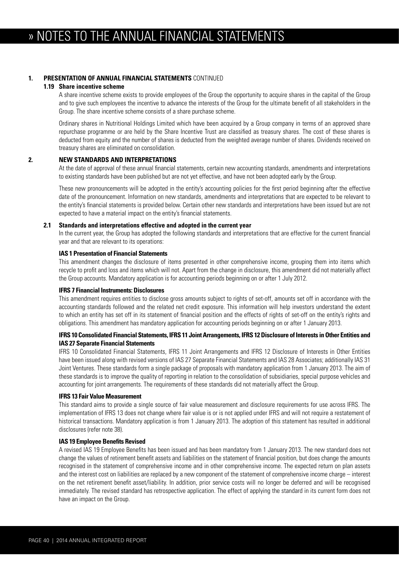### **1. PRESENTATION OF ANNUAL FINANCIAL STATEMENTS** CONTINUED

#### **1.19 Share incentive scheme**

 A share incentive scheme exists to provide employees of the Group the opportunity to acquire shares in the capital of the Group and to give such employees the incentive to advance the interests of the Group for the ultimate benefit of all stakeholders in the Group. The share incentive scheme consists of a share purchase scheme.

 Ordinary shares in Nutritional Holdings Limited which have been acquired by a Group company in terms of an approved share repurchase programme or are held by the Share Incentive Trust are classified as treasury shares. The cost of these shares is deducted from equity and the number of shares is deducted from the weighted average number of shares. Dividends received on treasury shares are eliminated on consolidation.

#### **2. NEW STANDARDS AND INTERPRETATIONS**

 At the date of approval of these annual financial statements, certain new accounting standards, amendments and interpretations to existing standards have been published but are not yet effective, and have not been adopted early by the Group.

 These new pronouncements will be adopted in the entity's accounting policies for the first period beginning after the effective date of the pronouncement. Information on new standards, amendments and interpretations that are expected to be relevant to the entity's financial statements is provided below. Certain other new standards and interpretations have been issued but are not expected to have a material impact on the entity's financial statements.

#### **2.1 Standards and interpretations effective and adopted in the current year**

 In the current year, the Group has adopted the following standards and interpretations that are effective for the current financial year and that are relevant to its operations:

#### **IAS 1 Presentation of Financial Statements**

 This amendment changes the disclosure of items presented in other comprehensive income, grouping them into items which recycle to profit and loss and items which will not. Apart from the change in disclosure, this amendment did not materially affect the Group accounts. Mandatory application is for accounting periods beginning on or after 1 July 2012.

#### **IFRS 7 Financial Instruments: Disclosures**

 This amendment requires entities to disclose gross amounts subject to rights of set-off, amounts set off in accordance with the accounting standards followed and the related net credit exposure. This information will help investors understand the extent to which an entity has set off in its statement of financial position and the effects of rights of set-off on the entity's rights and obligations. This amendment has mandatory application for accounting periods beginning on or after 1 January 2013.

#### **IFRS 10 Consolidated Financial Statements, IFRS 11 Joint Arrangements, IFRS 12 Disclosure of Interests in Other Entities and IAS 27 Separate Financial Statements**

 IFRS 10 Consolidated Financial Statements, IFRS 11 Joint Arrangements and IFRS 12 Disclosure of Interests in Other Entities have been issued along with revised versions of IAS 27 Separate Financial Statements and IAS 28 Associates; additionally IAS 31 Joint Ventures. These standards form a single package of proposals with mandatory application from 1 January 2013. The aim of these standards is to improve the quality of reporting in relation to the consolidation of subsidiaries, special purpose vehicles and accounting for joint arrangements. The requirements of these standards did not materially affect the Group.

#### **IFRS 13 Fair Value Measurement**

 This standard aims to provide a single source of fair value measurement and disclosure requirements for use across IFRS. The implementation of IFRS 13 does not change where fair value is or is not applied under IFRS and will not require a restatement of historical transactions. Mandatory application is from 1 January 2013. The adoption of this statement has resulted in additional disclosures (refer note 38).

#### **IAS 19 Employee Benefits Revised**

 A revised IAS 19 Employee Benefits has been issued and has been mandatory from 1 January 2013. The new standard does not change the values of retirement benefit assets and liabilities on the statement of financial position, but does change the amounts recognised in the statement of comprehensive income and in other comprehensive income. The expected return on plan assets and the interest cost on liabilities are replaced by a new component of the statement of comprehensive income charge – interest on the net retirement benefit asset/liability. In addition, prior service costs will no longer be deferred and will be recognised immediately. The revised standard has retrospective application. The effect of applying the standard in its current form does not have an impact on the Group.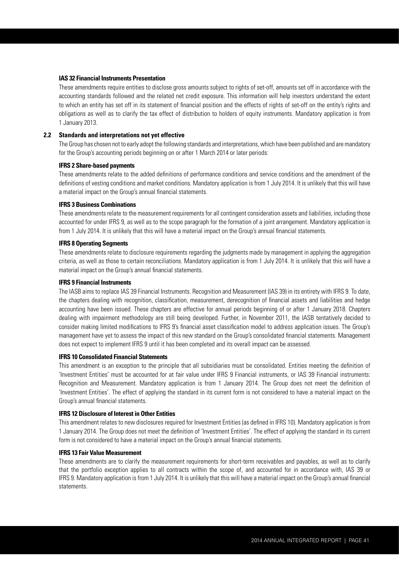#### **IAS 32 Financial Instruments Presentation**

 These amendments require entities to disclose gross amounts subject to rights of set-off, amounts set off in accordance with the accounting standards followed and the related net credit exposure. This information will help investors understand the extent to which an entity has set off in its statement of financial position and the effects of rights of set-off on the entity's rights and obligations as well as to clarify the tax effect of distribution to holders of equity instruments. Mandatory application is from 1 January 2013.

#### **2.2 Standards and interpretations not yet effective**

 The Group has chosen not to early adopt the following standards and interpretations, which have been published and are mandatory for the Group's accounting periods beginning on or after 1 March 2014 or later periods:

#### **IFRS 2 Share-based payments**

 These amendments relate to the added definitions of performance conditions and service conditions and the amendment of the definitions of vesting conditions and market conditions. Mandatory application is from 1 July 2014. It is unlikely that this will have a material impact on the Group's annual financial statements.

#### **IFRS 3 Business Combinations**

 These amendments relate to the measurement requirements for all contingent consideration assets and liabilities, including those accounted for under IFRS 9, as well as to the scope paragraph for the formation of a joint arrangement. Mandatory application is from 1 July 2014. It is unlikely that this will have a material impact on the Group's annual financial statements.

#### **IFRS 8 Operating Segments**

 These amendments relate to disclosure requirements regarding the judgments made by management in applying the aggregation criteria, as well as those to certain reconciliations. Mandatory application is from 1 July 2014. It is unlikely that this will have a material impact on the Group's annual financial statements.

#### **IFRS 9 Financial Instruments**

 The IASB aims to replace IAS 39 Financial Instruments. Recognition and Measurement (IAS 39) in its entirety with IFRS 9. To date, the chapters dealing with recognition, classification, measurement, derecognition of financial assets and liabilities and hedge accounting have been issued. These chapters are effective for annual periods beginning of or after 1 January 2018. Chapters dealing with impairment methodology are still being developed. Further, in November 2011, the IASB tentatively decided to consider making limited modifications to IFRS 9's financial asset classification model to address application issues. The Group's management have yet to assess the impact of this new standard on the Group's consolidated financial statements. Management does not expect to implement IFRS 9 until it has been completed and its overall impact can be assessed.

#### **IFRS 10 Consolidated Financial Statements**

 This amendment is an exception to the principle that all subsidiaries must be consolidated. Entities meeting the definition of 'Investment Entities' must be accounted for at fair value under IFRS 9 Financial instruments, or IAS 39 Financial instruments: Recognition and Measurement. Mandatory application is from 1 January 2014. The Group does not meet the definition of 'Investment Entities'. The effect of applying the standard in its current form is not considered to have a material impact on the Group's annual financial statements.

#### **IFRS 12 Disclosure of Interest in Other Entities**

 This amendment relates to new disclosures required for Investment Entities (as defined in IFRS 10). Mandatory application is from 1 January 2014. The Group does not meet the definition of 'Investment Entities'. The effect of applying the standard in its current form is not considered to have a material impact on the Group's annual financial statements.

#### **IFRS 13 Fair Value Measurement**

 These amendments are to clarify the measurement requirements for short-term receivables and payables, as well as to clarify that the portfolio exception applies to all contracts within the scope of, and accounted for in accordance with, IAS 39 or IFRS 9. Mandatory application is from 1 July 2014. It is unlikely that this will have a material impact on the Group's annual financial statements.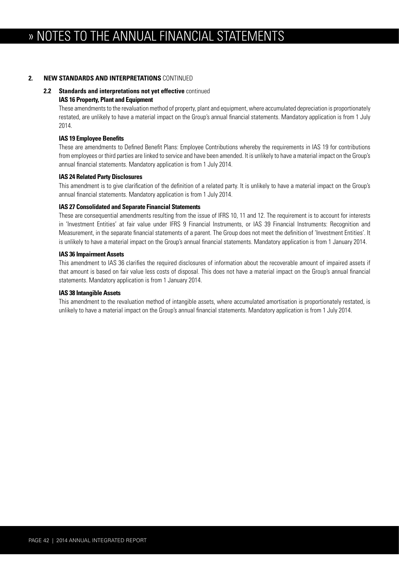#### **2. NEW STANDARDS AND INTERPRETATIONS** CONTINUED

### **2.2 Standards and interpretations not yet effective** continued

#### **IAS 16 Property, Plant and Equipment**

 These amendments to the revaluation method of property, plant and equipment, where accumulated depreciation is proportionately restated, are unlikely to have a material impact on the Group's annual financial statements. Mandatory application is from 1 July 2014.

#### **IAS 19 Employee Benefits**

 These are amendments to Defined Benefit Plans: Employee Contributions whereby the requirements in IAS 19 for contributions from employees or third parties are linked to service and have been amended. It is unlikely to have a material impact on the Group's annual financial statements. Mandatory application is from 1 July 2014.

#### **IAS 24 Related Party Disclosures**

 This amendment is to give clarification of the definition of a related party. It is unlikely to have a material impact on the Group's annual financial statements. Mandatory application is from 1 July 2014.

#### **IAS 27 Consolidated and Separate Financial Statements**

 These are consequential amendments resulting from the issue of IFRS 10, 11 and 12. The requirement is to account for interests in 'Investment Entities' at fair value under IFRS 9 Financial Instruments, or IAS 39 Financial Instruments: Recognition and Measurement, in the separate financial statements of a parent. The Group does not meet the definition of 'Investment Entities'. It is unlikely to have a material impact on the Group's annual financial statements. Mandatory application is from 1 January 2014.

#### **IAS 36 Impairment Assets**

 This amendment to IAS 36 clarifies the required disclosures of information about the recoverable amount of impaired assets if that amount is based on fair value less costs of disposal. This does not have a material impact on the Group's annual financial statements. Mandatory application is from 1 January 2014.

#### **IAS 38 Intangible Assets**

 This amendment to the revaluation method of intangible assets, where accumulated amortisation is proportionately restated, is unlikely to have a material impact on the Group's annual financial statements. Mandatory application is from 1 July 2014.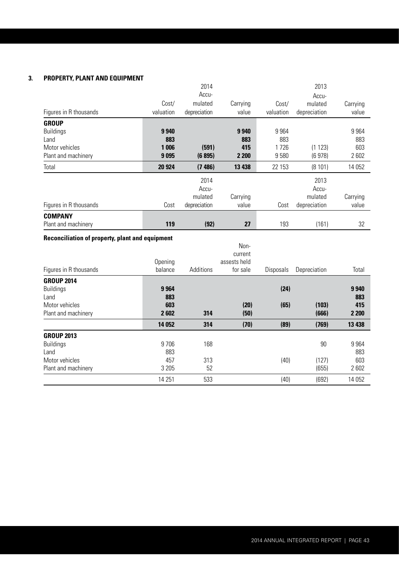### **3. PROPERTY, PLANT AND EQUIPMENT**

|                        |           | 2014         |          |           | 2013         |          |
|------------------------|-----------|--------------|----------|-----------|--------------|----------|
|                        |           | Accu-        |          |           | Accu-        |          |
|                        | Cost/     | mulated      | Carrying | Cost/     | mulated      | Carrying |
| Figures in R thousands | valuation | depreciation | value    | valuation | depreciation | value    |
| <b>GROUP</b>           |           |              |          |           |              |          |
| <b>Buildings</b>       | 9940      |              | 9940     | 9964      |              | 9964     |
| Land                   | 883       |              | 883      | 883       |              | 883      |
| Motor vehicles         | 1 006     | (591)        | 415      | 1726      | (1123)       | 603      |
| Plant and machinery    | 9095      | (6895)       | 2 2 0 0  | 9580      | (6978)       | 2602     |
| Total                  | 20 9 24   | (7486)       | 13 4 38  | 22 153    | (8101)       | 14 052   |
|                        |           | 2014         |          |           | 2013         |          |
|                        |           | Accu-        |          |           | Accu-        |          |
|                        |           | mulated      | Carrying |           | mulated      | Carrying |
| Figures in R thousands | Cost      | depreciation | value    | Cost      | depreciation | value    |
| <b>COMPANY</b>         |           |              |          |           |              |          |
| Plant and machinery    | 119       | (92)         | 27       | 193       | (161)        | 32       |

## **Reconciliation of property, plant and equipment**

| Figures in R thousands                        | Opening<br>balance | Additions | Non-<br>current<br>assests held<br>for sale | Disposals | Depreciation   | Total          |
|-----------------------------------------------|--------------------|-----------|---------------------------------------------|-----------|----------------|----------------|
| <b>GROUP 2014</b><br><b>Buildings</b><br>Land | 9964<br>883        |           |                                             | (24)      |                | 9940<br>883    |
| Motor vehicles<br>Plant and machinery         | 603<br>2602        | 314       | (20)<br>(50)                                | (65)      | (103)<br>(666) | 415<br>2 2 0 0 |
|                                               | 14 0 52            | 314       | (70)                                        | (89)      | (769)          | 13 4 38        |
| <b>GROUP 2013</b>                             |                    |           |                                             |           |                |                |
| <b>Buildings</b><br>Land                      | 9 7 0 6<br>883     | 168       |                                             |           | 90             | 9964<br>883    |
| Motor vehicles                                | 457                | 313       |                                             | (40)      | (127)          | 603            |
| Plant and machinery                           | 3 2 0 5            | 52        |                                             |           | (655)          | 2602           |
|                                               | 14 2 51            | 533       |                                             | (40)      | (692)          | 14 052         |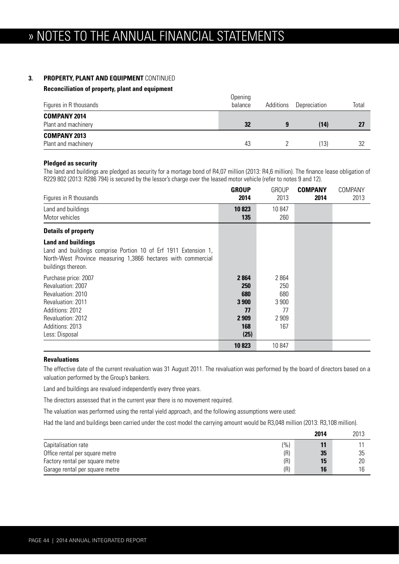### **3. PROPERTY, PLANT AND EQUIPMENT** CONTINUED

#### **Reconciliation of property, plant and equipment**

| Figures in R thousands                     | Opening<br>balance | Additions | Depreciation | Total |
|--------------------------------------------|--------------------|-----------|--------------|-------|
| <b>COMPANY 2014</b><br>Plant and machinery | 32                 | 9         | (14)         | 27    |
| <b>COMPANY 2013</b><br>Plant and machinery | 43                 |           | (13)         | 32    |

#### **Pledged as security**

The land and buildings are pledged as security for a mortage bond of R4,07 million (2013: R4,6 million). The finance lease obligation of R229 802 (2013: R286 794) is secured by the lessor's charge over the leased motor vehicle (refer to notes 9 and 12).

| Figures in R thousands                                                                                                                                                              | <b>GROUP</b><br>2014                                        | GROUP<br>2013                                       | <b>COMPANY</b><br>2014 | COMPANY<br>2013 |
|-------------------------------------------------------------------------------------------------------------------------------------------------------------------------------------|-------------------------------------------------------------|-----------------------------------------------------|------------------------|-----------------|
| Land and buildings<br>Motor vehicles                                                                                                                                                | 10823<br>135                                                | 10847<br>260                                        |                        |                 |
| <b>Details of property</b>                                                                                                                                                          |                                                             |                                                     |                        |                 |
| <b>Land and buildings</b><br>Land and buildings comprise Portion 10 of Erf 1911 Extension 1,<br>North-West Province measuring 1,3866 hectares with commercial<br>buildings thereon. |                                                             |                                                     |                        |                 |
| Purchase price: 2007<br>Revaluation: 2007<br>Revaluation: 2010<br><b>Revaluation: 2011</b><br>Additions: 2012<br><b>Revaluation: 2012</b><br>Additions: 2013<br>Less: Disposal      | 2864<br>250<br>680<br>3 900<br>77<br>2 9 0 9<br>168<br>(25) | 2864<br>250<br>680<br>3 900<br>77<br>2 9 0 9<br>167 |                        |                 |
|                                                                                                                                                                                     | 10823                                                       | 10847                                               |                        |                 |

#### **Revaluations**

The effective date of the current revaluation was 31 August 2011. The revaluation was performed by the board of directors based on a valuation performed by the Group's bankers.

Land and buildings are revalued independently every three years.

The directors assessed that in the current year there is no movement required.

The valuation was performed using the rental yield approach, and the following assumptions were used:

Had the land and buildings been carried under the cost model the carrying amount would be R3,048 million (2013: R3,108 million).

|                                 |       | 2014 | 2013 |
|---------------------------------|-------|------|------|
| Capitalisation rate             | (9/0) | 11   |      |
| Office rental per square metre  | (R)   | 35   | 35   |
| Factory rental per square metre | (R)   | 15   | 20   |
| Garage rental per square metre  | (R)   | 16   | 16   |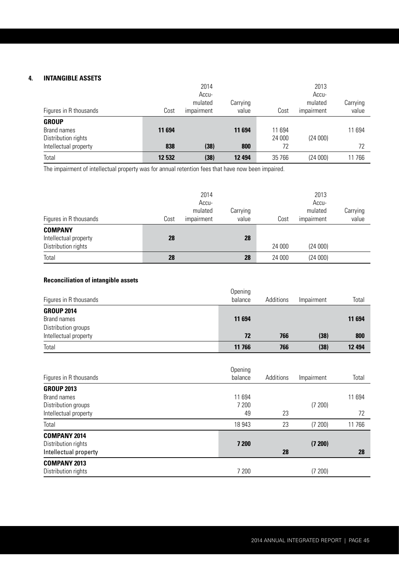## **4. INTANGIBLE ASSETS**

|                        |        | 2014<br>Accu- |          |        | 2013<br>Accu- |          |
|------------------------|--------|---------------|----------|--------|---------------|----------|
|                        |        | mulated       | Carrying |        | mulated       | Carrying |
| Figures in R thousands | Cost   | impairment    | value    | Cost   | impairment    | value    |
| <b>GROUP</b>           |        |               |          |        |               |          |
| Brand names            | 11 694 |               | 11 694   | 11 694 |               | 11 694   |
| Distribution rights    |        |               |          | 24 000 | (24000)       |          |
| Intellectual property  | 838    | (38)          | 800      | 72     |               | 72       |
| Total                  | 12 532 | (38)          | 12 4 94  | 35 766 | (24000)       | 11766    |

The impairment of intellectual property was for annual retention fees that have now been impaired.

|                                         |      | 2014<br>Accu-<br>mulated | Carrying |        | 2013<br>Accu-<br>mulated | Carrying |
|-----------------------------------------|------|--------------------------|----------|--------|--------------------------|----------|
| Figures in R thousands                  | Cost | impairment               | value    | Cost   | impairment               | value    |
| <b>COMPANY</b><br>Intellectual property | 28   |                          | 28       |        |                          |          |
| Distribution rights                     |      |                          |          | 24 000 | (24000)                  |          |
| Total                                   | 28   |                          | 28       | 24 000 | (24000)                  |          |

### **Reconciliation of intangible assets**

| Figures in R thousands | Opening<br>balance | Additions | Impairment | Total   |
|------------------------|--------------------|-----------|------------|---------|
| <b>GROUP 2014</b>      |                    |           |            |         |
| Brand names            | 11 694             |           |            | 11 694  |
| Distribution groups    |                    |           |            |         |
| Intellectual property  | 72                 | 766       | (38)       | 800     |
| Total                  | 11 766             | 766       | (38)       | 12 4 94 |

| Figures in R thousands | Opening<br>balance | Additions | Impairment | Total  |
|------------------------|--------------------|-----------|------------|--------|
| <b>GROUP 2013</b>      |                    |           |            |        |
| Brand names            | 11 694             |           |            | 11 694 |
| Distribution groups    | 7 200              |           | (7200)     |        |
| Intellectual property  | 49                 | 23        |            | 72     |
| Total                  | 18 943             | 23        | (7 200)    | 11766  |
| <b>COMPANY 2014</b>    |                    |           |            |        |
| Distribution rights    | 7 200              |           | (7200)     |        |
| Intellectual property  |                    | 28        |            | 28     |
| <b>COMPANY 2013</b>    |                    |           |            |        |
| Distribution rights    | 7 200              |           | (7200)     |        |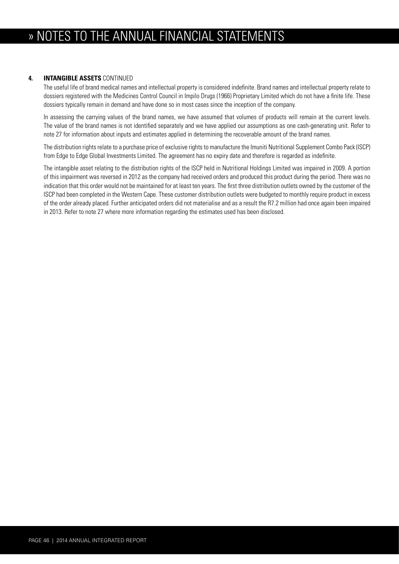#### **4. INTANGIBLE ASSETS** CONTINUED

 The useful life of brand medical names and intellectual property is considered indefinite. Brand names and intellectual property relate to dossiers registered with the Medicines Control Council in Impilo Drugs (1966) Proprietary Limited which do not have a finite life. These dossiers typically remain in demand and have done so in most cases since the inception of the company.

 In assessing the carrying values of the brand names, we have assumed that volumes of products will remain at the current levels. The value of the brand names is not identified separately and we have applied our assumptions as one cash-generating unit. Refer to note 27 for information about inputs and estimates applied in determining the recoverable amount of the brand names.

 The distribution rights relate to a purchase price of exclusive rights to manufacture the Imuniti Nutritional Supplement Combo Pack (ISCP) from Edge to Edge Global Investments Limited. The agreement has no expiry date and therefore is regarded as indefinite.

 The intangible asset relating to the distribution rights of the ISCP held in Nutritional Holdings Limited was impaired in 2009. A portion of this impairment was reversed in 2012 as the company had received orders and produced this product during the period. There was no indication that this order would not be maintained for at least ten years. The first three distribution outlets owned by the customer of the ISCP had been completed in the Western Cape. These customer distribution outlets were budgeted to monthly require product in excess of the order already placed. Further anticipated orders did not materialise and as a result the R7.2 million had once again been impaired in 2013. Refer to note 27 where more information regarding the estimates used has been disclosed.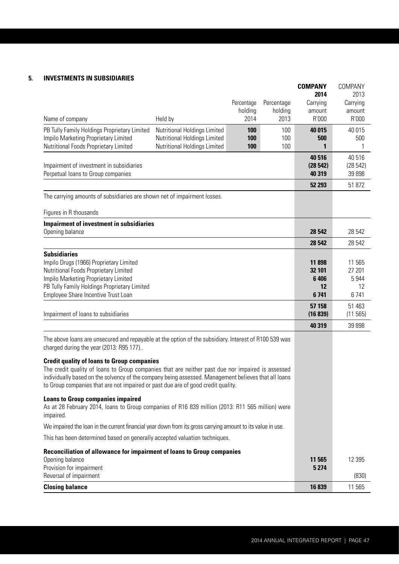## **5. INVESTMENTS IN SUBSIDIARIES**

|                                                                                                                                                                                          |                              |            |            | <b>COMPANY</b>    | COMPANY           |
|------------------------------------------------------------------------------------------------------------------------------------------------------------------------------------------|------------------------------|------------|------------|-------------------|-------------------|
|                                                                                                                                                                                          |                              | Percentage | Percentage | 2014<br>Carrying  | 2013<br>Carrying  |
|                                                                                                                                                                                          |                              | holding    | holding    | amount            | amount            |
| Name of company                                                                                                                                                                          | Held by                      | 2014       | 2013       | R'000             | R'000             |
| PB Tully Family Holdings Proprietary Limited                                                                                                                                             | Nutritional Holdings Limited | 100        | 100        | 40 015            | 40 015            |
| Impilo Marketing Proprietary Limited                                                                                                                                                     | Nutritional Holdings Limited | 100        | 100        | 500               | 500               |
| Nutritional Foods Proprietary Limited                                                                                                                                                    | Nutritional Holdings Limited | 100        | 100        | 1                 | 1                 |
|                                                                                                                                                                                          |                              |            |            | 40 516            | 40 516            |
| Impairment of investment in subsidiaries<br>Perpetual loans to Group companies                                                                                                           |                              |            |            | (28542)<br>40 319 | (28542)<br>39 898 |
|                                                                                                                                                                                          |                              |            |            | 52 293            | 51 872            |
| The carrying amounts of subsidiaries are shown net of impairment losses.                                                                                                                 |                              |            |            |                   |                   |
|                                                                                                                                                                                          |                              |            |            |                   |                   |
| Figures in R thousands                                                                                                                                                                   |                              |            |            |                   |                   |
| <b>Impairment of investment in subsidiaries</b>                                                                                                                                          |                              |            |            |                   |                   |
| Opening balance                                                                                                                                                                          |                              |            |            | 28 542            | 28 542            |
|                                                                                                                                                                                          |                              |            |            | 28 542            | 28 542            |
| <b>Subsidiaries</b><br>Impilo Drugs (1966) Proprietary Limited                                                                                                                           |                              |            |            | 11898             | 11 565            |
| Nutritional Foods Proprietary Limited                                                                                                                                                    |                              |            |            | 32 101            | 27 201            |
| Impilo Marketing Proprietary Limited                                                                                                                                                     |                              |            |            | 6 4 0 6           | 5944              |
| PB Tully Family Holdings Proprietary Limited                                                                                                                                             |                              |            |            | 12                | 12                |
| Employee Share Incentive Trust Loan                                                                                                                                                      |                              |            |            | 6741              | 6741              |
|                                                                                                                                                                                          |                              |            |            | 57 158            | 51 463            |
| Impairment of loans to subsidiaries                                                                                                                                                      |                              |            |            | (16 839)          | (11565)           |
|                                                                                                                                                                                          |                              |            |            | 40 319            | 39 898            |
| The above loans are unsecured and repayable at the option of the subsidiary. Interest of R100 539 was<br>charged during the year (2013: R95 177)                                         |                              |            |            |                   |                   |
| <b>Credit quality of loans to Group companies</b>                                                                                                                                        |                              |            |            |                   |                   |
| The credit quality of loans to Group companies that are neither past due nor impaired is assessed                                                                                        |                              |            |            |                   |                   |
| individually based on the solvency of the company being assessed. Management believes that all loans<br>to Group companies that are not impaired or past due are of good credit quality. |                              |            |            |                   |                   |
| <b>Loans to Group companies impaired</b>                                                                                                                                                 |                              |            |            |                   |                   |
| As at 28 February 2014, Ioans to Group companies of R16 839 million (2013: R11 565 million) were<br>impaired.                                                                            |                              |            |            |                   |                   |
| We impaired the loan in the current financial year down from its gross carrying amount to its value in use.                                                                              |                              |            |            |                   |                   |
| This has been determined based on generally accepted valuation techniques.                                                                                                               |                              |            |            |                   |                   |
|                                                                                                                                                                                          |                              |            |            |                   |                   |
| Reconciliation of allowance for impairment of loans to Group companies<br>Opening balance                                                                                                |                              |            |            | 11 565            | 12 3 95           |
| Provision for impairment                                                                                                                                                                 |                              |            |            | 5 2 7 4           |                   |
| Reversal of impairment                                                                                                                                                                   |                              |            |            |                   | (830)             |
| <b>Closing balance</b>                                                                                                                                                                   |                              |            |            | 16839             | 11 565            |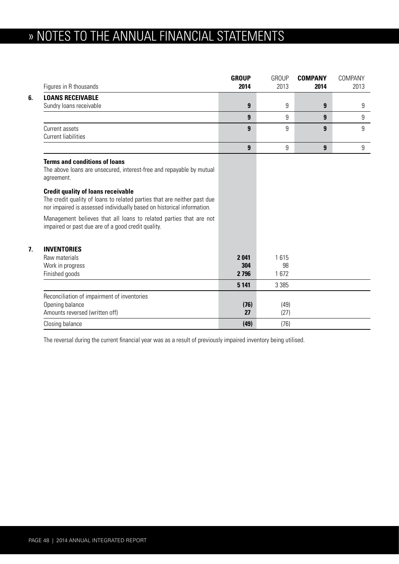# » NOTES TO THE ANNUAL FINANCIAL STATEMENTS

|    | Figures in R thousands                                                                                                                                                                          | <b>GROUP</b><br>2014 | <b>GROUP</b><br>2013 | <b>COMPANY</b><br>2014 | COMPANY<br>2013 |
|----|-------------------------------------------------------------------------------------------------------------------------------------------------------------------------------------------------|----------------------|----------------------|------------------------|-----------------|
| 6. | <b>LOANS RECEIVABLE</b>                                                                                                                                                                         |                      |                      |                        |                 |
|    | Sundry loans receivable                                                                                                                                                                         | 9                    | 9                    | 9                      | 9               |
|    |                                                                                                                                                                                                 | 9                    | 9                    | 9                      | 9               |
|    | Current assets                                                                                                                                                                                  | 9                    | 9                    | 9                      | 9               |
|    | <b>Current liabilities</b>                                                                                                                                                                      |                      |                      |                        |                 |
|    |                                                                                                                                                                                                 | 9                    | 9                    | 9                      | 9               |
|    | <b>Terms and conditions of loans</b><br>The above loans are unsecured, interest-free and repayable by mutual<br>agreement.                                                                      |                      |                      |                        |                 |
|    | <b>Credit quality of loans receivable</b><br>The credit quality of loans to related parties that are neither past due<br>nor impaired is assessed individually based on historical information. |                      |                      |                        |                 |
|    | Management believes that all loans to related parties that are not<br>impaired or past due are of a good credit quality.                                                                        |                      |                      |                        |                 |
| 7. | <b>INVENTORIES</b>                                                                                                                                                                              |                      |                      |                        |                 |
|    | Raw materials                                                                                                                                                                                   | 2041                 | 1615                 |                        |                 |
|    | Work in progress                                                                                                                                                                                | 304                  | 98                   |                        |                 |
|    | Finished goods                                                                                                                                                                                  | 2 7 9 6              | 1672                 |                        |                 |
|    |                                                                                                                                                                                                 | 5 1 4 1              | 3 3 8 5              |                        |                 |
|    | Reconciliation of impairment of inventories                                                                                                                                                     |                      |                      |                        |                 |
|    | Opening balance                                                                                                                                                                                 | (76)                 | (49)                 |                        |                 |
|    | Amounts reversed (written off)                                                                                                                                                                  | 27                   | (27)                 |                        |                 |
|    | Closing balance                                                                                                                                                                                 | (49)                 | (76)                 |                        |                 |

The reversal during the current financial year was as a result of previously impaired inventory being utilised.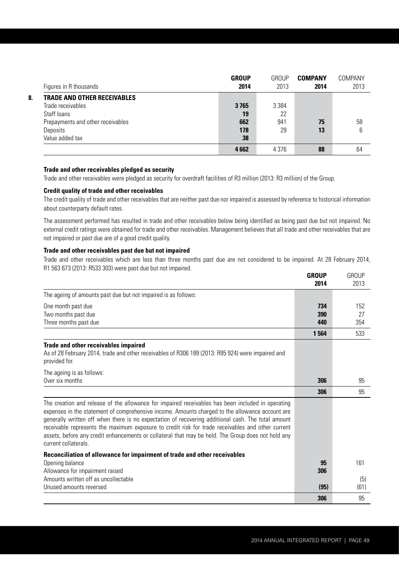|    | Figures in R thousands             | <b>GROUP</b><br>2014 | GROUP<br>2013 | <b>COMPANY</b><br>2014 | COMPANY<br>2013 |
|----|------------------------------------|----------------------|---------------|------------------------|-----------------|
| 8. | <b>TRADE AND OTHER RECEIVABLES</b> |                      |               |                        |                 |
|    | Trade receivables                  | 3765                 | 3 3 8 4       |                        |                 |
|    | Staff loans                        | 19                   | 22            |                        |                 |
|    | Prepayments and other receivables  | 662                  | 941           | 75                     | 58              |
|    | Deposits                           | 178                  | 29            | 13                     | 6               |
|    | Value added tax                    | 38                   |               |                        |                 |
|    |                                    | 4662                 | 4 3 7 6       | 88                     | 64              |

#### **Trade and other receivables pledged as security**

Trade and other receivables were pledged as security for overdraft facilities of R3 million (2013: R3 million) of the Group.

#### **Credit quality of trade and other receivables**

 The credit quality of trade and other receivables that are neither past due nor impaired is assessed by reference to historical information about counterparty default rates.

 The assessment performed has resulted in trade and other receivables below being identified as being past due but not impaired. No external credit ratings were obtained for trade and other receivables. Management believes that all trade and other receivables that are not impaired or past due are of a good credit quality.

#### **Trade and other receivables past due but not impaired**

 Trade and other receivables which are less than three months past due are not considered to be impaired. At 28 February 2014, R1 563 673 (2013: R533 303) were past due but not impaired. **GROUP** GROUP

|                                                                                                                                                                                                                                                                                                                                                                                                                                                                                                                                               | GKUUP<br>2014 | GROUP<br>2013 |
|-----------------------------------------------------------------------------------------------------------------------------------------------------------------------------------------------------------------------------------------------------------------------------------------------------------------------------------------------------------------------------------------------------------------------------------------------------------------------------------------------------------------------------------------------|---------------|---------------|
| The ageing of amounts past due but not impaired is as follows:                                                                                                                                                                                                                                                                                                                                                                                                                                                                                |               |               |
| One month past due<br>Two months past due                                                                                                                                                                                                                                                                                                                                                                                                                                                                                                     | 734<br>390    | 152<br>27     |
| Three months past due                                                                                                                                                                                                                                                                                                                                                                                                                                                                                                                         | 440           | 354           |
|                                                                                                                                                                                                                                                                                                                                                                                                                                                                                                                                               | 1 5 6 4       | 533           |
| <b>Trade and other receivables impaired</b><br>As of 28 February 2014, trade and other receivables of R306 189 (2013: R95 924) were impaired and<br>provided for.                                                                                                                                                                                                                                                                                                                                                                             |               |               |
| The ageing is as follows:<br>Over six months                                                                                                                                                                                                                                                                                                                                                                                                                                                                                                  | 306           | 95            |
|                                                                                                                                                                                                                                                                                                                                                                                                                                                                                                                                               | 306           | 95            |
| The creation and release of the allowance for impaired receivables has been included in operating<br>expenses in the statement of comprehensive income. Amounts charged to the allowance account are<br>generally written off when there is no expectation of recovering additional cash. The total amount<br>receivable represents the maximum exposure to credit risk for trade receivables and other current<br>assets, before any credit enhancements or collateral that may be held. The Group does not hold any<br>current collaterals. |               |               |
| Reconciliation of allowance for impairment of trade and other receivables                                                                                                                                                                                                                                                                                                                                                                                                                                                                     |               |               |
| Opening balance                                                                                                                                                                                                                                                                                                                                                                                                                                                                                                                               | 95<br>306     | 161           |
| Allowance for impairment raised<br>Amounts written off as uncollectable<br>Unused amounts reversed                                                                                                                                                                                                                                                                                                                                                                                                                                            | (95)          | (5)<br>(61)   |
|                                                                                                                                                                                                                                                                                                                                                                                                                                                                                                                                               | 306           | 95            |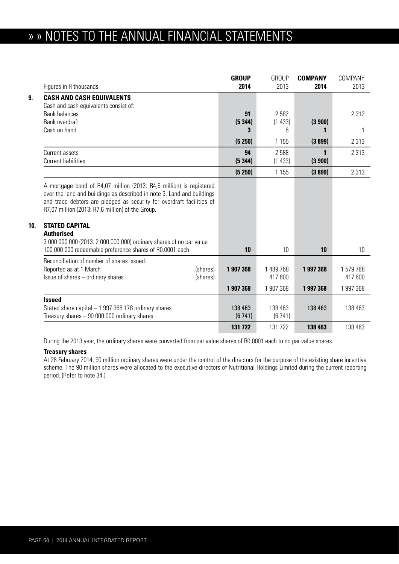## » » NOTES TO THE ANNUAL FINANCIAL STATEMENTS

|                 | Figures in R thousands                                                                                                                                                                                                                                                                                                   | <b>GROUP</b><br>2014 | <b>GROUP</b><br>2013 | <b>COMPANY</b><br>2014 | COMPANY<br>2013    |
|-----------------|--------------------------------------------------------------------------------------------------------------------------------------------------------------------------------------------------------------------------------------------------------------------------------------------------------------------------|----------------------|----------------------|------------------------|--------------------|
| 9.              | <b>CASH AND CASH EQUIVALENTS</b><br>Cash and cash equivalents consist of:                                                                                                                                                                                                                                                |                      |                      |                        |                    |
|                 | <b>Bank balances</b>                                                                                                                                                                                                                                                                                                     | 91                   | 2582                 |                        | 2 3 1 2            |
|                 | Bank overdraft<br>Cash on hand                                                                                                                                                                                                                                                                                           | (5344)<br>3          | (1433)<br>6          | (3900)                 | 1                  |
|                 |                                                                                                                                                                                                                                                                                                                          |                      |                      |                        |                    |
|                 |                                                                                                                                                                                                                                                                                                                          | (5250)               | 1 1 5 5              | (3899)                 | 2 3 1 3            |
|                 | Current assets<br><b>Current liabilities</b>                                                                                                                                                                                                                                                                             | 94<br>(5344)         | 2 5 8 8<br>(1433)    | 1<br>(3900)            | 2 3 1 3            |
|                 |                                                                                                                                                                                                                                                                                                                          | (5 250)              | 1 1 5 5              | (3899)                 | 2 3 1 3            |
| 10 <sub>1</sub> | A mortgage bond of R4,07 million (2013: R4,6 million) is registered<br>over the land and buildings as described in note 3. Land and buildings<br>and trade debtors are pledged as security for overdraft facilities of<br>R7,07 million (2013: R7,6 million) of the Group.<br><b>STATED CAPITAL</b><br><b>Authorised</b> |                      |                      |                        |                    |
|                 | 3 000 000 000 (2013: 2 000 000 000) ordinary shares of no par value<br>100 000 000 redeemable preference shares of R0.0001 each                                                                                                                                                                                          | 10                   | 10                   | 10                     | 10                 |
|                 | Reconciliation of number of shares issued:<br>Reported as at 1 March<br>(shares)<br>Issue of shares - ordinary shares<br>(shares)                                                                                                                                                                                        | 1 907 368            | 1 489 768<br>417 600 | 1997368                | 1579768<br>417 600 |
|                 |                                                                                                                                                                                                                                                                                                                          | 1 907 368            | 1 907 368            | 1997368                | 1 997 368          |
|                 | <b>Issued</b><br>Stated share capital - 1 997 368 178 ordinary shares<br>Treasury shares $-90000000$ ordinary shares                                                                                                                                                                                                     | 138 463<br>(6741)    | 138 463<br>(6741)    | 138 463                | 138 463            |
|                 |                                                                                                                                                                                                                                                                                                                          | 131 722              | 131 722              | 138 463                | 138 463            |

During the 2013 year, the ordinary shares were converted from par value shares of R0,0001 each to no par value shares.

#### **Treasury shares**

At 28 February 2014, 90 million ordinary shares were under the control of the directors for the purpose of the existing share incentive scheme. The 90 million shares were allocated to the executive directors of Nutritional Holdings Limited during the current reporting period. (Refer to note 34.)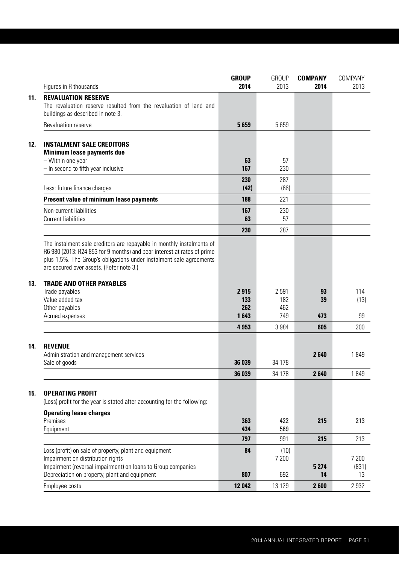|                                                                                                                                                                                                                                                                     | <b>GROUP</b><br>2014 | <b>GROUP</b><br>2013 | <b>COMPANY</b><br>2014 | COMPANY        |
|---------------------------------------------------------------------------------------------------------------------------------------------------------------------------------------------------------------------------------------------------------------------|----------------------|----------------------|------------------------|----------------|
| Figures in R thousands                                                                                                                                                                                                                                              |                      |                      |                        | 2013           |
| <b>REVALUATION RESERVE</b><br>The revaluation reserve resulted from the revaluation of land and<br>buildings as described in note 3.                                                                                                                                |                      |                      |                        |                |
| Revaluation reserve                                                                                                                                                                                                                                                 | 5659                 | 5659                 |                        |                |
| <b>INSTALMENT SALE CREDITORS</b><br><b>Minimum lease payments due</b>                                                                                                                                                                                               |                      |                      |                        |                |
| - Within one year<br>- In second to fifth year inclusive                                                                                                                                                                                                            | 63<br>167            | 57<br>230            |                        |                |
| Less: future finance charges                                                                                                                                                                                                                                        | 230<br>(42)          | 287<br>(66)          |                        |                |
| <b>Present value of minimum lease payments</b>                                                                                                                                                                                                                      | 188                  | 221                  |                        |                |
| Non-current liabilities<br><b>Current liabilities</b>                                                                                                                                                                                                               | 167<br>63            | 230<br>57            |                        |                |
|                                                                                                                                                                                                                                                                     | 230                  | 287                  |                        |                |
| The instalment sale creditors are repayable in monthly instalments of<br>R6 980 (2013: R24 853 for 9 months) and bear interest at rates of prime<br>plus 1,5%. The Group's obligations under instalment sale agreements<br>are secured over assets. (Refer note 3.) |                      |                      |                        |                |
| <b>TRADE AND OTHER PAYABLES</b>                                                                                                                                                                                                                                     |                      |                      |                        |                |
| Trade payables<br>Value added tax                                                                                                                                                                                                                                   | 2915<br>133          | 2591<br>182          | 93<br>39               | 114<br>(13)    |
| Other payables<br>Acrued expenses                                                                                                                                                                                                                                   | 262<br>1643          | 462<br>749           | 473                    | 99             |
|                                                                                                                                                                                                                                                                     | 4953                 | 3 9 8 4              | 605                    | 200            |
| <b>REVENUE</b><br>Administration and management services                                                                                                                                                                                                            |                      |                      | 2640                   | 1849           |
| Sale of goods                                                                                                                                                                                                                                                       | 36 039               | 34 178               |                        |                |
|                                                                                                                                                                                                                                                                     | 36 039               | 34 178               | 2640                   | 1849           |
| <b>OPERATING PROFIT</b><br>(Loss) profit for the year is stated after accounting for the following:                                                                                                                                                                 |                      |                      |                        |                |
| <b>Operating lease charges</b><br>Premises                                                                                                                                                                                                                          | 363                  | 422                  | 215                    | 213            |
| Equipment                                                                                                                                                                                                                                                           | 434                  | 569                  |                        |                |
|                                                                                                                                                                                                                                                                     | 797                  | 991                  | 215                    | 213            |
| Loss (profit) on sale of property, plant and equipment<br>Impairment on distribution rights<br>Impairment (reversal impairment) on loans to Group companies                                                                                                         | 84                   | (10)<br>7 200        | 5 2 7 4                | 7 200<br>(831) |
| Depreciation on property, plant and equipment                                                                                                                                                                                                                       | 807                  | 692                  | 14                     | 13             |
| Employee costs                                                                                                                                                                                                                                                      | 12 042               | 13 1 29              | 2600                   | 2 9 3 2        |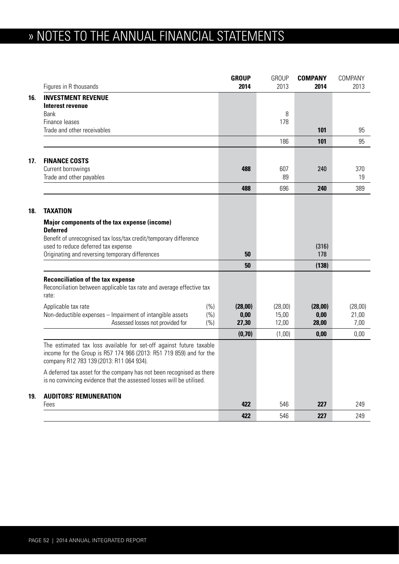# » NOTES TO THE ANNUAL FINANCIAL STATEMENTS

|     | Figures in R thousands                                                                                                                                                                 | <b>GROUP</b><br>2014 | <b>GROUP</b><br>2013 | <b>COMPANY</b><br>2014 | COMPANY<br>2013 |
|-----|----------------------------------------------------------------------------------------------------------------------------------------------------------------------------------------|----------------------|----------------------|------------------------|-----------------|
| 16. | <b>INVESTMENT REVENUE</b>                                                                                                                                                              |                      |                      |                        |                 |
|     | Interest revenue                                                                                                                                                                       |                      |                      |                        |                 |
|     | Bank<br>Finance leases                                                                                                                                                                 |                      | 8<br>178             |                        |                 |
|     | Trade and other receivables                                                                                                                                                            |                      |                      | 101                    | 95              |
|     |                                                                                                                                                                                        |                      | 186                  | 101                    | 95              |
|     |                                                                                                                                                                                        |                      |                      |                        |                 |
| 17. | <b>FINANCE COSTS</b>                                                                                                                                                                   |                      |                      |                        |                 |
|     | Current borrowings                                                                                                                                                                     | 488                  | 607                  | 240                    | 370             |
|     | Trade and other payables                                                                                                                                                               |                      | 89                   |                        | 19              |
|     |                                                                                                                                                                                        | 488                  | 696                  | 240                    | 389             |
|     |                                                                                                                                                                                        |                      |                      |                        |                 |
| 18. | <b>TAXATION</b>                                                                                                                                                                        |                      |                      |                        |                 |
|     | Major components of the tax expense (income)                                                                                                                                           |                      |                      |                        |                 |
|     | <b>Deferred</b>                                                                                                                                                                        |                      |                      |                        |                 |
|     | Benefit of unrecognised tax loss/tax credit/temporary difference<br>used to reduce deferred tax expense                                                                                |                      |                      | (316)                  |                 |
|     | Originating and reversing temporary differences                                                                                                                                        | 50                   |                      | 178                    |                 |
|     |                                                                                                                                                                                        | 50                   |                      | (138)                  |                 |
|     |                                                                                                                                                                                        |                      |                      |                        |                 |
|     | <b>Reconciliation of the tax expense</b><br>Reconciliation between applicable tax rate and average effective tax<br>rate:                                                              |                      |                      |                        |                 |
|     | (% )<br>Applicable tax rate                                                                                                                                                            | (28,00)              | (28,00)              | (28,00)                | (28,00)         |
|     | Non-deductible expenses - Impairment of intangible assets<br>(% )                                                                                                                      | 0,00                 | 15,00                | 0,00                   | 21,00           |
|     | Assessed losses not provided for<br>(% )                                                                                                                                               | 27,30                | 12,00                | 28,00                  | 7,00            |
|     |                                                                                                                                                                                        | (0, 70)              | (1,00)               | 0.00                   | 0,00            |
|     | The estimated tax loss available for set-off against future taxable<br>income for the Group is R57 174 966 (2013: R51 719 859) and for the<br>company R12 783 139 (2013: R11 064 934). |                      |                      |                        |                 |
|     | A deferred tax asset for the company has not been recognised as there<br>is no convincing evidence that the assessed losses will be utilised.                                          |                      |                      |                        |                 |
| 19. | <b>AUDITORS' REMUNERATION</b>                                                                                                                                                          |                      |                      |                        |                 |
|     | Fees                                                                                                                                                                                   | 422                  | 546                  | 227                    | 249             |
|     |                                                                                                                                                                                        | 422                  | 546                  | 227                    | 249             |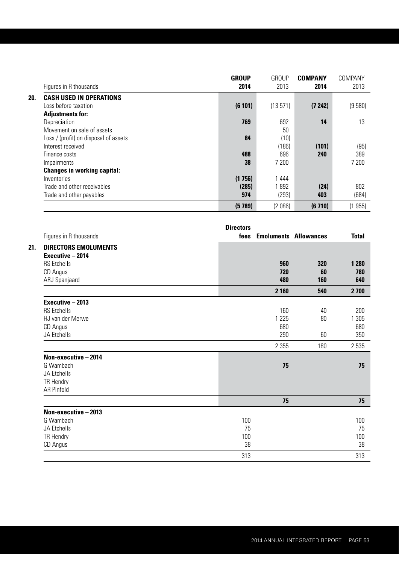|                                       | <b>GROUP</b> | <b>GROUP</b> | <b>COMPANY</b> | COMPANY |
|---------------------------------------|--------------|--------------|----------------|---------|
| Figures in R thousands                | 2014         | 2013         | 2014           | 2013    |
| <b>CASH USED IN OPERATIONS</b><br>20. |              |              |                |         |
| Loss before taxation                  | (6101)       | (13571)      | (7242)         | (9580)  |
| <b>Adjustments for:</b>               |              |              |                |         |
| Depreciation                          | 769          | 692          | 14             | 13      |
| Movement on sale of assets            |              | 50           |                |         |
| Loss / (profit) on disposal of assets | 84           | (10)         |                |         |
| Interest received                     |              | (186)        | (101)          | (95)    |
| Finance costs                         | 488          | 696          | 240            | 389     |
| Impairments                           | 38           | 7 200        |                | 7 200   |
| <b>Changes in working capital:</b>    |              |              |                |         |
| Inventories                           | (1756)       | 1 4 4 4      |                |         |
| Trade and other receivables           | (285)        | 1892         | (24)           | 802     |
| Trade and other payables              | 974          | (293)        | 403            | (684)   |
|                                       | (5789)       | (2 086)      | (6710)         | (1955)  |

|                             | <b>Directors</b> |                              |              |
|-----------------------------|------------------|------------------------------|--------------|
| Figures in R thousands      | fees             | <b>Emoluments Allowances</b> | <b>Total</b> |
| <b>DIRECTORS EMOLUMENTS</b> |                  |                              |              |
| Executive - 2014            |                  |                              |              |
| <b>RS</b> Etchells          | 960              | 320                          | 1 2 8 0      |
| CD Angus                    | 720              | 60                           | 780          |
| ARJ Spanjaard               | 480              | 160                          | 640          |
|                             | 2 1 6 0          | 540                          | 2 700        |
| Executive - 2013            |                  |                              |              |
| <b>RS</b> Etchells          | 160              | 40                           | 200          |
| HJ van der Merwe            | 1 2 2 5          | 80                           | 1 3 0 5      |
| CD Angus                    | 680              |                              | 680          |
| JA Etchells                 | 290              | 60                           | 350          |
|                             | 2 3 5 5          | 180                          | 2 5 3 5      |
| Non-executive - 2014        |                  |                              |              |
| G Wambach                   | 75               |                              | 75           |
| JA Etchells                 |                  |                              |              |
| <b>TR Hendry</b>            |                  |                              |              |
| <b>AR Pinfold</b>           |                  |                              |              |
|                             | 75               |                              | 75           |
| Non-executive - 2013        |                  |                              |              |
| G Wambach                   | 100              |                              | 100          |
| JA Etchells                 | 75               |                              | 75           |
| <b>TR Hendry</b>            | 100              |                              | 100          |
| CD Angus                    | 38               |                              | 38           |
|                             | 313              |                              | 313          |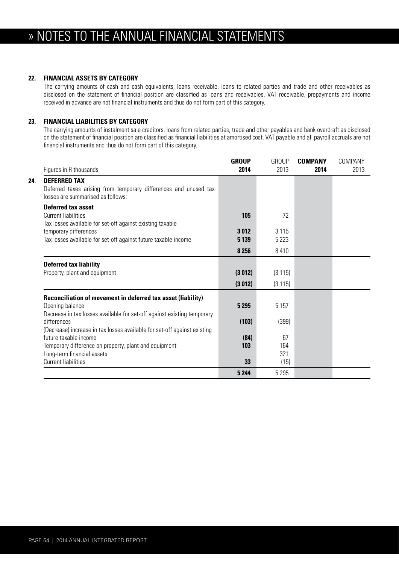#### **22. FINANCIAL ASSETS BY CATEGORY**

The carrying amounts of cash and cash equivalents, loans receivable, loans to related parties and trade and other receivables as disclosed on the statement of financial position are classified as loans and receivables. VAT receivable, prepayments and income received in advance are not financial instruments and thus do not form part of this category.

### **23. FINANCIAL LIABILITIES BY CATEGORY**

The carrying amounts of instalment sale creditors, loans from related parties, trade and other payables and bank overdraft as disclosed on the statement of financial position are classified as financial liabilities at amortised cost. VAT payable and all payroll accruals are not financial instruments and thus do not form part of this category.

| Figures in R thousands                                                                                                                                     | <b>GROUP</b><br>2014 | <b>GROUP</b><br>2013 | <b>COMPANY</b><br>2014 | COMPANY<br>2013 |
|------------------------------------------------------------------------------------------------------------------------------------------------------------|----------------------|----------------------|------------------------|-----------------|
| <b>DEFERRED TAX</b><br>24.<br>Deferred taxes arising from temporary differences and unused tax<br>losses are summarised as follows:                        |                      |                      |                        |                 |
| Deferred tax asset<br>Current liabilities<br>Tax losses available for set-off against existing taxable                                                     | 105                  | 72                   |                        |                 |
| temporary differences<br>Tax losses available for set-off against future taxable income                                                                    | 3012<br>5 1 3 9      | 3 1 1 5<br>5 2 2 3   |                        |                 |
|                                                                                                                                                            | 8 2 5 6              | 8410                 |                        |                 |
| <b>Deferred tax liability</b>                                                                                                                              |                      |                      |                        |                 |
| Property, plant and equipment                                                                                                                              | (3012)               | (3115)               |                        |                 |
|                                                                                                                                                            | (3012)               | (3115)               |                        |                 |
| Reconciliation of movement in deferred tax asset (liability)<br>Opening balance<br>Decrease in tax losses available for set-off against existing temporary | 5 2 9 5              | 5 1 5 7              |                        |                 |
| differences<br>(Decrease) increase in tax losses available for set-off against existing                                                                    | (103)                | (399)                |                        |                 |
| future taxable income<br>Temporary difference on property, plant and equipment<br>Long-term financial assets                                               | (84)<br>103          | 67<br>164<br>321     |                        |                 |
| <b>Current liabilities</b>                                                                                                                                 | 33                   | (15)                 |                        |                 |
|                                                                                                                                                            | 5 2 4 4              | 5 2 9 5              |                        |                 |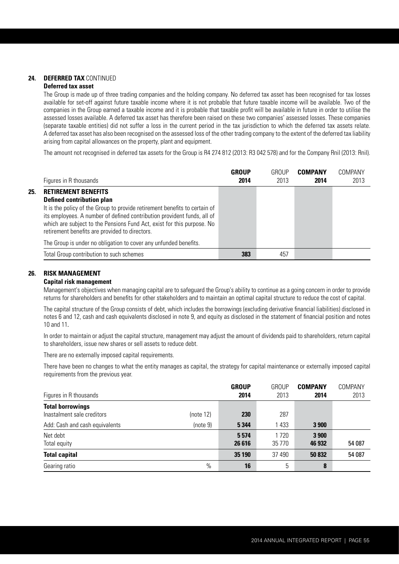## **24. DEFERRED TAX** CONTINUED

## **Deferred tax asset**

The Group is made up of three trading companies and the holding company. No deferred tax asset has been recognised for tax losses available for set-off against future taxable income where it is not probable that future taxable income will be available. Two of the companies in the Group earned a taxable income and it is probable that taxable profit will be available in future in order to utilise the assessed losses available. A deferred tax asset has therefore been raised on these two companies' assessed losses. These companies (separate taxable entities) did not suffer a loss in the current period in the tax jurisdiction to which the deferred tax assets relate. A deferred tax asset has also been recognised on the assessed loss of the other trading company to the extent of the deferred tax liability arising from capital allowances on the property, plant and equipment.

The amount not recognised in deferred tax assets for the Group is R4 274 812 (2013: R3 042 578) and for the Company Rnil (2013: Rnil).

|     | Figures in R thousands                                                                                                                                                                                                                                                                                                                              | GROUP<br>2014 | GROUP<br>2013 | <b>COMPANY</b><br>2014 | COMPANY<br>2013 |
|-----|-----------------------------------------------------------------------------------------------------------------------------------------------------------------------------------------------------------------------------------------------------------------------------------------------------------------------------------------------------|---------------|---------------|------------------------|-----------------|
| 25. | <b>RETIREMENT BENEFITS</b><br><b>Defined contribution plan</b><br>It is the policy of the Group to provide retirement benefits to certain of<br>its employees. A number of defined contribution provident funds, all of<br>which are subject to the Pensions Fund Act, exist for this purpose. No<br>retirement benefits are provided to directors. |               |               |                        |                 |
|     | The Group is under no obligation to cover any unfunded benefits.                                                                                                                                                                                                                                                                                    |               |               |                        |                 |
|     | Total Group contribution to such schemes                                                                                                                                                                                                                                                                                                            | 383           | 457           |                        |                 |

#### **26. RISK MANAGEMENT**

#### **Capital risk management**

Management's objectives when managing capital are to safeguard the Group's ability to continue as a going concern in order to provide returns for shareholders and benefits for other stakeholders and to maintain an optimal capital structure to reduce the cost of capital.

The capital structure of the Group consists of debt, which includes the borrowings (excluding derivative financial liabilities) disclosed in notes 6 and 12, cash and cash equivalents disclosed in note 9, and equity as disclosed in the statement of financial position and notes 10 and 11.

In order to maintain or adjust the capital structure, management may adjust the amount of dividends paid to shareholders, return capital to shareholders, issue new shares or sell assets to reduce debt.

There are no externally imposed capital requirements.

There have been no changes to what the entity manages as capital, the strategy for capital maintenance or externally imposed capital requirements from the previous year.

| Figures in R thousands                                                                  |                       | <b>GROUP</b><br>2014 | <b>GROUP</b><br>2013 | <b>COMPANY</b><br>2014 | COMPANY<br>2013 |
|-----------------------------------------------------------------------------------------|-----------------------|----------------------|----------------------|------------------------|-----------------|
| <b>Total borrowings</b><br>Inastalment sale creditors<br>Add: Cash and cash equivalents | (note 12)<br>(note 9) | 230<br>5 3 4 4       | 287<br>1 4 3 3       | 3 9 0 0                |                 |
| Net debt<br>Total equity                                                                |                       | 5574<br>26 616       | 1 7 2 0<br>35 7 7 0  | 3 9 0 0<br>46 932      | 54 087          |
| <b>Total capital</b>                                                                    |                       | 35 190               | 37 490               | 50 832                 | 54 087          |
| Gearing ratio                                                                           | $\%$                  | 16                   | 5                    | 8                      |                 |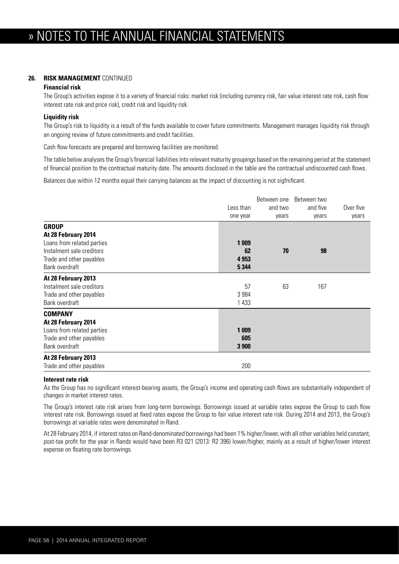#### **26. RISK MANAGEMENT** CONTINUED

#### **Financial risk**

The Group's activities expose it to a variety of financial risks: market risk (including currency risk, fair value interest rate risk, cash flow interest rate risk and price risk), credit risk and liquidity risk.

#### **Liquidity risk**

The Group's risk to liquidity is a result of the funds available to cover future commitments. Management manages liquidity risk through an ongoing review of future commitments and credit facilities.

Cash flow forecasts are prepared and borrowing facilities are monitored.

The table below analyses the Group's financial liabilities into relevant maturity groupings based on the remaining period at the statement of financial position to the contractual maturity date. The amounts disclosed in the table are the contractual undiscounted cash flows.

Balances due within 12 months equal their carrying balances as the impact of discounting is not sigfnificant.

|                                                                                                                                              | Less than<br>one year              | Between one<br>and two<br>years | Between two<br>and five<br>years | Over five<br>years |
|----------------------------------------------------------------------------------------------------------------------------------------------|------------------------------------|---------------------------------|----------------------------------|--------------------|
| <b>GROUP</b><br>At 28 February 2014<br>Loans from related parties<br>Instalment sale creditors<br>Trade and other payables<br>Bank overdraft | 1 0 0 9<br>62<br>4 9 53<br>5 3 4 4 | 70                              | 98                               |                    |
| At 28 February 2013<br>Instalment sale creditors<br>Trade and other payables<br>Bank overdraft                                               | 57<br>3 9 8 4<br>1 4 3 3           | 63                              | 167                              |                    |
| <b>COMPANY</b><br>At 28 February 2014<br>Loans from related parties<br>Trade and other payables<br>Bank overdraft                            | 1 0 0 9<br>605<br>3 900            |                                 |                                  |                    |
| At 28 February 2013<br>Trade and other payables                                                                                              | 200                                |                                 |                                  |                    |

#### **Interest rate risk**

As the Group has no significant interest-bearing assets, the Group's income and operating cash flows are substantially independent of changes in market interest rates.

The Group's interest rate risk arises from long-term borrowings. Borrowings issued at variable rates expose the Group to cash flow interest rate risk. Borrowings issued at fixed rates expose the Group to fair value interest rate risk. During 2014 and 2013, the Group's borrowings at variable rates were denominated in Rand.

At 28 February 2014, if interest rates on Rand-denominated borrowings had been 1% higher/lower, with all other variables held constant, post-tax profit for the year in Rands would have been R3 021 (2013: R2 396) lower/higher, mainly as a result of higher/lower interest expense on floating rate borrowings.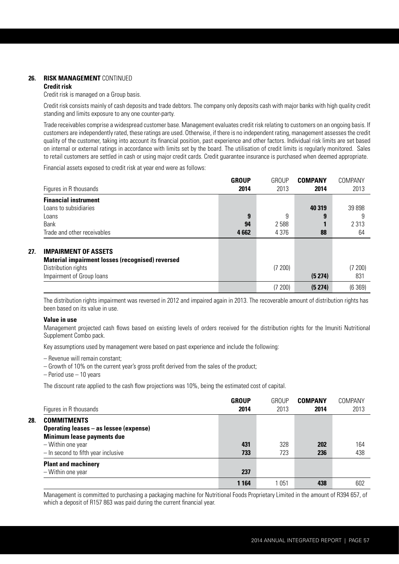## **26. RISK MANAGEMENT** CONTINUED

#### **Credit risk**

Credit risk is managed on a Group basis.

Credit risk consists mainly of cash deposits and trade debtors. The company only deposits cash with major banks with high quality credit standing and limits exposure to any one counter-party.

Trade receivables comprise a widespread customer base. Management evaluates credit risk relating to customers on an ongoing basis. If customers are independently rated, these ratings are used. Otherwise, if there is no independent rating, management assesses the credit quality of the customer, taking into account its financial position, past experience and other factors. Individual risk limits are set based on internal or external ratings in accordance with limits set by the board. The utilisation of credit limits is regularly monitored. Sales to retail customers are settled in cash or using major credit cards. Credit guarantee insurance is purchased when deemed appropriate.

Financial assets exposed to credit risk at year end were as follows:

|     | Figures in R thousands                                                                                                                     | <b>GROUP</b><br>2014 | GROUP<br>2013 | <b>COMPANY</b><br>2014 | COMPANY<br>2013 |
|-----|--------------------------------------------------------------------------------------------------------------------------------------------|----------------------|---------------|------------------------|-----------------|
|     | <b>Financial instrument</b>                                                                                                                |                      |               |                        |                 |
|     | Loans to subsidiaries                                                                                                                      | 9                    | 9             | 40 319<br>9            | 39 898<br>9     |
|     | Loans<br>Bank                                                                                                                              | 94                   | 2588          |                        | 2 3 1 3         |
|     | Trade and other receivables                                                                                                                | 4662                 | 4 376         | 88                     | 64              |
| 27. | <b>IMPAIRMENT OF ASSETS</b><br><b>Material impairment losses (recognised) reversed</b><br>Distribution rights<br>Impairment of Group loans |                      | (7 200)       | (5274)                 | (7 200)<br>831  |
|     |                                                                                                                                            |                      | (7200)        | (5274)                 | (6369)          |

The distribution rights impairment was reversed in 2012 and impaired again in 2013. The recoverable amount of distribution rights has been based on its value in use.

#### **Value in use**

Management projected cash flows based on existing levels of orders received for the distribution rights for the Imuniti Nutritional Supplement Combo pack.

Key assumptions used by management were based on past experience and include the following:

– Revenue will remain constant;

- Growth of 10% on the current year's gross profit derived from the sales of the product;
- Period use 10 years

The discount rate applied to the cash flow projections was 10%, being the estimated cost of capital.

| Figures in R thousands                                                                                                                                                 | GROUP<br>2014 | GROUP<br>2013 | <b>COMPANY</b><br>2014 | COMPANY<br>2013 |
|------------------------------------------------------------------------------------------------------------------------------------------------------------------------|---------------|---------------|------------------------|-----------------|
| 28.<br><b>COMMITMENTS</b><br>Operating leases - as lessee (expense)<br><b>Minimum lease payments due</b><br>- Within one year<br>$-$ In second to fifth year inclusive | 431<br>733    | 328<br>723    | 202<br>236             | 164<br>438      |
| <b>Plant and machinery</b><br>- Within one year                                                                                                                        | 237           |               |                        |                 |
|                                                                                                                                                                        | 1 1 6 4       | 1 051         | 438                    | 602             |

Management is committed to purchasing a packaging machine for Nutritional Foods Proprietary Limited in the amount of R394 657, of which a deposit of R157 863 was paid during the current financial year.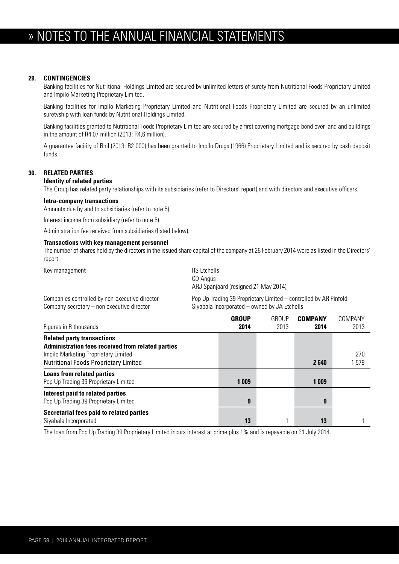## » NOTES TO THE ANNUAL FINANCIAL STATEMENTS

#### **29. CONTINGENCIES**

 Banking facilities for Nutritional Holdings Limited are secured by unlimited letters of surety from Nutritional Foods Proprietary Limited and Impilo Marketing Proprietary Limited.

 Banking facilities for Impilo Marketing Proprietary Limited and Nutritional Foods Proprietary Limited are secured by an unlimited suretyship with loan funds by Nutritional Holdings Limited.

 Banking facilities granted to Nutritional Foods Proprietary Limited are secured by a first covering mortgage bond over land and buildings in the amount of R4,07 million (2013: R4,6 million).

 A guarantee facility of Rnil (2013: R2 000) has been granted to Impilo Drugs (1966) Proprietary Limited and is secured by cash deposit funds.

#### **30. RELATED PARTIES**

#### **Identity of related parties**

The Group has related party relationships with its subsidiaries (refer to Directors' report) and with directors and executive officers.

#### **Intra-company transactions**

Amounts due by and to subsidiaries (refer to note 5).

Interest income from subsidiary (refer to note 5).

Administration fee received from subsidiaries (listed below).

#### **Transactions with key management personnel**

 The number of shares held by the directors in the issued share capital of the company at 28 February 2014 were as listed in the Directors' report.

Key management and research and research and research RS Etchells

 CD Angus ARJ Spanjaard (resigned 21 May 2014)

Company secretary – non executive director Siyabala Incorporated – owned by JA Etchells

Companies controlled by non-executive director Pop Up Trading 39 Proprietary Limited – controlled by AR Pinfold

| Figures in R thousands                                                                                                                                                                | <b>GROUP</b><br>2014 | <b>GROUP</b><br>2013 | <b>COMPANY</b><br>2014 | COMPANY<br>2013 |
|---------------------------------------------------------------------------------------------------------------------------------------------------------------------------------------|----------------------|----------------------|------------------------|-----------------|
| <b>Related party transactions</b><br><b>Administration fees received from related parties</b><br>Impilo Marketing Proprietary Limited<br><b>Nutritional Foods Proprietary Limited</b> |                      |                      | 2640                   | 270<br>1579     |
| <b>Loans from related parties</b><br>Pop Up Trading 39 Proprietary Limited                                                                                                            | 1 0 0 9              |                      | 1 009                  |                 |
| Interest paid to related parties<br>Pop Up Trading 39 Proprietary Limited                                                                                                             | 9                    |                      | 9                      |                 |
| Secretarial fees paid to related parties<br>Siyabala Incorporated                                                                                                                     | 13                   |                      | 13                     |                 |

The loan from Pop Up Trading 39 Proprietary Limited incurs interest at prime plus 1% and is repayable on 31 July 2014.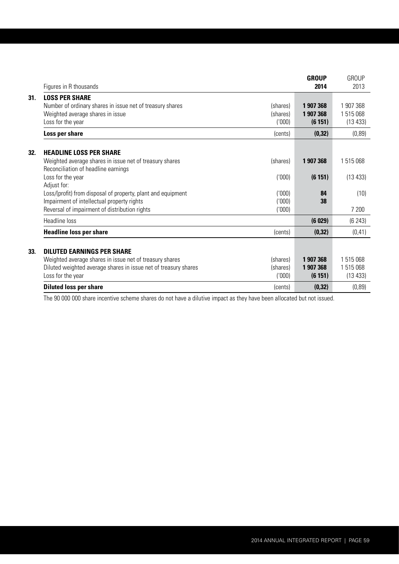|     |                                                                                                                                                             |                                | <b>GROUP</b>                     | <b>GROUP</b>                     |
|-----|-------------------------------------------------------------------------------------------------------------------------------------------------------------|--------------------------------|----------------------------------|----------------------------------|
|     | Figures in R thousands                                                                                                                                      |                                | 2014                             | 2013                             |
| 31. | <b>LOSS PER SHARE</b><br>Number of ordinary shares in issue net of treasury shares<br>Weighted average shares in issue<br>Loss for the year                 | (shares)<br>(shares)<br>(000)  | 1 907 368<br>1907368<br>(6151)   | 1 907 368<br>1515068<br>(13 433) |
|     | Loss per share                                                                                                                                              | (cents)                        | (0, 32)                          | (0, 89)                          |
| 32. | <b>HEADLINE LOSS PER SHARE</b><br>Weighted average shares in issue net of treasury shares<br>Reconciliation of headline earnings                            | (shares)                       | 1 907 368                        | 1515068                          |
|     | Loss for the year<br>Adjust for:                                                                                                                            | ('000)                         | (6151)                           | (13 433)                         |
|     | Loss/(profit) from disposal of property, plant and equipment<br>Impairment of intellectual property rights<br>Reversal of impairment of distribution rights | '000<br>(000)<br>(000)         | 84<br>38                         | (10)<br>7 200                    |
|     | Headline loss                                                                                                                                               |                                | (6029)                           | (6243)                           |
|     | <b>Headline loss per share</b>                                                                                                                              | (cents)                        | (0, 32)                          | (0, 41)                          |
| 33. | <b>DILUTED EARNINGS PER SHARE</b>                                                                                                                           |                                |                                  |                                  |
|     | Weighted average shares in issue net of treasury shares<br>Diluted weighted average shares in issue net of treasury shares<br>Loss for the year             | (shares)<br>(shares)<br>('000) | 1 907 368<br>1 907 368<br>(6151) | 1 515 068<br>1515068<br>(13 433) |
|     | <b>Diluted loss per share</b>                                                                                                                               | (cents)                        | (0, 32)                          | (0, 89)                          |

The 90 000 000 share incentive scheme shares do not have a dilutive impact as they have been allocated but not issued.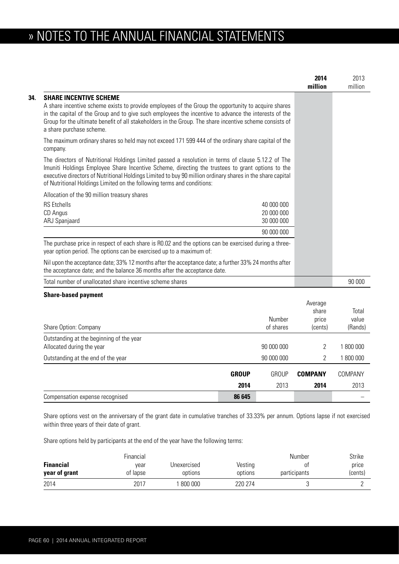# » NOTES TO THE ANNUAL FINANCIAL STATEMENTS

|                                                                                                                                                                                                                                                                                                                                                                                                |              |                                        | 2014<br>million           | 2013<br>million |
|------------------------------------------------------------------------------------------------------------------------------------------------------------------------------------------------------------------------------------------------------------------------------------------------------------------------------------------------------------------------------------------------|--------------|----------------------------------------|---------------------------|-----------------|
| <b>SHARE INCENTIVE SCHEME</b><br>A share incentive scheme exists to provide employees of the Group the opportunity to acquire shares<br>in the capital of the Group and to give such employees the incentive to advance the interests of the<br>Group for the ultimate benefit of all stakeholders in the Group. The share incentive scheme consists of<br>a share purchase scheme.            |              |                                        |                           |                 |
| The maximum ordinary shares so held may not exceed 171 599 444 of the ordinary share capital of the<br>company.                                                                                                                                                                                                                                                                                |              |                                        |                           |                 |
| The directors of Nutritional Holdings Limited passed a resolution in terms of clause 5.12.2 of The<br>Imuniti Holdings Employee Share Incentive Scheme, directing the trustees to grant options to the<br>executive directors of Nutritional Holdings Limited to buy 90 million ordinary shares in the share capital<br>of Nutritional Holdings Limited on the following terms and conditions: |              |                                        |                           |                 |
| Allocation of the 90 million treasury shares                                                                                                                                                                                                                                                                                                                                                   |              |                                        |                           |                 |
| <b>RS</b> Etchells<br>CD Angus<br>ARJ Spanjaard                                                                                                                                                                                                                                                                                                                                                |              | 40 000 000<br>20 000 000<br>30 000 000 |                           |                 |
|                                                                                                                                                                                                                                                                                                                                                                                                |              | 90 000 000                             |                           |                 |
| The purchase price in respect of each share is R0.02 and the options can be exercised during a three-<br>year option period. The options can be exercised up to a maximum of:                                                                                                                                                                                                                  |              |                                        |                           |                 |
| Nil upon the acceptance date; 33% 12 months after the acceptance date; a further 33% 24 months after<br>the acceptance date; and the balance 36 months after the acceptance date.                                                                                                                                                                                                              |              |                                        |                           |                 |
| Total number of unallocated share incentive scheme shares                                                                                                                                                                                                                                                                                                                                      |              |                                        |                           | 90 000          |
| <b>Share-based payment</b>                                                                                                                                                                                                                                                                                                                                                                     |              |                                        |                           |                 |
|                                                                                                                                                                                                                                                                                                                                                                                                |              | Number                                 | Average<br>share<br>price | Total<br>value  |
| Share Option: Company                                                                                                                                                                                                                                                                                                                                                                          |              | of shares                              | (cents)                   | (Rands)         |
| Outstanding at the beginning of the year<br>Allocated during the year                                                                                                                                                                                                                                                                                                                          |              | 90 000 000                             | $\overline{2}$            | 1 800 000       |
| Outstanding at the end of the year                                                                                                                                                                                                                                                                                                                                                             |              | 90 000 000                             | 2                         | 1800 000        |
|                                                                                                                                                                                                                                                                                                                                                                                                | <b>GROUP</b> | <b>GROUP</b>                           | <b>COMPANY</b>            | COMPANY         |
|                                                                                                                                                                                                                                                                                                                                                                                                | 2014         | 2013                                   | 2014                      | 2013            |
| Compensation expense recognised                                                                                                                                                                                                                                                                                                                                                                | 86 645       |                                        |                           |                 |

Share options vest on the anniversary of the grant date in cumulative tranches of 33.33% per annum. Options lapse if not exercised within three years of their date of grant.

Share options held by participants at the end of the year have the following terms:

|                  | Financial |             |         | Number       | Strike  |
|------------------|-----------|-------------|---------|--------------|---------|
| <b>Financial</b> | vear      | Unexercised | Vesting | 0Ť           | price   |
| year of grant    | of lapse  | options     | options | participants | (cents) |
| 2014             | 2017      | 800 000     | 220 274 |              |         |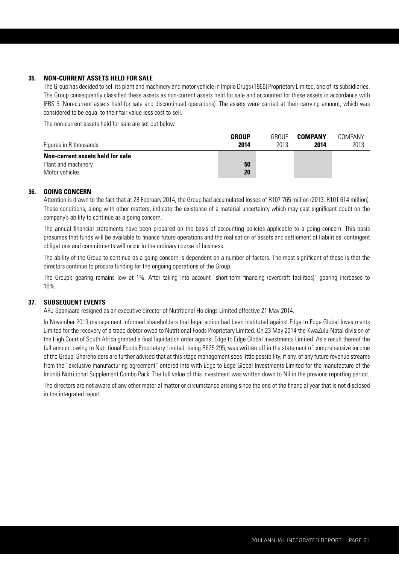#### **35. NON-CURRENT ASSETS HELD FOR SALE**

The Group has decided to sell its plant and machinery and motor vehicle in Impilo Drugs (1966) Proprietary Limited, one of its subsidiaries. The Group consequently classified these assets as non-current assets held for sale and accounted for these assets in accordance with IFRS 5 (Non-current assets held for sale and discontinued operations). The assets were carried at their carrying amount, which was considered to be equal to their fair value less cost to sell.

The non-current assets held for sale are set out below.

| Figures in R thousands           | <b>GROUP</b><br>2014 | GROUP<br>2013 | COMPANY<br>2014 | COMPANY<br>2013 |
|----------------------------------|----------------------|---------------|-----------------|-----------------|
| Non-current assets held for sale |                      |               |                 |                 |
| Plant and machinery              | 50                   |               |                 |                 |
| Motor vehicles                   | 20                   |               |                 |                 |

#### **36. GOING CONCERN**

Attention is drawn to the fact that at 28 February 2014, the Group had accumulated losses of R107 765 million (2013: R101 614 million). These conditions, along with other matters, indicate the existence of a material uncertainty which may cast significant doubt on the company's ability to continue as a going concern.

The annual financial statements have been prepared on the basis of accounting policies applicable to a going concern. This basis presumes that funds will be available to finance future operations and the realisation of assets and settlement of liabilities, contingent obligations and commitments will occur in the ordinary course of business.

The ability of the Group to continue as a going concern is dependent on a number of factors. The most significant of these is that the directors continue to procure funding for the ongoing operations of the Group.

The Group's gearing remains low at 1%. After taking into account "short-term financing (overdraft facilities)" gearing increases to 16%.

#### **37. SUBSEQUENT EVENTS**

ARJ Spanjaard resigned as an executive director of Nutritional Holdings Limited effective 21 May 2014.

In November 2013 management informed shareholders that legal action had been instituted against Edge to Edge Global Investments Limited for the recovery of a trade debtor owed to Nutritional Foods Proprietary Limited. On 23 May 2014 the KwaZulu-Natal division of the High Court of South Africa granted a final liquidation order against Edge to Edge Global Investments Limited. As a result thereof the full amount owing to Nutritional Foods Proprietary Limited, being R625 295, was written off in the statement of comprehensive income of the Group. Shareholders are further advised that at this stage management sees little possibility, if any, of any future revenue streams from the "exclusive manufacturing agreement" entered into with Edge to Edge Global Investments Limited for the manufacture of the Imuniti Nutritional Supplement Combo Pack. The full value of this investment was written down to Nil in the previous reporting period.

The directors are not aware of any other material matter or circumstance arising since the end of the financial year that is not disclosed in the integrated report.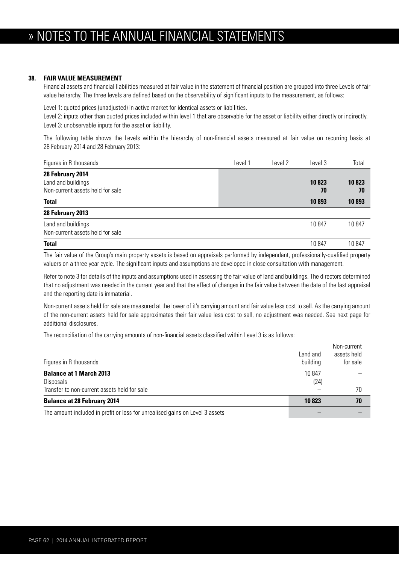## » NOTES TO THE ANNUAL FINANCIAL STATEMENTS

#### **38. FAIR VALUE MEASUREMENT**

Financial assets and financial liabilities measured at fair value in the statement of financial position are grouped into three Levels of fair value heirarchy. The three levels are defined based on the observability of significant inputs to the measurement, as follows:

Level 1: quoted prices (unadjusted) in active market for identical assets or liabilities.

Level 2: inputs other than quoted prices included within level 1 that are observable for the asset or liability either directly or indirectly. Level 3: unobservable inputs for the asset or liability.

The following table shows the Levels within the hierarchy of non-financial assets measured at fair value on recurring basis at 28 February 2014 and 28 February 2013:

| Figures in R thousands                                                     | Level 1 | Level 2 | Level 3     | Total       |
|----------------------------------------------------------------------------|---------|---------|-------------|-------------|
| 28 February 2014<br>Land and buildings<br>Non-current assets held for sale |         |         | 10823<br>70 | 10823<br>70 |
| <b>Total</b>                                                               |         |         | 10893       | 10893       |
| 28 February 2013                                                           |         |         |             |             |
| Land and buildings<br>Non-current assets held for sale                     |         |         | 10847       | 10847       |
| <b>Total</b>                                                               |         |         | 10847       | 10847       |

The fair value of the Group's main property assets is based on appraisals performed by independant, professionally-qualified property valuers on a three year cycle. The significant inputs and assumptions are developed in close consultation with management.

Refer to note 3 for details of the inputs and assumptions used in assessing the fair value of land and buildings. The directors determined that no adjustment was needed in the current year and that the effect of changes in the fair value between the date of the last appraisal and the reporting date is immaterial.

Non-current assets held for sale are measured at the lower of it's carrying amount and fair value less cost to sell. As the carrying amount of the non-current assets held for sale approximates their fair value less cost to sell, no adjustment was needed. See next page for additional disclosures.

The reconciliation of the carrying amounts of non-financial assets classified within Level 3 is as follows:

| Figures in R thousands                                                       | Land and<br>building | Non-current<br>assets held<br>for sale |
|------------------------------------------------------------------------------|----------------------|----------------------------------------|
| <b>Balance at 1 March 2013</b><br>Disposals                                  | 10847<br>(24)        |                                        |
| Transfer to non-current assets held for sale                                 |                      | 70                                     |
| <b>Balance at 28 February 2014</b>                                           | 10823                | 70                                     |
| The amount included in profit or loss for unrealised gains on Level 3 assets |                      |                                        |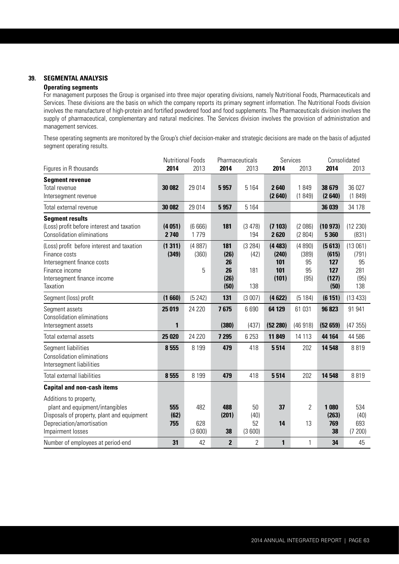## **39. SEGMENTAL ANALYSIS**

### **Operating segments**

 For management purposes the Group is organised into three major operating divisions, namely Nutritional Foods, Pharmaceuticals and Services. These divisions are the basis on which the company reports its primary segment information. The Nutritional Foods division involves the manufacture of high-protein and fortified powdered food and food supplements. The Pharmaceuticals division involves the supply of pharmaceutical, complementary and natural medicines. The Services division involves the provision of administration and management services.

 These operating segments are monitored by the Group's chief decision-maker and strategic decisions are made on the basis of adjusted segment operating results.

|                                                                                                                                                               |                    | <b>Nutritional Foods</b> |                                         | Pharmaceuticals               |                                        | Services                            |                                                | Consolidated                                 |
|---------------------------------------------------------------------------------------------------------------------------------------------------------------|--------------------|--------------------------|-----------------------------------------|-------------------------------|----------------------------------------|-------------------------------------|------------------------------------------------|----------------------------------------------|
| Figures in R thousands                                                                                                                                        | 2014               | 2013                     | 2014                                    | 2013                          | 2014                                   | 2013                                | 2014                                           | 2013                                         |
| <b>Segment revenue</b><br>Total revenue<br>Intersegment revenue                                                                                               | 30 082             | 29 0 14                  | 5957                                    | 5 1 6 4                       | 2640<br>(2640)                         | 1849<br>(1849)                      | 38 679<br>(2640)                               | 36 027<br>(1849)                             |
| Total external revenue                                                                                                                                        | 30 082             | 29 014                   | 5957                                    | 5 1 6 4                       |                                        |                                     | 36 039                                         | 34 178                                       |
| <b>Segment results</b><br>(Loss) profit before interest and taxation<br><b>Consolidation eliminations</b>                                                     | (4051)<br>2740     | (6666)<br>1779           | 181                                     | (3478)<br>194                 | (7103)<br>2620                         | (2086)<br>(2804)                    | (10973)<br>5 3 6 0                             | (12 230)<br>(831)                            |
| (Loss) profit before interest and taxation<br>Finance costs<br>Intersegment finance costs<br>Finance income<br>Intersegment finance income<br><b>Taxation</b> | (1311)<br>(349)    | (4887)<br>(360)<br>5     | 181<br>(26)<br>26<br>26<br>(26)<br>(50) | (3 284)<br>(42)<br>181<br>138 | (4483)<br>(240)<br>101<br>101<br>(101) | (4890)<br>(389)<br>95<br>95<br>(95) | (5613)<br>(615)<br>127<br>127<br>(127)<br>(50) | (13061)<br>(791)<br>95<br>281<br>(95)<br>138 |
| Segment (loss) profit                                                                                                                                         | (1660)             | (5242)                   | 131                                     | (3007)                        | (4622)                                 | (5184)                              | (6151)                                         | (13433)                                      |
| Segment assets<br><b>Consolidation eliminations</b><br>Intersegment assets                                                                                    | 25 019<br>1        | 24 220                   | 7675<br>(380)                           | 6690<br>(437)                 | 64 129<br>(52 280)                     | 61 031<br>(46918)                   | 96823<br>(52659)                               | 91 941<br>(47355)                            |
| Total external assets                                                                                                                                         | 25 0 20            | 24 2 20                  | 7 295                                   | 6 2 5 3                       | 11849                                  | 14 113                              | 44 164                                         | 44 586                                       |
| Segment liabilities<br><b>Consolidation eliminations</b><br>Intersegment liabilities                                                                          | 8555               | 8 1 9 9                  | 479                                     | 418                           | 5514                                   | 202                                 | 14 548                                         | 8819                                         |
| <b>Total external liabilities</b>                                                                                                                             | 8 5 5 5            | 8 1 9 9                  | 479                                     | 418                           | 5514                                   | 202                                 | 14 548                                         | 8819                                         |
| <b>Capital and non-cash items</b>                                                                                                                             |                    |                          |                                         |                               |                                        |                                     |                                                |                                              |
| Additions to property,<br>plant and equipment/intangibles<br>Disposals of property, plant and equipment<br>Depreciation/amortisation<br>Impairment losses     | 555<br>(62)<br>755 | 482<br>628<br>(3600)     | 488<br>(201)<br>38                      | 50<br>(40)<br>52<br>(3600)    | 37<br>14                               | $\overline{2}$<br>13                | 1080<br>(263)<br>769<br>38                     | 534<br>(40)<br>693<br>(7200)                 |
| Number of employees at period-end                                                                                                                             | 31                 | 42                       | $\overline{2}$                          | $\overline{2}$                | $\mathbf{1}$                           | $\mathbf{1}$                        | 34                                             | 45                                           |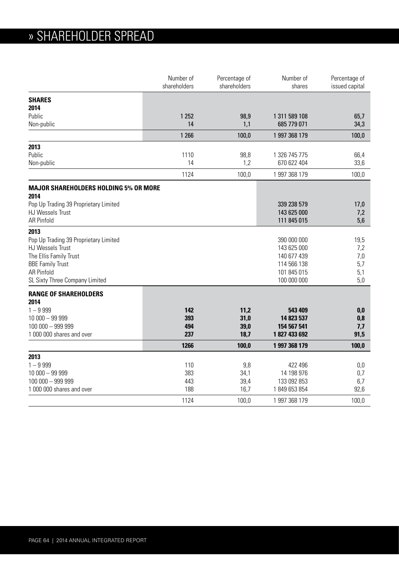|                                                      | Number of<br>shareholders | Percentage of<br>shareholders | Number of<br>shares         | Percentage of<br>issued capital |
|------------------------------------------------------|---------------------------|-------------------------------|-----------------------------|---------------------------------|
| <b>SHARES</b>                                        |                           |                               |                             |                                 |
| 2014                                                 |                           |                               |                             |                                 |
| Public                                               | 1 2 5 2                   | 98,9                          | 1 311 589 108               | 65,7                            |
| Non-public                                           | 14                        | 1,1                           | 685 779 071                 | 34,3                            |
|                                                      | 1 2 6 6                   | 100,0                         | 1 997 368 179               | 100,0                           |
| 2013                                                 |                           |                               |                             |                                 |
| Public                                               | 1110                      | 98,8                          | 1 326 745 775               | 66,4                            |
| Non-public                                           | 14                        | 1,2                           | 670 622 404                 | 33,6                            |
|                                                      | 1124                      | 100,0                         | 1 997 368 179               | 100,0                           |
| <b>MAJOR SHAREHOLDERS HOLDING 5% OR MORE</b><br>2014 |                           |                               |                             |                                 |
| Pop Up Trading 39 Proprietary Limited                |                           |                               | 339 238 579                 | 17,0                            |
| <b>HJ Wessels Trust</b>                              |                           |                               | 143 625 000                 | 7,2                             |
| <b>AR Pinfold</b>                                    |                           |                               | 111 845 015                 | 5,6                             |
| 2013                                                 |                           |                               |                             |                                 |
| Pop Up Trading 39 Proprietary Limited                |                           |                               | 390 000 000                 | 19,5                            |
| <b>HJ Wessels Trust</b>                              |                           |                               | 143 625 000                 | 7,2                             |
| The Ellis Family Trust                               |                           |                               | 140 677 439                 | 7,0                             |
| <b>BBE Family Trust</b>                              |                           |                               | 114 566 138                 | 5,7                             |
| <b>AR Pinfold</b>                                    |                           |                               | 101 845 015                 | 5,1                             |
| SL Sixty Three Company Limited                       |                           |                               | 100 000 000                 | 5,0                             |
| <b>RANGE OF SHAREHOLDERS</b>                         |                           |                               |                             |                                 |
| 2014                                                 |                           |                               |                             |                                 |
| $1 - 9999$                                           | 142                       | 11,2                          | 543 409                     | 0,0                             |
| $10000 - 99999$                                      | 393                       | 31,0                          | 14 823 537                  | 0,8                             |
| 100 000 - 999 999<br>1 000 000 shares and over       | 494<br>237                | 39,0<br>18,7                  | 154 567 541<br>1827 433 692 | 7,7<br>91,5                     |
|                                                      |                           |                               |                             |                                 |
|                                                      | 1266                      | 100,0                         | 1 997 368 179               | 100,0                           |
| 2013<br>$1 - 9999$                                   | 110                       | 9,8                           | 422 496                     | 0,0                             |
| $10000 - 99999$                                      | 383                       | 34,1                          | 14 198 976                  | 0,7                             |
| 100 000 - 999 999                                    | 443                       | 39,4                          | 133 092 853                 | 6,7                             |
| 1 000 000 shares and over                            | 188                       | 16,7                          | 1849653854                  | 92,6                            |
|                                                      | 1124                      | 100,0                         | 1 997 368 179               | 100,0                           |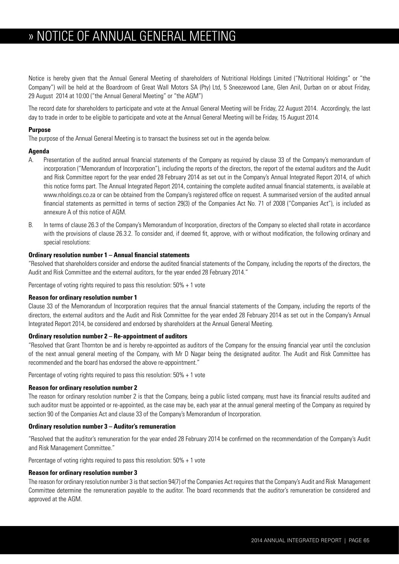## » » NOTICE OF ANNUAL GENERAL MEETING

Notice is hereby given that the Annual General Meeting of shareholders of Nutritional Holdings Limited ("Nutritional Holdings" or "the Company") will be held at the Boardroom of Great Wall Motors SA (Pty) Ltd, 5 Sneezewood Lane, Glen Anil, Durban on or about Friday, 29 August 2014 at 10:00 ("the Annual General Meeting" or "the AGM")

The record date for shareholders to participate and vote at the Annual General Meeting will be Friday, 22 August 2014. Accordingly, the last day to trade in order to be eligible to participate and vote at the Annual General Meeting will be Friday, 15 August 2014.

#### **Purpose**

The purpose of the Annual General Meeting is to transact the business set out in the agenda below.

#### **Agenda**

- A. Presentation of the audited annual financial statements of the Company as required by clause 33 of the Company's memorandum of incorporation ("Memorandum of Incorporation"), including the reports of the directors, the report of the external auditors and the Audit and Risk Committee report for the year ended 28 February 2014 as set out in the Company's Annual Integrated Report 2014, of which this notice forms part. The Annual Integrated Report 2014, containing the complete audited annual financial statements, is available at www.nholdings.co.za or can be obtained from the Company's registered office on request. A summarised version of the audited annual financial statements as permitted in terms of section 29(3) of the Companies Act No. 71 of 2008 ("Companies Act"), is included as annexure A of this notice of AGM.
- B. In terms of clause 26.3 of the Company's Memorandum of Incorporation, directors of the Company so elected shall rotate in accordance with the provisions of clause 26.3.2. To consider and, if deemed fit, approve, with or without modification, the following ordinary and special resolutions:

#### **Ordinary resolution number 1 – Annual financial statements**

"Resolved that shareholders consider and endorse the audited financial statements of the Company, including the reports of the directors, the Audit and Risk Committee and the external auditors, for the year ended 28 February 2014."

Percentage of voting rights required to pass this resolution: 50% + 1 vote

#### **Reason for ordinary resolution number 1**

Clause 33 of the Memorandum of Incorporation requires that the annual financial statements of the Company, including the reports of the directors, the external auditors and the Audit and Risk Committee for the year ended 28 February 2014 as set out in the Company's Annual Integrated Report 2014, be considered and endorsed by shareholders at the Annual General Meeting.

#### **Ordinary resolution number 2 – Re-appointment of auditors**

"Resolved that Grant Thornton be and is hereby re-appointed as auditors of the Company for the ensuing financial year until the conclusion of the next annual general meeting of the Company, with Mr D Nagar being the designated auditor. The Audit and Risk Committee has recommended and the board has endorsed the above re-appointment."

Percentage of voting rights required to pass this resolution: 50% + 1 vote

#### **Reason for ordinary resolution number 2**

The reason for ordinary resolution number 2 is that the Company, being a public listed company, must have its financial results audited and such auditor must be appointed or re-appointed, as the case may be, each year at the annual general meeting of the Company as required by section 90 of the Companies Act and clause 33 of the Company's Memorandum of Incorporation.

#### **Ordinary resolution number 3 – Auditor's remuneration**

"Resolved that the auditor's remuneration for the year ended 28 February 2014 be confirmed on the recommendation of the Company's Audit and Risk Management Committee."

Percentage of voting rights required to pass this resolution: 50% + 1 vote

#### **Reason for ordinary resolution number 3**

The reason for ordinary resolution number 3 is that section 94(7) of the Companies Act requires that the Company's Audit and Risk Management Committee determine the remuneration payable to the auditor. The board recommends that the auditor's remuneration be considered and approved at the AGM.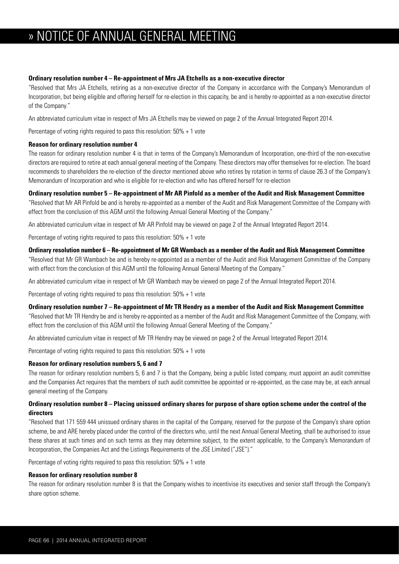## » NOTICE OF ANNUAL GENERAL MEETING

#### **Ordinary resolution number 4 – Re-appointment of Mrs JA Etchells as a non-executive director**

"Resolved that Mrs JA Etchells, retiring as a non-executive director of the Company in accordance with the Company's Memorandum of Incorporation, but being eligible and offering herself for re-election in this capacity, be and is hereby re-appointed as a non-executive director of the Company."

An abbreviated curriculum vitae in respect of Mrs JA Etchells may be viewed on page 2 of the Annual Integrated Report 2014.

Percentage of voting rights required to pass this resolution: 50% + 1 vote

#### **Reason for ordinary resolution number 4**

The reason for ordinary resolution number 4 is that in terms of the Company's Memorandum of Incorporation, one-third of the non-executive directors are required to retire at each annual general meeting of the Company. These directors may offer themselves for re-election. The board recommends to shareholders the re-election of the director mentioned above who retires by rotation in terms of clause 26.3 of the Company's Memorandum of Incorporation and who is eligible for re-election and who has offered herself for re-election

#### **Ordinary resolution number 5 – Re-appointment of Mr AR Pinfold as a member of the Audit and Risk Management Committee**

"Resolved that Mr AR Pinfold be and is hereby re-appointed as a member of the Audit and Risk Management Committee of the Company with effect from the conclusion of this AGM until the following Annual General Meeting of the Company."

An abbreviated curriculum vitae in respect of Mr AR Pinfold may be viewed on page 2 of the Annual Integrated Report 2014.

Percentage of voting rights required to pass this resolution: 50% + 1 vote

#### **Ordinary resolution number 6 – Re-appointment of Mr GR Wambach as a member of the Audit and Risk Management Committee**

"Resolved that Mr GR Wambach be and is hereby re-appointed as a member of the Audit and Risk Management Committee of the Company with effect from the conclusion of this AGM until the following Annual General Meeting of the Company."

An abbreviated curriculum vitae in respect of Mr GR Wambach may be viewed on page 2 of the Annual Integrated Report 2014.

Percentage of voting rights required to pass this resolution: 50% + 1 vote

#### **Ordinary resolution number 7 – Re-appointment of Mr TR Hendry as a member of the Audit and Risk Management Committee**

"Resolved that Mr TR Hendry be and is hereby re-appointed as a member of the Audit and Risk Management Committee of the Company, with effect from the conclusion of this AGM until the following Annual General Meeting of the Company."

An abbreviated curriculum vitae in respect of Mr TR Hendry may be viewed on page 2 of the Annual Integrated Report 2014.

Percentage of voting rights required to pass this resolution: 50% + 1 vote

#### **Reason for ordinary resolution numbers 5, 6 and 7**

The reason for ordinary resolution numbers 5, 6 and 7 is that the Company, being a public listed company, must appoint an audit committee and the Companies Act requires that the members of such audit committee be appointed or re-appointed, as the case may be, at each annual general meeting of the Company.

#### **Ordinary resolution number 8 – Placing unissued ordinary shares for purpose of share option scheme under the control of the directors**

"Resolved that 171 559 444 unissued ordinary shares in the capital of the Company, reserved for the purpose of the Company's share option scheme, be and ARE hereby placed under the control of the directors who, until the next Annual General Meeting, shall be authorised to issue these shares at such times and on such terms as they may determine subject, to the extent applicable, to the Company's Memorandum of Incorporation, the Companies Act and the Listings Requirements of the JSE Limited ("JSE")."

Percentage of voting rights required to pass this resolution: 50% + 1 vote

#### **Reason for ordinary resolution number 8**

The reason for ordinary resolution number 8 is that the Company wishes to incentivise its executives and senior staff through the Company's share option scheme.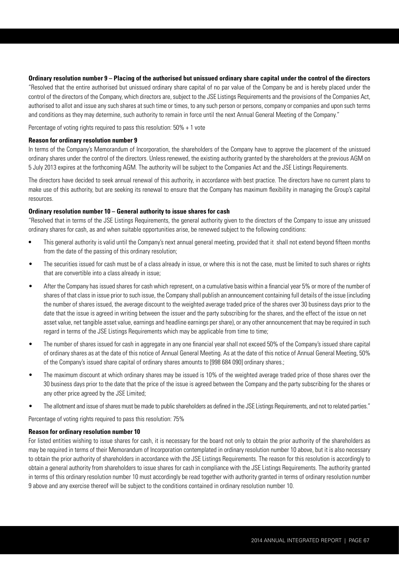#### **Ordinary resolution number 9 – Placing of the authorised but unissued ordinary share capital under the control of the directors**

"Resolved that the entire authorised but unissued ordinary share capital of no par value of the Company be and is hereby placed under the control of the directors of the Company, which directors are, subject to the JSE Listings Requirements and the provisions of the Companies Act, authorised to allot and issue any such shares at such time or times, to any such person or persons, company or companies and upon such terms and conditions as they may determine, such authority to remain in force until the next Annual General Meeting of the Company."

Percentage of voting rights required to pass this resolution: 50% + 1 vote

#### **Reason for ordinary resolution number 9**

In terms of the Company's Memorandum of Incorporation, the shareholders of the Company have to approve the placement of the unissued ordinary shares under the control of the directors. Unless renewed, the existing authority granted by the shareholders at the previous AGM on 5 July 2013 expires at the forthcoming AGM. The authority will be subject to the Companies Act and the JSE Listings Requirements.

The directors have decided to seek annual renewal of this authority, in accordance with best practice. The directors have no current plans to make use of this authority, but are seeking its renewal to ensure that the Company has maximum flexibility in managing the Group's capital resources.

#### **Ordinary resolution number 10 – General authority to issue shares for cash**

"Resolved that in terms of the JSE Listings Requirements, the general authority given to the directors of the Company to issue any unissued ordinary shares for cash, as and when suitable opportunities arise, be renewed subject to the following conditions:

- This general authority is valid until the Company's next annual general meeting, provided that it shall not extend beyond fifteen months from the date of the passing of this ordinary resolution;
- The securities issued for cash must be of a class already in issue, or where this is not the case, must be limited to such shares or rights that are convertible into a class already in issue;
- After the Company has issued shares for cash which represent, on a cumulative basis within a financial year 5% or more of the number of shares of that class in issue prior to such issue, the Company shall publish an announcement containing full details of the issue (including the number of shares issued, the average discount to the weighted average traded price of the shares over 30 business days prior to the date that the issue is agreed in writing between the issuer and the party subscribing for the shares, and the effect of the issue on net asset value, net tangible asset value, earnings and headline earnings per share), or any other announcement that may be required in such regard in terms of the JSE Listings Requirements which may be applicable from time to time;
- The number of shares issued for cash in aggregate in any one financial year shall not exceed 50% of the Company's issued share capital of ordinary shares as at the date of this notice of Annual General Meeting. As at the date of this notice of Annual General Meeting, 50% of the Company's issued share capital of ordinary shares amounts to [998 684 090] ordinary shares.;
- The maximum discount at which ordinary shares may be issued is 10% of the weighted average traded price of those shares over the 30 business days prior to the date that the price of the issue is agreed between the Company and the party subscribing for the shares or any other price agreed by the JSE Limited;
- The allotment and issue of shares must be made to public shareholders as defined in the JSE Listings Requirements, and not to related parties."

Percentage of voting rights required to pass this resolution: 75%

#### **Reason for ordinary resolution number 10**

For listed entities wishing to issue shares for cash, it is necessary for the board not only to obtain the prior authority of the shareholders as may be required in terms of their Memorandum of Incorporation contemplated in ordinary resolution number 10 above, but it is also necessary to obtain the prior authority of shareholders in accordance with the JSE Listings Requirements. The reason for this resolution is accordingly to obtain a general authority from shareholders to issue shares for cash in compliance with the JSE Listings Requirements. The authority granted in terms of this ordinary resolution number 10 must accordingly be read together with authority granted in terms of ordinary resolution number 9 above and any exercise thereof will be subject to the conditions contained in ordinary resolution number 10.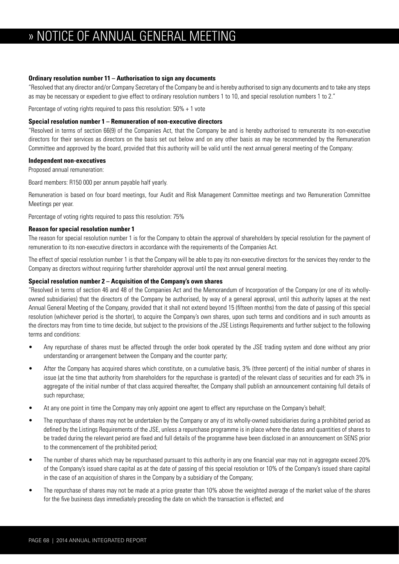## » NOTICE OF ANNUAL GENERAL MEETING

#### **Ordinary resolution number 11 – Authorisation to sign any documents**

"Resolved that any director and/or Company Secretary of the Company be and is hereby authorised to sign any documents and to take any steps as may be necessary or expedient to give effect to ordinary resolution numbers 1 to 10, and special resolution numbers 1 to 2."

Percentage of voting rights required to pass this resolution: 50% + 1 vote

#### **Special resolution number 1 – Remuneration of non-executive directors**

"Resolved in terms of section 66(9) of the Companies Act, that the Company be and is hereby authorised to remunerate its non-executive directors for their services as directors on the basis set out below and on any other basis as may be recommended by the Remuneration Committee and approved by the board, provided that this authority will be valid until the next annual general meeting of the Company:

#### **Independent non-executives**

Proposed annual remuneration:

Board members: R150 000 per annum payable half yearly.

Remuneration is based on four board meetings, four Audit and Risk Management Committee meetings and two Remuneration Committee Meetings per year.

Percentage of voting rights required to pass this resolution: 75%

#### **Reason for special resolution number 1**

The reason for special resolution number 1 is for the Company to obtain the approval of shareholders by special resolution for the payment of remuneration to its non-executive directors in accordance with the requirements of the Companies Act.

The effect of special resolution number 1 is that the Company will be able to pay its non-executive directors for the services they render to the Company as directors without requiring further shareholder approval until the next annual general meeting.

#### **Special resolution number 2 – Acquisition of the Company's own shares**

"Resolved in terms of section 46 and 48 of the Companies Act and the Memorandum of Incorporation of the Company (or one of its whollyowned subsidiaries) that the directors of the Company be authorised, by way of a general approval, until this authority lapses at the next Annual General Meeting of the Company, provided that it shall not extend beyond 15 (fifteen months) from the date of passing of this special resolution (whichever period is the shorter), to acquire the Company's own shares, upon such terms and conditions and in such amounts as the directors may from time to time decide, but subject to the provisions of the JSE Listings Requirements and further subject to the following terms and conditions:

- Any repurchase of shares must be affected through the order book operated by the JSE trading system and done without any prior understanding or arrangement between the Company and the counter party;
- After the Company has acquired shares which constitute, on a cumulative basis, 3% (three percent) of the initial number of shares in issue (at the time that authority from shareholders for the repurchase is granted) of the relevant class of securities and for each 3% in aggregate of the initial number of that class acquired thereafter, the Company shall publish an announcement containing full details of such repurchase;
- At any one point in time the Company may only appoint one agent to effect any repurchase on the Company's behalf;
- The repurchase of shares may not be undertaken by the Company or any of its wholly-owned subsidiaries during a prohibited period as defined by the Listings Requirements of the JSE, unless a repurchase programme is in place where the dates and quantities of shares to be traded during the relevant period are fixed and full details of the programme have been disclosed in an announcement on SENS prior to the commencement of the prohibited period;
- The number of shares which may be repurchased pursuant to this authority in any one financial year may not in aggregate exceed 20% of the Company's issued share capital as at the date of passing of this special resolution or 10% of the Company's issued share capital in the case of an acquisition of shares in the Company by a subsidiary of the Company;
- The repurchase of shares may not be made at a price greater than 10% above the weighted average of the market value of the shares for the five business days immediately preceding the date on which the transaction is effected; and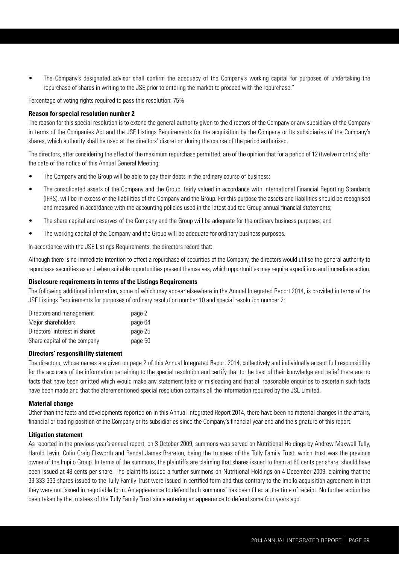• The Company's designated advisor shall confirm the adequacy of the Company's working capital for purposes of undertaking the repurchase of shares in writing to the JSE prior to entering the market to proceed with the repurchase."

Percentage of voting rights required to pass this resolution: 75%

#### **Reason for special resolution number 2**

The reason for this special resolution is to extend the general authority given to the directors of the Company or any subsidiary of the Company in terms of the Companies Act and the JSE Listings Requirements for the acquisition by the Company or its subsidiaries of the Company's shares, which authority shall be used at the directors' discretion during the course of the period authorised.

The directors, after considering the effect of the maximum repurchase permitted, are of the opinion that for a period of 12 (twelve months) after the date of the notice of this Annual General Meeting:

- The Company and the Group will be able to pay their debts in the ordinary course of business;
- The consolidated assets of the Company and the Group, fairly valued in accordance with International Financial Reporting Standards (IFRS), will be in excess of the liabilities of the Company and the Group. For this purpose the assets and liabilities should be recognised and measured in accordance with the accounting policies used in the latest audited Group annual financial statements;
- The share capital and reserves of the Company and the Group will be adequate for the ordinary business purposes; and
- The working capital of the Company and the Group will be adequate for ordinary business purposes.

In accordance with the JSE Listings Requirements, the directors record that:

Although there is no immediate intention to effect a repurchase of securities of the Company, the directors would utilise the general authority to repurchase securities as and when suitable opportunities present themselves, which opportunities may require expeditious and immediate action.

#### **Disclosure requirements in terms of the Listings Requirements**

The following additional information, some of which may appear elsewhere in the Annual Integrated Report 2014, is provided in terms of the JSE Listings Requirements for purposes of ordinary resolution number 10 and special resolution number 2:

| Directors and management      | page 2  |
|-------------------------------|---------|
| Major shareholders            | page 64 |
| Directors' interest in shares | page 25 |
| Share capital of the company  | page 50 |

#### **Directors' responsibility statement**

The directors, whose names are given on page 2 of this Annual Integrated Report 2014, collectively and individually accept full responsibility for the accuracy of the information pertaining to the special resolution and certify that to the best of their knowledge and belief there are no facts that have been omitted which would make any statement false or misleading and that all reasonable enquiries to ascertain such facts have been made and that the aforementioned special resolution contains all the information required by the JSE Limited.

#### **Material change**

Other than the facts and developments reported on in this Annual Integrated Report 2014, there have been no material changes in the affairs, financial or trading position of the Company or its subsidiaries since the Company's financial year-end and the signature of this report.

#### **Litigation statement**

As reported in the previous year's annual report, on 3 October 2009, summons was served on Nutritional Holdings by Andrew Maxwell Tully, Harold Levin, Colin Craig Elsworth and Randal James Brereton, being the trustees of the Tully Family Trust, which trust was the previous owner of the Impilo Group. In terms of the summons, the plaintiffs are claiming that shares issued to them at 60 cents per share, should have been issued at 48 cents per share. The plaintiffs issued a further summons on Nutritional Holdings on 4 December 2009, claiming that the 33 333 333 shares issued to the Tully Family Trust were issued in certified form and thus contrary to the Impilo acquisition agreement in that they were not issued in negotiable form. An appearance to defend both summons' has been filled at the time of receipt. No further action has been taken by the trustees of the Tully Family Trust since entering an appearance to defend some four years ago.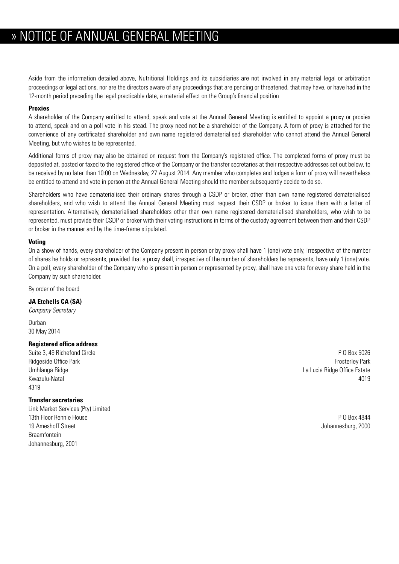Aside from the information detailed above, Nutritional Holdings and its subsidiaries are not involved in any material legal or arbitration proceedings or legal actions, nor are the directors aware of any proceedings that are pending or threatened, that may have, or have had in the 12-month period preceding the legal practicable date, a material effect on the Group's financial position

#### **Proxies**

A shareholder of the Company entitled to attend, speak and vote at the Annual General Meeting is entitled to appoint a proxy or proxies to attend, speak and on a poll vote in his stead. The proxy need not be a shareholder of the Company. A form of proxy is attached for the convenience of any certificated shareholder and own name registered dematerialised shareholder who cannot attend the Annual General Meeting, but who wishes to be represented.

Additional forms of proxy may also be obtained on request from the Company's registered office. The completed forms of proxy must be deposited at, posted or faxed to the registered office of the Company or the transfer secretaries at their respective addresses set out below, to be received by no later than 10:00 on Wednesday, 27 August 2014. Any member who completes and lodges a form of proxy will nevertheless be entitled to attend and vote in person at the Annual General Meeting should the member subsequently decide to do so.

Shareholders who have dematerialised their ordinary shares through a CSDP or broker, other than own name registered dematerialised shareholders, and who wish to attend the Annual General Meeting must request their CSDP or broker to issue them with a letter of representation. Alternatively, dematerialised shareholders other than own name registered dematerialised shareholders, who wish to be represented, must provide their CSDP or broker with their voting instructions in terms of the custody agreement between them and their CSDP or broker in the manner and by the time-frame stipulated.

#### **Voting**

On a show of hands, every shareholder of the Company present in person or by proxy shall have 1 (one) vote only, irrespective of the number of shares he holds or represents, provided that a proxy shall, irrespective of the number of shareholders he represents, have only 1 (one) vote. On a poll, every shareholder of the Company who is present in person or represented by proxy, shall have one vote for every share held in the Company by such shareholder.

By order of the board

#### **JA Etchells CA (SA)**

*Company Secretary*

Durban 30 May 2014

#### **Registered office address**

Suite 3, 49 Richefond Circle **P O Box 5026** Kwazulu-Natal 4019 4319

#### **Transfer secretaries**

Link Market Services (Pty) Limited 13th Floor Rennie House P O Box 4844 19 Ameshoff Street Johannesburg, 2000 Braamfontein Johannesburg, 2001

Ridgeside Office Park **From Account 2006** Frosterley Park Frosterley Park Frosterley Park Frosterley Park **Frosterley Park** Umhlanga Ridge La Lucia Ridge Office Estate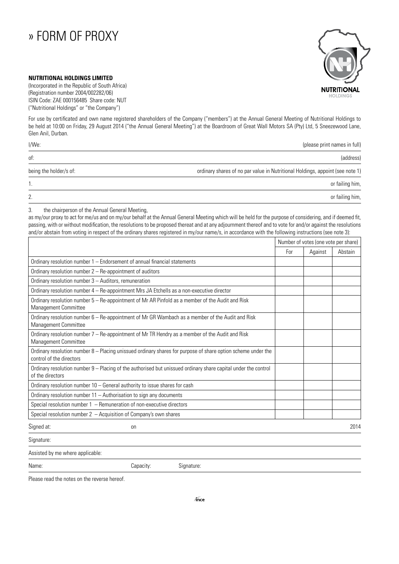### » » FORM OF PROXY

# **NUTRITIONAL OLDIN**

#### **NUTRITIONAL HOLDINGS LIMITED**

(Incorporated in the Republic of South Africa) (Registration number 2004/002282/06) ISIN Code: ZAE 000156485 Share code: NUT ("Nutritional Holdings" or "the Company")

For use by certificated and own name registered shareholders of the Company ("members") at the Annual General Meeting of Nutritional Holdings to be held at 10:00 on Friday, 29 August 2014 ("the Annual General Meeting") at the Boardroom of Great Wall Motors SA (Pty) Ltd, 5 Sneezewood Lane, Glen Anil, Durban.

| I/We:                  | (please print names in full)                                                  |  |
|------------------------|-------------------------------------------------------------------------------|--|
| of:                    | (address)                                                                     |  |
| being the holder/s of: | ordinary shares of no par value in Nutritional Holdings, appoint (see note 1) |  |
|                        | or failing him,                                                               |  |
| 2.                     | or failing him,                                                               |  |

3. the chairperson of the Annual General Meeting,

as my/our proxy to act for me/us and on my/our behalf at the Annual General Meeting which will be held for the purpose of considering, and if deemed fit, passing, with or without modification, the resolutions to be proposed thereat and at any adjournment thereof and to vote for and/or against the resolutions and/or abstain from voting in respect of the ordinary shares registered in my/our name/s, in accordance with the following instructions (see note 3):

|                                                                                                                                          | Number of votes (one vote per share) |         |         |
|------------------------------------------------------------------------------------------------------------------------------------------|--------------------------------------|---------|---------|
|                                                                                                                                          | For                                  | Against | Abstain |
| Ordinary resolution number 1 - Endorsement of annual financial statements                                                                |                                      |         |         |
| Ordinary resolution number 2 - Re-appointment of auditors                                                                                |                                      |         |         |
| Ordinary resolution number 3 - Auditors, remuneration                                                                                    |                                      |         |         |
| Ordinary resolution number 4 - Re-appointment Mrs JA Etchells as a non-executive director                                                |                                      |         |         |
| Ordinary resolution number 5 - Re-appointment of Mr AR Pinfold as a member of the Audit and Risk<br><b>Management Committee</b>          |                                      |         |         |
| Ordinary resolution number 6 - Re-appointment of Mr GR Wambach as a member of the Audit and Risk<br><b>Management Committee</b>          |                                      |         |         |
| Ordinary resolution number 7 - Re-appointment of Mr TR Hendry as a member of the Audit and Risk<br><b>Management Committee</b>           |                                      |         |         |
| Ordinary resolution number 8 - Placing unissued ordinary shares for purpose of share option scheme under the<br>control of the directors |                                      |         |         |
| Ordinary resolution number 9 - Placing of the authorised but unissued ordinary share capital under the control<br>of the directors       |                                      |         |         |
| Ordinary resolution number 10 - General authority to issue shares for cash                                                               |                                      |         |         |
| Ordinary resolution number 11 - Authorisation to sign any documents                                                                      |                                      |         |         |
| Special resolution number $1 -$ Remuneration of non-executive directors                                                                  |                                      |         |         |
| Special resolution number $2 -$ Acquisition of Company's own shares                                                                      |                                      |         |         |
| Signed at:<br>on                                                                                                                         |                                      |         | 2014    |
| Signature:                                                                                                                               |                                      |         |         |
| Assisted by me where applicable:                                                                                                         |                                      |         |         |
| Name:<br>Signature:<br>Capacity:                                                                                                         |                                      |         |         |

Please read the notes on the reverse hereof.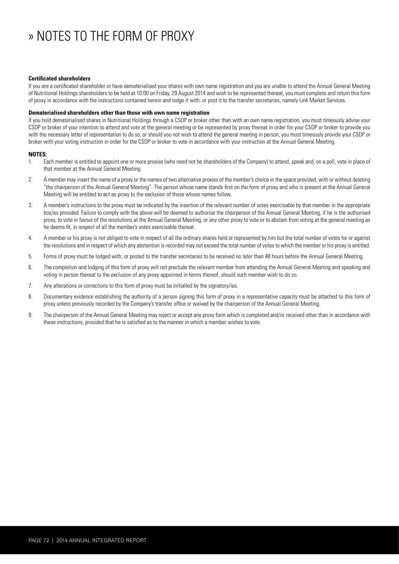## » » NOTES TO THE FORM OF PROXY

#### **Certificated shareholders**

If you are a certificated shareholder or have dematerialised your shares with own name registration and you are unable to attend the Annual General Meeting of Nutritional Holdings shareholders to be held at 10:00 on Friday, 29 August 2014 and wish to be represented thereat, you must complete and return this form of proxy in accordance with the instructions contained herein and lodge it with, or post it to the transfer secretaries, namely Link Market Services.

#### **Dematerialised shareholders other than those with own name registration**

If you hold dematerialised shares in Nutritional Holdings through a CSDP or broker other than with an own name registration, you must timeously advise your CSDP or broker of your intention to attend and vote at the general meeting or be represented by proxy thereat in order for your CSDP or broker to provide you with the necessary letter of representation to do so, or should you not wish to attend the general meeting in person, you must timeously provide your CSDP or broker with your voting instruction in order for the CSDP or broker to vote in accordance with your instruction at the Annual General Meeting.

#### **NOTES:**

- 1. Each member is entitled to appoint one or more proxies (who need not be shareholders of the Company) to attend, speak and, on a poll, vote in place of that member at the Annual General Meeting.
- 2. A member may insert the name of a proxy or the names of two alternative proxies of the member's choice in the space provided, with or without deleting "the chairperson of the Annual General Meeting". The person whose name stands first on the form of proxy and who is present at the Annual General Meeting will be entitled to act as proxy to the exclusion of those whose names follow.
- 3. A member's instructions to the proxy must be indicated by the insertion of the relevant number of votes exercisable by that member in the appropriate box/es provided. Failure to comply with the above will be deemed to authorise the chairperson of the Annual General Meeting, if he is the authorised proxy, to vote in favour of the resolutions at the Annual General Meeting, or any other proxy to vote or to abstain from voting at the general meeting as he deems fit, in respect of all the member's votes exercisable thereat.
- 4. A member or his proxy is not obliged to vote in respect of all the ordinary shares held or represented by him but the total number of votes for or against the resolutions and in respect of which any abstention is recorded may not exceed the total number of votes to which the member or his proxy is entitled.
- 5. Forms of proxy must be lodged with, or posted to the transfer secretaries to be received no later than 48 hours before the Annual General Meeting.
- 6. The completion and lodging of this form of proxy will not preclude the relevant member from attending the Annual General Meeting and speaking and voting in person thereat to the exclusion of any proxy appointed in terms thereof, should such member wish to do so.
- 7. Any alterations or corrections to this form of proxy must be initialled by the signatory/ies.
- 8. Documentary evidence establishing the authority of a person signing this form of proxy in a representative capacity must be attached to this form of proxy unless previously recorded by the Company's transfer office or waived by the chairperson of the Annual General Meeting.
- 9. The chairperson of the Annual General Meeting may reject or accept any proxy form which is completed and/or received other than in accordance with these instructions, provided that he is satisfied as to the manner in which a member wishes to vote.